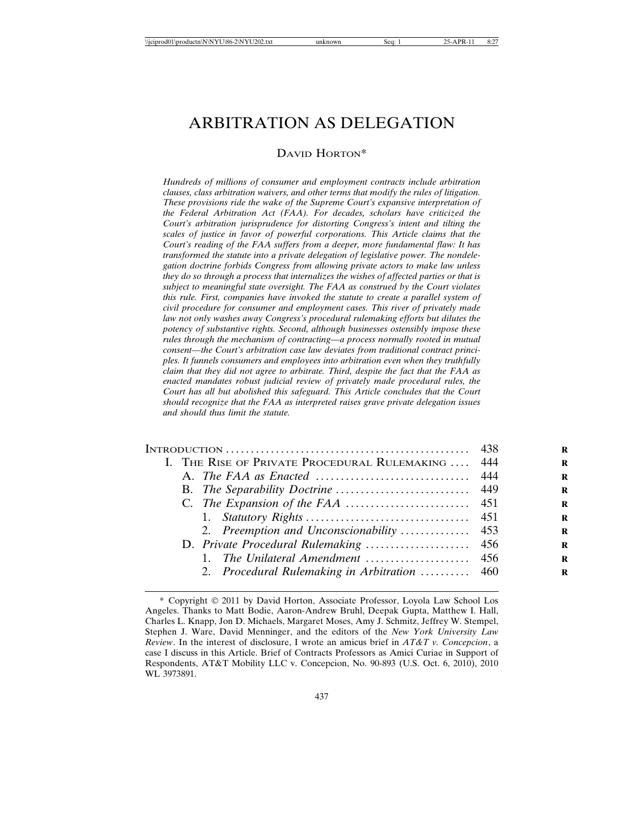# ARBITRATION AS DELEGATION

## DAVID HORTON\*

*Hundreds of millions of consumer and employment contracts include arbitration clauses, class arbitration waivers, and other terms that modify the rules of litigation. These provisions ride the wake of the Supreme Court's expansive interpretation of the Federal Arbitration Act (FAA). For decades, scholars have criticized the Court's arbitration jurisprudence for distorting Congress's intent and tilting the scales of justice in favor of powerful corporations. This Article claims that the Court's reading of the FAA suffers from a deeper, more fundamental flaw: It has transformed the statute into a private delegation of legislative power. The nondelegation doctrine forbids Congress from allowing private actors to make law unless they do so through a process that internalizes the wishes of affected parties or that is subject to meaningful state oversight. The FAA as construed by the Court violates this rule. First, companies have invoked the statute to create a parallel system of civil procedure for consumer and employment cases. This river of privately made law not only washes away Congress's procedural rulemaking efforts but dilutes the potency of substantive rights. Second, although businesses ostensibly impose these rules through the mechanism of contracting—a process normally rooted in mutual consent—the Court's arbitration case law deviates from traditional contract principles. It funnels consumers and employees into arbitration even when they truthfully claim that they did not agree to arbitrate. Third, despite the fact that the FAA as enacted mandates robust judicial review of privately made procedural rules, the Court has all but abolished this safeguard. This Article concludes that the Court should recognize that the FAA as interpreted raises grave private delegation issues and should thus limit the statute.*

|  | I. THE RISE OF PRIVATE PROCEDURAL RULEMAKING  444 |  |
|--|---------------------------------------------------|--|
|  |                                                   |  |
|  |                                                   |  |
|  |                                                   |  |
|  |                                                   |  |
|  |                                                   |  |
|  |                                                   |  |
|  | $1_{-}$                                           |  |
|  | 2. Procedural Rulemaking in Arbitration  460      |  |

<sup>\*</sup> Copyright 2011 by David Horton, Associate Professor, Loyola Law School Los Angeles. Thanks to Matt Bodie, Aaron-Andrew Bruhl, Deepak Gupta, Matthew I. Hall, Charles L. Knapp, Jon D. Michaels, Margaret Moses, Amy J. Schmitz, Jeffrey W. Stempel, Stephen J. Ware, David Menninger, and the editors of the *New York University Law Review*. In the interest of disclosure, I wrote an amicus brief in *AT&T v. Concepcion*, a case I discuss in this Article. Brief of Contracts Professors as Amici Curiae in Support of Respondents, AT&T Mobility LLC v. Concepcion, No. 90-893 (U.S. Oct. 6, 2010), 2010 WL 3973891.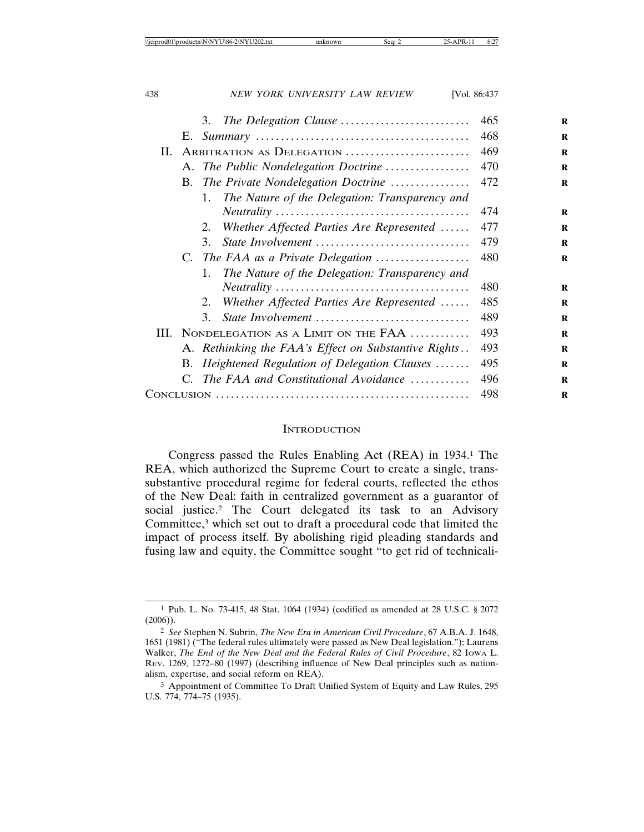|     |     | The Delegation Clause<br>3.                          | 465 |
|-----|-----|------------------------------------------------------|-----|
|     |     |                                                      | 468 |
| II. |     | ARBITRATION AS DELEGATION                            | 469 |
|     |     | A. The Public Nondelegation Doctrine                 | 470 |
|     |     | B. The Private Nondelegation Doctrine                | 472 |
|     |     | The Nature of the Delegation: Transparency and<br>1. |     |
|     |     |                                                      | 474 |
|     |     | Whether Affected Parties Are Represented<br>2.       | 477 |
|     |     | State Involvement<br>3.                              | 479 |
|     |     | C. The FAA as a Private Delegation                   | 480 |
|     |     | The Nature of the Delegation: Transparency and<br>1. |     |
|     |     |                                                      | 480 |
|     |     | Whether Affected Parties Are Represented<br>2.       | 485 |
|     |     | State Involvement<br>3.                              | 489 |
|     |     | III. NONDELEGATION AS A LIMIT ON THE FAA             | 493 |
|     |     | A. Rethinking the FAA's Effect on Substantive Rights | 493 |
|     | B.  | Heightened Regulation of Delegation Clauses          | 495 |
|     |     | C. The FAA and Constitutional Avoidance              | 496 |
|     | 498 |                                                      |     |

#### **INTRODUCTION**

Congress passed the Rules Enabling Act (REA) in 1934.1 The REA, which authorized the Supreme Court to create a single, transsubstantive procedural regime for federal courts, reflected the ethos of the New Deal: faith in centralized government as a guarantor of social justice.2 The Court delegated its task to an Advisory Committee,<sup>3</sup> which set out to draft a procedural code that limited the impact of process itself. By abolishing rigid pleading standards and fusing law and equity, the Committee sought "to get rid of technicali-

<sup>1</sup> Pub. L. No. 73-415, 48 Stat. 1064 (1934) (codified as amended at 28 U.S.C. § 2072 (2006)).

<sup>2</sup> *See* Stephen N. Subrin, *The New Era in American Civil Procedure*, 67 A.B.A. J. 1648, 1651 (1981) ("The federal rules ultimately were passed as New Deal legislation."); Laurens Walker, *The End of the New Deal and the Federal Rules of Civil Procedure*, 82 IOWA L. REV. 1269, 1272–80 (1997) (describing influence of New Deal principles such as nationalism, expertise, and social reform on REA).

<sup>3</sup> Appointment of Committee To Draft Unified System of Equity and Law Rules, 295 U.S. 774, 774–75 (1935).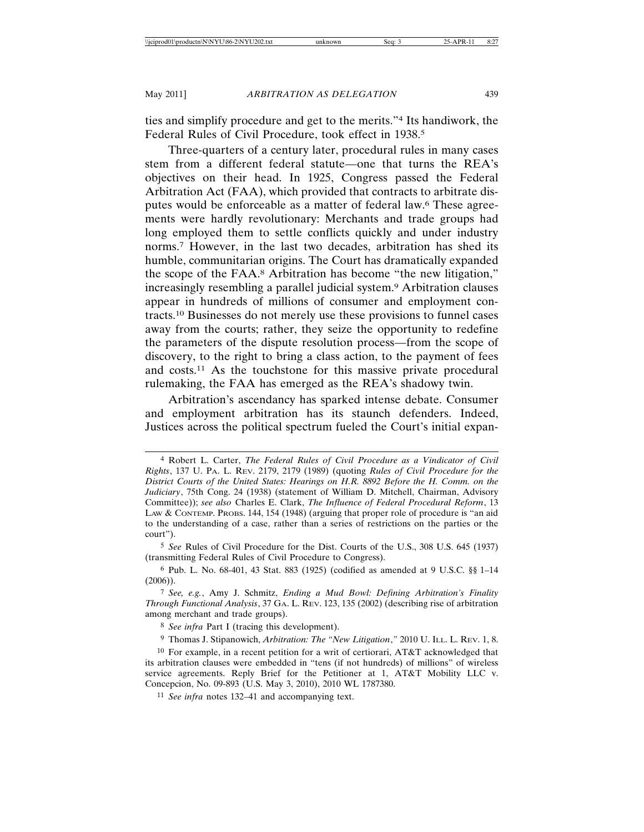ties and simplify procedure and get to the merits."4 Its handiwork, the Federal Rules of Civil Procedure, took effect in 1938.5

Three-quarters of a century later, procedural rules in many cases stem from a different federal statute—one that turns the REA's objectives on their head. In 1925, Congress passed the Federal Arbitration Act (FAA), which provided that contracts to arbitrate disputes would be enforceable as a matter of federal law.6 These agreements were hardly revolutionary: Merchants and trade groups had long employed them to settle conflicts quickly and under industry norms.7 However, in the last two decades, arbitration has shed its humble, communitarian origins. The Court has dramatically expanded the scope of the FAA.8 Arbitration has become "the new litigation," increasingly resembling a parallel judicial system.9 Arbitration clauses appear in hundreds of millions of consumer and employment contracts.10 Businesses do not merely use these provisions to funnel cases away from the courts; rather, they seize the opportunity to redefine the parameters of the dispute resolution process—from the scope of discovery, to the right to bring a class action, to the payment of fees and costs.11 As the touchstone for this massive private procedural rulemaking, the FAA has emerged as the REA's shadowy twin.

Arbitration's ascendancy has sparked intense debate. Consumer and employment arbitration has its staunch defenders. Indeed, Justices across the political spectrum fueled the Court's initial expan-

5 *See* Rules of Civil Procedure for the Dist. Courts of the U.S., 308 U.S. 645 (1937) (transmitting Federal Rules of Civil Procedure to Congress).

6 Pub. L. No. 68-401, 43 Stat. 883 (1925) (codified as amended at 9 U.S.C. §§ 1–14 (2006)).

7 *See, e.g.*, Amy J. Schmitz, *Ending a Mud Bowl: Defining Arbitration's Finality Through Functional Analysis*, 37 GA. L. REV. 123, 135 (2002) (describing rise of arbitration among merchant and trade groups).

8 *See infra* Part I (tracing this development).

9 Thomas J. Stipanowich, *Arbitration: The "New Litigation*,*"* 2010 U. ILL. L. REV. 1, 8.

<sup>4</sup> Robert L. Carter, *The Federal Rules of Civil Procedure as a Vindicator of Civil Rights*, 137 U. PA. L. REV. 2179, 2179 (1989) (quoting *Rules of Civil Procedure for the District Courts of the United States: Hearings on H.R. 8892 Before the H. Comm. on the Judiciary*, 75th Cong. 24 (1938) (statement of William D. Mitchell, Chairman, Advisory Committee)); *see also* Charles E. Clark, *The Influence of Federal Procedural Reform*, 13 LAW & CONTEMP. PROBS. 144, 154 (1948) (arguing that proper role of procedure is "an aid to the understanding of a case, rather than a series of restrictions on the parties or the court").

<sup>10</sup> For example, in a recent petition for a writ of certiorari, AT&T acknowledged that its arbitration clauses were embedded in "tens (if not hundreds) of millions" of wireless service agreements. Reply Brief for the Petitioner at 1, AT&T Mobility LLC v. Concepcion, No. 09-893 (U.S. May 3, 2010), 2010 WL 1787380.

<sup>11</sup> *See infra* notes 132–41 and accompanying text.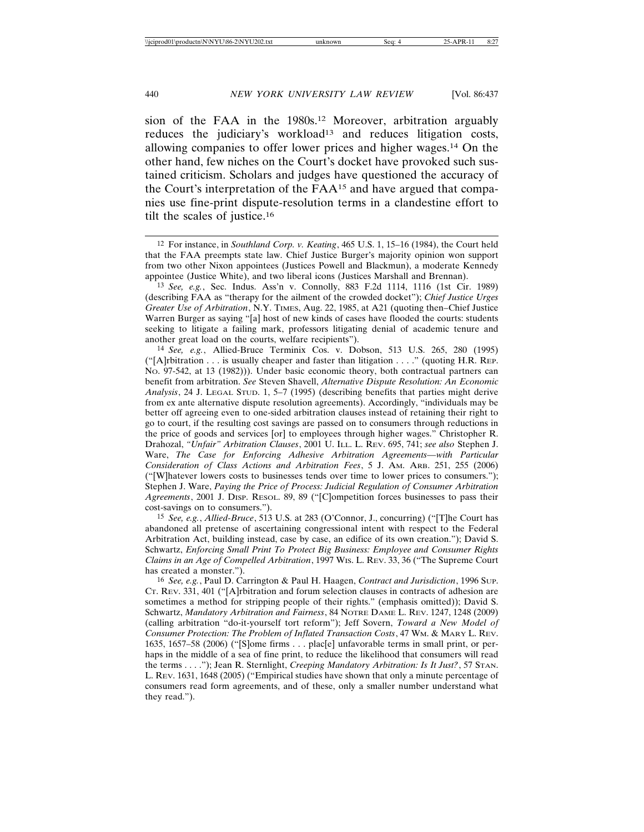sion of the FAA in the 1980s.12 Moreover, arbitration arguably reduces the judiciary's workload<sup>13</sup> and reduces litigation costs, allowing companies to offer lower prices and higher wages.14 On the other hand, few niches on the Court's docket have provoked such sustained criticism. Scholars and judges have questioned the accuracy of the Court's interpretation of the FAA15 and have argued that companies use fine-print dispute-resolution terms in a clandestine effort to tilt the scales of justice.16

14 *See, e.g.*, Allied-Bruce Terminix Cos. v. Dobson, 513 U.S. 265, 280 (1995)  $("A]$ rbitration . . . is usually cheaper and faster than litigation . . . ." (quoting H.R. REP. NO. 97-542, at 13 (1982))). Under basic economic theory, both contractual partners can benefit from arbitration. *See* Steven Shavell, *Alternative Dispute Resolution: An Economic Analysis*, 24 J. LEGAL STUD. 1, 5–7 (1995) (describing benefits that parties might derive from ex ante alternative dispute resolution agreements). Accordingly, "individuals may be better off agreeing even to one-sided arbitration clauses instead of retaining their right to go to court, if the resulting cost savings are passed on to consumers through reductions in the price of goods and services [or] to employees through higher wages." Christopher R. Drahozal, *"Unfair" Arbitration Clauses*, 2001 U. ILL. L. REV. 695, 741; *see also* Stephen J. Ware, *The Case for Enforcing Adhesive Arbitration Agreements—with Particular Consideration of Class Actions and Arbitration Fees*, 5 J. AM. ARB. 251, 255 (2006) ("[W]hatever lowers costs to businesses tends over time to lower prices to consumers."); Stephen J. Ware, *Paying the Price of Process: Judicial Regulation of Consumer Arbitration Agreements*, 2001 J. DISP. RESOL. 89, 89 ("[C]ompetition forces businesses to pass their cost-savings on to consumers.").

15 *See, e.g.*, *Allied-Bruce*, 513 U.S. at 283 (O'Connor, J., concurring) ("[T]he Court has abandoned all pretense of ascertaining congressional intent with respect to the Federal Arbitration Act, building instead, case by case, an edifice of its own creation."); David S. Schwartz, *Enforcing Small Print To Protect Big Business: Employee and Consumer Rights Claims in an Age of Compelled Arbitration*, 1997 WIS. L. REV. 33, 36 ("The Supreme Court has created a monster.").

16 *See, e.g.*, Paul D. Carrington & Paul H. Haagen, *Contract and Jurisdiction*, 1996 SUP. CT. REV. 331, 401 ("[A]rbitration and forum selection clauses in contracts of adhesion are sometimes a method for stripping people of their rights." (emphasis omitted)); David S. Schwartz, *Mandatory Arbitration and Fairness*, 84 NOTRE DAME L. REV. 1247, 1248 (2009) (calling arbitration "do-it-yourself tort reform"); Jeff Sovern, *Toward a New Model of Consumer Protection: The Problem of Inflated Transaction Costs*, 47 WM. & MARY L. REV. 1635, 1657–58 (2006) ("[S]ome firms . . . plac[e] unfavorable terms in small print, or perhaps in the middle of a sea of fine print, to reduce the likelihood that consumers will read the terms . . . ."); Jean R. Sternlight, *Creeping Mandatory Arbitration: Is It Just?*, 57 STAN. L. REV. 1631, 1648 (2005) ("Empirical studies have shown that only a minute percentage of consumers read form agreements, and of these, only a smaller number understand what they read.").

<sup>12</sup> For instance, in *Southland Corp. v. Keating*, 465 U.S. 1, 15–16 (1984), the Court held that the FAA preempts state law. Chief Justice Burger's majority opinion won support from two other Nixon appointees (Justices Powell and Blackmun), a moderate Kennedy appointee (Justice White), and two liberal icons (Justices Marshall and Brennan).

<sup>13</sup> *See, e.g.*, Sec. Indus. Ass'n v. Connolly, 883 F.2d 1114, 1116 (1st Cir. 1989) (describing FAA as "therapy for the ailment of the crowded docket"); *Chief Justice Urges Greater Use of Arbitration*, N.Y. TIMES, Aug. 22, 1985, at A21 (quoting then–Chief Justice Warren Burger as saying "[a] host of new kinds of cases have flooded the courts: students seeking to litigate a failing mark, professors litigating denial of academic tenure and another great load on the courts, welfare recipients").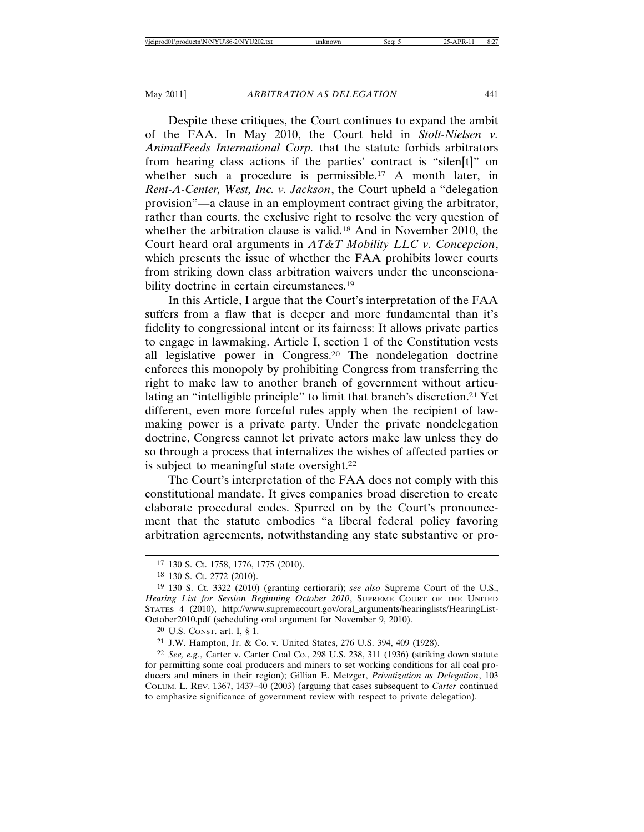Despite these critiques, the Court continues to expand the ambit of the FAA. In May 2010, the Court held in *Stolt-Nielsen v. AnimalFeeds International Corp.* that the statute forbids arbitrators from hearing class actions if the parties' contract is "silen[t]" on whether such a procedure is permissible.<sup>17</sup> A month later, in *Rent-A-Center, West, Inc. v. Jackson*, the Court upheld a "delegation provision"—a clause in an employment contract giving the arbitrator, rather than courts, the exclusive right to resolve the very question of whether the arbitration clause is valid.18 And in November 2010, the Court heard oral arguments in *AT&T Mobility LLC v. Concepcion*, which presents the issue of whether the FAA prohibits lower courts from striking down class arbitration waivers under the unconscionability doctrine in certain circumstances.<sup>19</sup>

In this Article, I argue that the Court's interpretation of the FAA suffers from a flaw that is deeper and more fundamental than it's fidelity to congressional intent or its fairness: It allows private parties to engage in lawmaking. Article I, section 1 of the Constitution vests all legislative power in Congress.20 The nondelegation doctrine enforces this monopoly by prohibiting Congress from transferring the right to make law to another branch of government without articulating an "intelligible principle" to limit that branch's discretion.21 Yet different, even more forceful rules apply when the recipient of lawmaking power is a private party. Under the private nondelegation doctrine, Congress cannot let private actors make law unless they do so through a process that internalizes the wishes of affected parties or is subject to meaningful state oversight.22

The Court's interpretation of the FAA does not comply with this constitutional mandate. It gives companies broad discretion to create elaborate procedural codes. Spurred on by the Court's pronouncement that the statute embodies "a liberal federal policy favoring arbitration agreements, notwithstanding any state substantive or pro-

20 U.S. CONST. art. I, § 1.

21 J.W. Hampton, Jr. & Co. v. United States, 276 U.S. 394, 409 (1928).

<sup>17</sup> 130 S. Ct. 1758, 1776, 1775 (2010).

<sup>18</sup> 130 S. Ct. 2772 (2010).

<sup>19</sup> 130 S. Ct. 3322 (2010) (granting certiorari); *see also* Supreme Court of the U.S., *Hearing List for Session Beginning October 2010*, SUPREME COURT OF THE UNITED STATES 4 (2010), http://www.supremecourt.gov/oral\_arguments/hearinglists/HearingList-October2010.pdf (scheduling oral argument for November 9, 2010).

<sup>22</sup> *See, e.g*., Carter v. Carter Coal Co., 298 U.S. 238, 311 (1936) (striking down statute for permitting some coal producers and miners to set working conditions for all coal producers and miners in their region); Gillian E. Metzger, *Privatization as Delegation*, 103 COLUM. L. REV. 1367, 1437–40 (2003) (arguing that cases subsequent to *Carter* continued to emphasize significance of government review with respect to private delegation).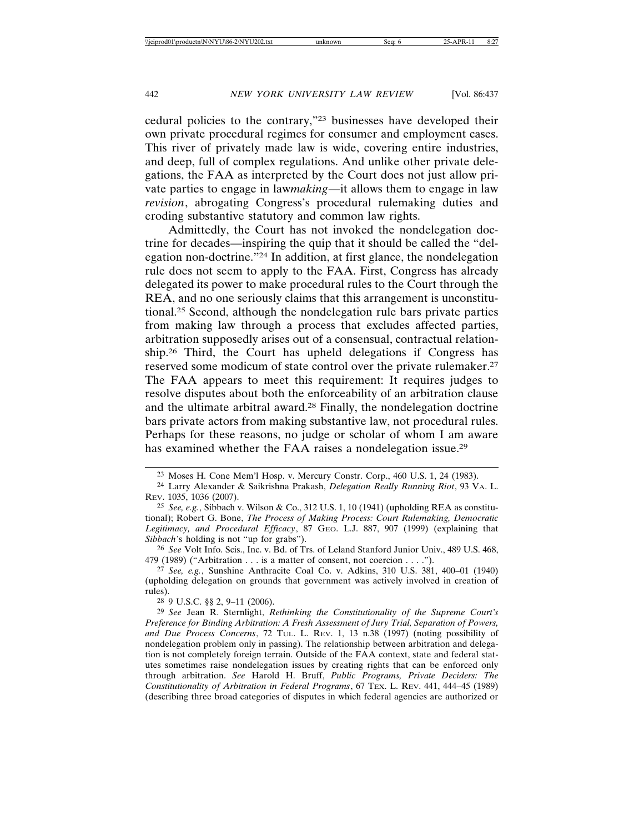cedural policies to the contrary,"23 businesses have developed their own private procedural regimes for consumer and employment cases. This river of privately made law is wide, covering entire industries, and deep, full of complex regulations. And unlike other private delegations, the FAA as interpreted by the Court does not just allow private parties to engage in law*making*—it allows them to engage in law *revision*, abrogating Congress's procedural rulemaking duties and eroding substantive statutory and common law rights.

Admittedly, the Court has not invoked the nondelegation doctrine for decades—inspiring the quip that it should be called the "delegation non-doctrine."24 In addition, at first glance, the nondelegation rule does not seem to apply to the FAA. First, Congress has already delegated its power to make procedural rules to the Court through the REA, and no one seriously claims that this arrangement is unconstitutional.25 Second, although the nondelegation rule bars private parties from making law through a process that excludes affected parties, arbitration supposedly arises out of a consensual, contractual relationship.26 Third, the Court has upheld delegations if Congress has reserved some modicum of state control over the private rulemaker.27 The FAA appears to meet this requirement: It requires judges to resolve disputes about both the enforceability of an arbitration clause and the ultimate arbitral award.28 Finally, the nondelegation doctrine bars private actors from making substantive law, not procedural rules. Perhaps for these reasons, no judge or scholar of whom I am aware has examined whether the FAA raises a nondelegation issue.29

26 *See* Volt Info. Scis., Inc. v. Bd. of Trs. of Leland Stanford Junior Univ., 489 U.S. 468, 479 (1989) ("Arbitration . . . is a matter of consent, not coercion . . . .").

27 *See, e.g.*, Sunshine Anthracite Coal Co. v. Adkins, 310 U.S. 381, 400–01 (1940) (upholding delegation on grounds that government was actively involved in creation of rules).

28 9 U.S.C. §§ 2, 9–11 (2006).

29 *See* Jean R. Sternlight, *Rethinking the Constitutionality of the Supreme Court's Preference for Binding Arbitration: A Fresh Assessment of Jury Trial, Separation of Powers, and Due Process Concerns*, 72 TUL. L. REV. 1, 13 n.38 (1997) (noting possibility of nondelegation problem only in passing). The relationship between arbitration and delegation is not completely foreign terrain. Outside of the FAA context, state and federal statutes sometimes raise nondelegation issues by creating rights that can be enforced only through arbitration. *See* Harold H. Bruff, *Public Programs, Private Deciders: The Constitutionality of Arbitration in Federal Programs*, 67 TEX. L. REV. 441, 444–45 (1989) (describing three broad categories of disputes in which federal agencies are authorized or

<sup>23</sup> Moses H. Cone Mem'l Hosp. v. Mercury Constr. Corp., 460 U.S. 1, 24 (1983).

<sup>24</sup> Larry Alexander & Saikrishna Prakash, *Delegation Really Running Riot*, 93 VA. L. REV. 1035, 1036 (2007).

<sup>25</sup> *See, e.g.*, Sibbach v. Wilson & Co., 312 U.S. 1, 10 (1941) (upholding REA as constitutional); Robert G. Bone, *The Process of Making Process: Court Rulemaking, Democratic Legitimacy, and Procedural Efficacy*, 87 GEO. L.J. 887, 907 (1999) (explaining that *Sibbach*'s holding is not "up for grabs").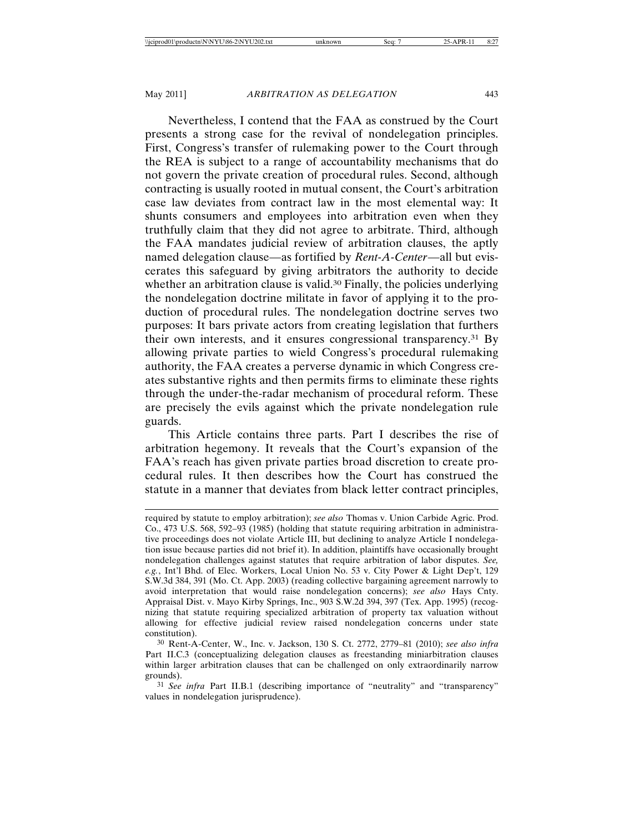Nevertheless, I contend that the FAA as construed by the Court presents a strong case for the revival of nondelegation principles. First, Congress's transfer of rulemaking power to the Court through the REA is subject to a range of accountability mechanisms that do not govern the private creation of procedural rules. Second, although contracting is usually rooted in mutual consent, the Court's arbitration case law deviates from contract law in the most elemental way: It shunts consumers and employees into arbitration even when they truthfully claim that they did not agree to arbitrate. Third, although the FAA mandates judicial review of arbitration clauses, the aptly named delegation clause—as fortified by *Rent-A-Center*—all but eviscerates this safeguard by giving arbitrators the authority to decide whether an arbitration clause is valid.<sup>30</sup> Finally, the policies underlying the nondelegation doctrine militate in favor of applying it to the production of procedural rules. The nondelegation doctrine serves two purposes: It bars private actors from creating legislation that furthers their own interests, and it ensures congressional transparency.31 By allowing private parties to wield Congress's procedural rulemaking authority, the FAA creates a perverse dynamic in which Congress creates substantive rights and then permits firms to eliminate these rights through the under-the-radar mechanism of procedural reform. These are precisely the evils against which the private nondelegation rule guards.

This Article contains three parts. Part I describes the rise of arbitration hegemony. It reveals that the Court's expansion of the FAA's reach has given private parties broad discretion to create procedural rules. It then describes how the Court has construed the statute in a manner that deviates from black letter contract principles,

required by statute to employ arbitration); *see also* Thomas v. Union Carbide Agric. Prod. Co., 473 U.S. 568, 592–93 (1985) (holding that statute requiring arbitration in administrative proceedings does not violate Article III, but declining to analyze Article I nondelegation issue because parties did not brief it). In addition, plaintiffs have occasionally brought nondelegation challenges against statutes that require arbitration of labor disputes. *See, e.g.*, Int'l Bhd. of Elec. Workers, Local Union No. 53 v. City Power & Light Dep't, 129 S.W.3d 384, 391 (Mo. Ct. App. 2003) (reading collective bargaining agreement narrowly to avoid interpretation that would raise nondelegation concerns); *see also* Hays Cnty. Appraisal Dist. v. Mayo Kirby Springs, Inc., 903 S.W.2d 394, 397 (Tex. App. 1995) (recognizing that statute requiring specialized arbitration of property tax valuation without allowing for effective judicial review raised nondelegation concerns under state constitution).

<sup>30</sup> Rent-A-Center, W., Inc. v. Jackson, 130 S. Ct. 2772, 2779–81 (2010); *see also infra* Part II.C.3 (conceptualizing delegation clauses as freestanding miniarbitration clauses within larger arbitration clauses that can be challenged on only extraordinarily narrow grounds).

<sup>31</sup> *See infra* Part II.B.1 (describing importance of "neutrality" and "transparency" values in nondelegation jurisprudence).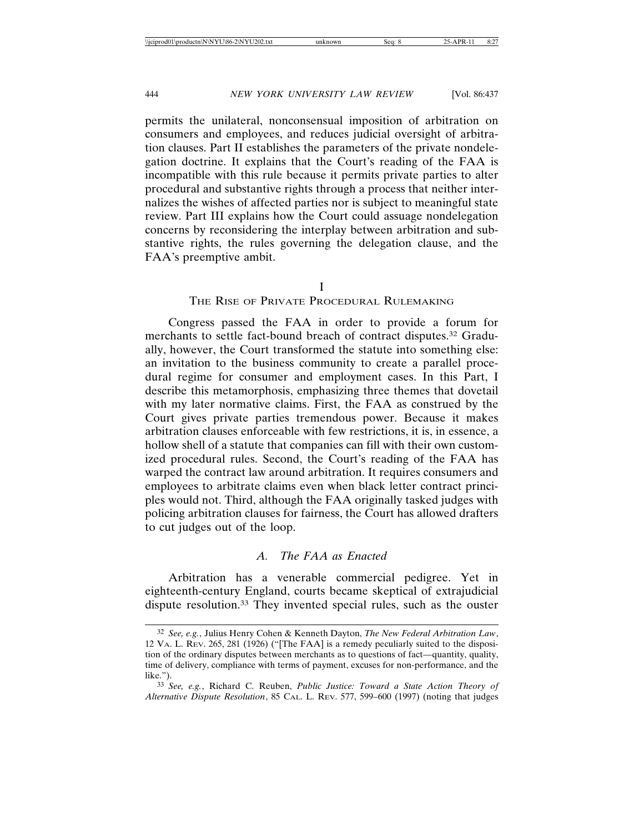permits the unilateral, nonconsensual imposition of arbitration on consumers and employees, and reduces judicial oversight of arbitration clauses. Part II establishes the parameters of the private nondelegation doctrine. It explains that the Court's reading of the FAA is incompatible with this rule because it permits private parties to alter procedural and substantive rights through a process that neither internalizes the wishes of affected parties nor is subject to meaningful state review. Part III explains how the Court could assuage nondelegation concerns by reconsidering the interplay between arbitration and substantive rights, the rules governing the delegation clause, and the FAA's preemptive ambit.

I

#### THE RISE OF PRIVATE PROCEDURAL RULEMAKING

Congress passed the FAA in order to provide a forum for merchants to settle fact-bound breach of contract disputes.32 Gradually, however, the Court transformed the statute into something else: an invitation to the business community to create a parallel procedural regime for consumer and employment cases. In this Part, I describe this metamorphosis, emphasizing three themes that dovetail with my later normative claims. First, the FAA as construed by the Court gives private parties tremendous power. Because it makes arbitration clauses enforceable with few restrictions, it is, in essence, a hollow shell of a statute that companies can fill with their own customized procedural rules. Second, the Court's reading of the FAA has warped the contract law around arbitration. It requires consumers and employees to arbitrate claims even when black letter contract principles would not. Third, although the FAA originally tasked judges with policing arbitration clauses for fairness, the Court has allowed drafters to cut judges out of the loop.

#### *A. The FAA as Enacted*

Arbitration has a venerable commercial pedigree. Yet in eighteenth-century England, courts became skeptical of extrajudicial dispute resolution.33 They invented special rules, such as the ouster

<sup>32</sup> *See, e.g.*, Julius Henry Cohen & Kenneth Dayton, *The New Federal Arbitration Law*, 12 VA. L. REV. 265, 281 (1926) ("[The FAA] is a remedy peculiarly suited to the disposition of the ordinary disputes between merchants as to questions of fact—quantity, quality, time of delivery, compliance with terms of payment, excuses for non-performance, and the like.").

<sup>33</sup> *See, e.g.*, Richard C. Reuben, *Public Justice: Toward a State Action Theory of Alternative Dispute Resolution*, 85 CAL. L. REV. 577, 599–600 (1997) (noting that judges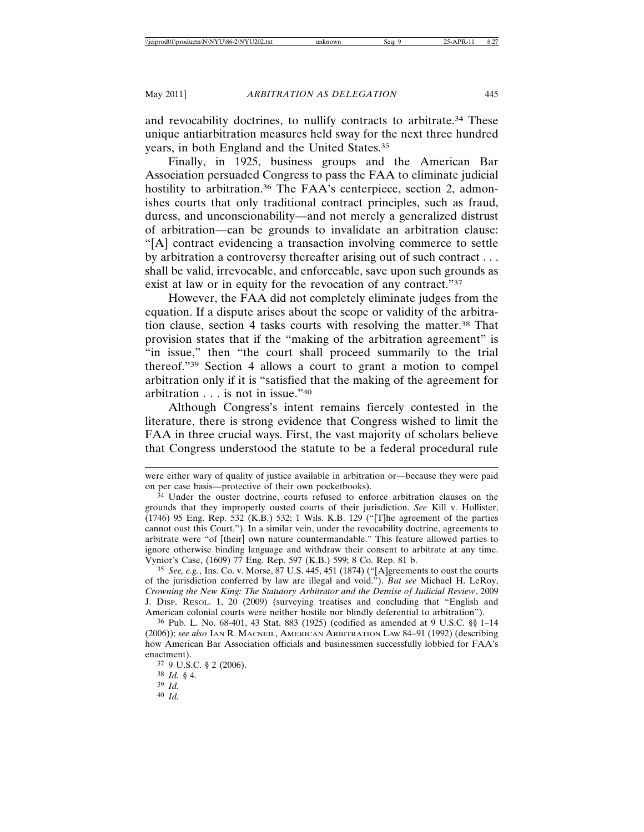and revocability doctrines, to nullify contracts to arbitrate.34 These unique antiarbitration measures held sway for the next three hundred years, in both England and the United States.35

Finally, in 1925, business groups and the American Bar Association persuaded Congress to pass the FAA to eliminate judicial hostility to arbitration.<sup>36</sup> The FAA's centerpiece, section 2, admonishes courts that only traditional contract principles, such as fraud, duress, and unconscionability—and not merely a generalized distrust of arbitration—can be grounds to invalidate an arbitration clause: "[A] contract evidencing a transaction involving commerce to settle by arbitration a controversy thereafter arising out of such contract . . . shall be valid, irrevocable, and enforceable, save upon such grounds as exist at law or in equity for the revocation of any contract."<sup>37</sup>

However, the FAA did not completely eliminate judges from the equation. If a dispute arises about the scope or validity of the arbitration clause, section 4 tasks courts with resolving the matter.38 That provision states that if the "making of the arbitration agreement" is "in issue," then "the court shall proceed summarily to the trial thereof."39 Section 4 allows a court to grant a motion to compel arbitration only if it is "satisfied that the making of the agreement for arbitration . . . is not in issue."40

Although Congress's intent remains fiercely contested in the literature, there is strong evidence that Congress wished to limit the FAA in three crucial ways. First, the vast majority of scholars believe that Congress understood the statute to be a federal procedural rule

35 *See, e.g.*, Ins. Co. v. Morse, 87 U.S. 445, 451 (1874) ("[A]greements to oust the courts of the jurisdiction conferred by law are illegal and void."). *But see* Michael H. LeRoy, *Crowning the New King: The Statutory Arbitrator and the Demise of Judicial Review*, 2009 J. DISP. RESOL. 1, 20 (2009) (surveying treatises and concluding that "English and American colonial courts were neither hostile nor blindly deferential to arbitration").

36 Pub. L. No. 68-401, 43 Stat. 883 (1925) (codified as amended at 9 U.S.C. §§ 1–14 (2006)); *see also* IAN R. MACNEIL, AMERICAN ARBITRATION LAW 84–91 (1992) (describing how American Bar Association officials and businessmen successfully lobbied for FAA's enactment).

37 9 U.S.C. § 2 (2006).

38 *Id.* § 4.

39 *Id.*

40 *Id.*

were either wary of quality of justice available in arbitration or—because they were paid on per case basis—protective of their own pocketbooks).

<sup>&</sup>lt;sup>34</sup> Under the ouster doctrine, courts refused to enforce arbitration clauses on the grounds that they improperly ousted courts of their jurisdiction. *See* Kill v. Hollister, (1746) 95 Eng. Rep. 532 (K.B.) 532; 1 Wils. K.B. 129 ("[T]he agreement of the parties cannot oust this Court."). In a similar vein, under the revocability doctrine, agreements to arbitrate were "of [their] own nature countermandable." This feature allowed parties to ignore otherwise binding language and withdraw their consent to arbitrate at any time. Vynior's Case, (1609) 77 Eng. Rep. 597 (K.B.) 599; 8 Co. Rep. 81 b.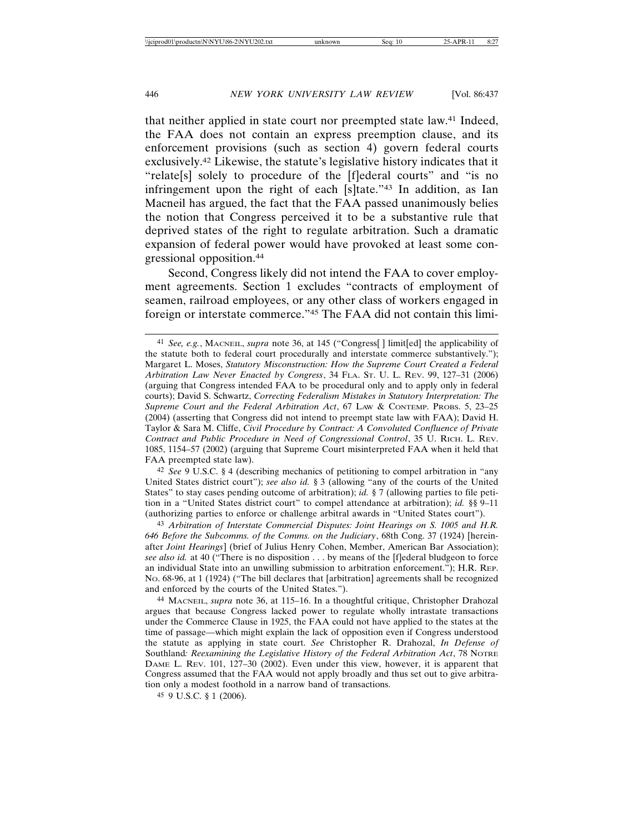that neither applied in state court nor preempted state law.41 Indeed, the FAA does not contain an express preemption clause, and its enforcement provisions (such as section 4) govern federal courts exclusively.42 Likewise, the statute's legislative history indicates that it "relate[s] solely to procedure of the [f]ederal courts" and "is no infringement upon the right of each [s]tate."43 In addition, as Ian Macneil has argued, the fact that the FAA passed unanimously belies the notion that Congress perceived it to be a substantive rule that deprived states of the right to regulate arbitration. Such a dramatic expansion of federal power would have provoked at least some congressional opposition.44

Second, Congress likely did not intend the FAA to cover employment agreements. Section 1 excludes "contracts of employment of seamen, railroad employees, or any other class of workers engaged in foreign or interstate commerce."45 The FAA did not contain this limi-

42 *See* 9 U.S.C. § 4 (describing mechanics of petitioning to compel arbitration in "any United States district court"); *see also id.* § 3 (allowing "any of the courts of the United States" to stay cases pending outcome of arbitration); *id.* § 7 (allowing parties to file petition in a "United States district court" to compel attendance at arbitration); *id.* §§ 9–11 (authorizing parties to enforce or challenge arbitral awards in "United States court").

43 *Arbitration of Interstate Commercial Disputes: Joint Hearings on S. 1005 and H.R. 646 Before the Subcomms. of the Comms. on the Judiciary*, 68th Cong. 37 (1924) [hereinafter *Joint Hearings*] (brief of Julius Henry Cohen, Member, American Bar Association); *see also id.* at 40 ("There is no disposition . . . by means of the [f]ederal bludgeon to force an individual State into an unwilling submission to arbitration enforcement."); H.R. REP. NO. 68-96, at 1 (1924) ("The bill declares that [arbitration] agreements shall be recognized and enforced by the courts of the United States.").

44 MACNEIL, *supra* note 36, at 115–16. In a thoughtful critique, Christopher Drahozal argues that because Congress lacked power to regulate wholly intrastate transactions under the Commerce Clause in 1925, the FAA could not have applied to the states at the time of passage—which might explain the lack of opposition even if Congress understood the statute as applying in state court. *See* Christopher R. Drahozal, *In Defense of* Southland*: Reexamining the Legislative History of the Federal Arbitration Act*, 78 NOTRE DAME L. REV. 101, 127–30 (2002). Even under this view, however, it is apparent that Congress assumed that the FAA would not apply broadly and thus set out to give arbitration only a modest foothold in a narrow band of transactions.

45 9 U.S.C. § 1 (2006).

<sup>41</sup> *See, e.g.*, MACNEIL, *supra* note 36, at 145 ("Congress[ ] limit[ed] the applicability of the statute both to federal court procedurally and interstate commerce substantively."); Margaret L. Moses, *Statutory Misconstruction: How the Supreme Court Created a Federal Arbitration Law Never Enacted by Congress*, 34 FLA. ST. U. L. REV. 99, 127–31 (2006) (arguing that Congress intended FAA to be procedural only and to apply only in federal courts); David S. Schwartz, *Correcting Federalism Mistakes in Statutory Interpretation: The Supreme Court and the Federal Arbitration Act*, 67 LAW & CONTEMP. PROBS. 5, 23–25 (2004) (asserting that Congress did not intend to preempt state law with FAA); David H. Taylor & Sara M. Cliffe, *Civil Procedure by Contract: A Convoluted Confluence of Private Contract and Public Procedure in Need of Congressional Control*, 35 U. RICH. L. REV. 1085, 1154–57 (2002) (arguing that Supreme Court misinterpreted FAA when it held that FAA preempted state law).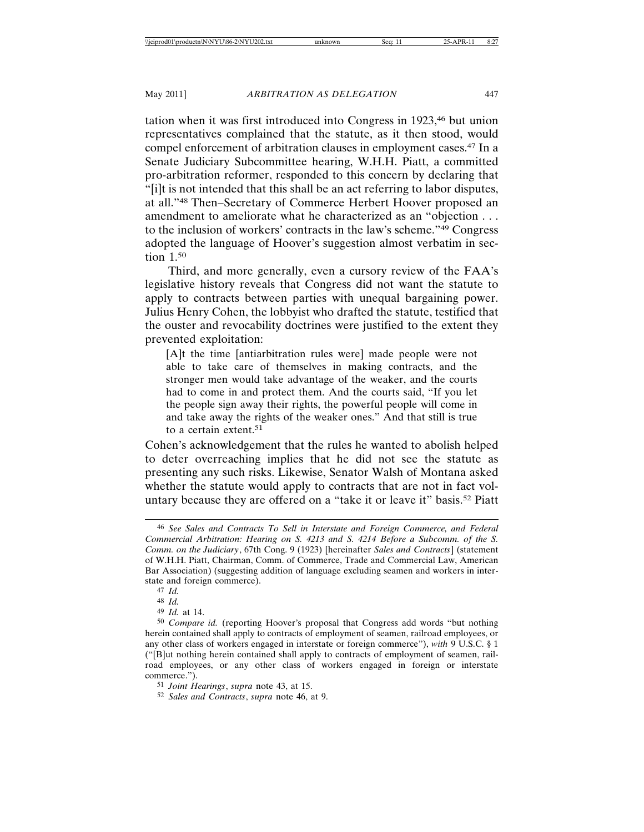tation when it was first introduced into Congress in 1923,<sup>46</sup> but union representatives complained that the statute, as it then stood, would compel enforcement of arbitration clauses in employment cases.47 In a Senate Judiciary Subcommittee hearing, W.H.H. Piatt, a committed pro-arbitration reformer, responded to this concern by declaring that "[i]t is not intended that this shall be an act referring to labor disputes, at all."48 Then–Secretary of Commerce Herbert Hoover proposed an amendment to ameliorate what he characterized as an "objection . . . to the inclusion of workers' contracts in the law's scheme."49 Congress adopted the language of Hoover's suggestion almost verbatim in section 1.50

Third, and more generally, even a cursory review of the FAA's legislative history reveals that Congress did not want the statute to apply to contracts between parties with unequal bargaining power. Julius Henry Cohen, the lobbyist who drafted the statute, testified that the ouster and revocability doctrines were justified to the extent they prevented exploitation:

[A]t the time [antiarbitration rules were] made people were not able to take care of themselves in making contracts, and the stronger men would take advantage of the weaker, and the courts had to come in and protect them. And the courts said, "If you let the people sign away their rights, the powerful people will come in and take away the rights of the weaker ones." And that still is true to a certain extent.51

Cohen's acknowledgement that the rules he wanted to abolish helped to deter overreaching implies that he did not see the statute as presenting any such risks. Likewise, Senator Walsh of Montana asked whether the statute would apply to contracts that are not in fact voluntary because they are offered on a "take it or leave it" basis.52 Piatt

<sup>46</sup> *See Sales and Contracts To Sell in Interstate and Foreign Commerce, and Federal Commercial Arbitration: Hearing on S. 4213 and S. 4214 Before a Subcomm. of the S. Comm. on the Judiciary*, 67th Cong. 9 (1923) [hereinafter *Sales and Contracts*] (statement of W.H.H. Piatt, Chairman, Comm. of Commerce, Trade and Commercial Law, American Bar Association) (suggesting addition of language excluding seamen and workers in interstate and foreign commerce).

<sup>47</sup> *Id.*

<sup>48</sup> *Id.*

<sup>49</sup> *Id.* at 14.

<sup>50</sup> *Compare id.* (reporting Hoover's proposal that Congress add words "but nothing herein contained shall apply to contracts of employment of seamen, railroad employees, or any other class of workers engaged in interstate or foreign commerce"), *with* 9 U.S.C. § 1 ("[B]ut nothing herein contained shall apply to contracts of employment of seamen, railroad employees, or any other class of workers engaged in foreign or interstate commerce.").

<sup>51</sup> *Joint Hearings*, *supra* note 43, at 15.

<sup>52</sup> *Sales and Contracts*, *supra* note 46, at 9.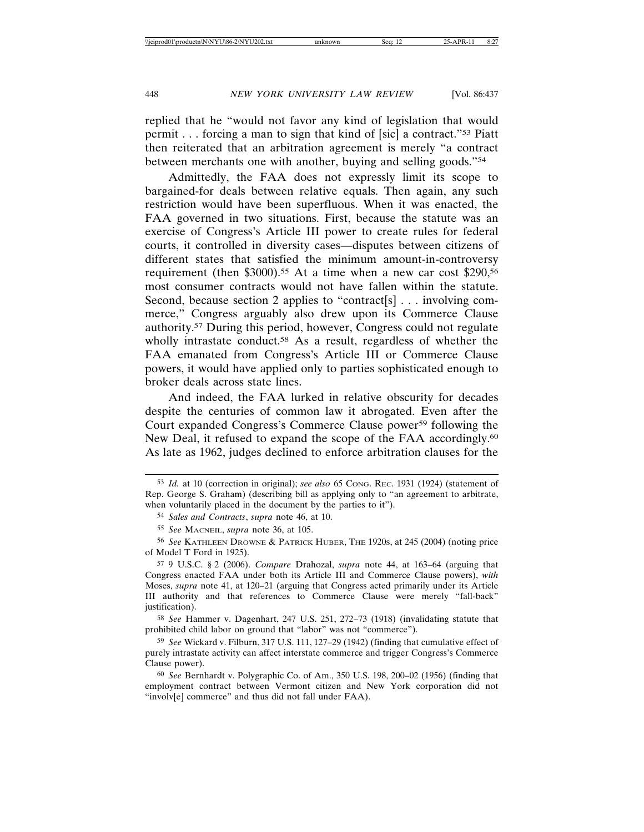replied that he "would not favor any kind of legislation that would permit . . . forcing a man to sign that kind of [sic] a contract."53 Piatt then reiterated that an arbitration agreement is merely "a contract between merchants one with another, buying and selling goods."54

Admittedly, the FAA does not expressly limit its scope to bargained-for deals between relative equals. Then again, any such restriction would have been superfluous. When it was enacted, the FAA governed in two situations. First, because the statute was an exercise of Congress's Article III power to create rules for federal courts, it controlled in diversity cases—disputes between citizens of different states that satisfied the minimum amount-in-controversy requirement (then \$3000).<sup>55</sup> At a time when a new car cost \$290,<sup>56</sup> most consumer contracts would not have fallen within the statute. Second, because section 2 applies to "contract[s] . . . involving commerce," Congress arguably also drew upon its Commerce Clause authority.57 During this period, however, Congress could not regulate wholly intrastate conduct.<sup>58</sup> As a result, regardless of whether the FAA emanated from Congress's Article III or Commerce Clause powers, it would have applied only to parties sophisticated enough to broker deals across state lines.

And indeed, the FAA lurked in relative obscurity for decades despite the centuries of common law it abrogated. Even after the Court expanded Congress's Commerce Clause power59 following the New Deal, it refused to expand the scope of the FAA accordingly.<sup>60</sup> As late as 1962, judges declined to enforce arbitration clauses for the

58 *See* Hammer v. Dagenhart, 247 U.S. 251, 272–73 (1918) (invalidating statute that prohibited child labor on ground that "labor" was not "commerce").

59 *See* Wickard v. Filburn, 317 U.S. 111, 127–29 (1942) (finding that cumulative effect of purely intrastate activity can affect interstate commerce and trigger Congress's Commerce Clause power).

<sup>53</sup> *Id.* at 10 (correction in original); *see also* 65 CONG. REC. 1931 (1924) (statement of Rep. George S. Graham) (describing bill as applying only to "an agreement to arbitrate, when voluntarily placed in the document by the parties to it").

<sup>54</sup> *Sales and Contracts*, *supra* note 46, at 10.

<sup>55</sup> *See* MACNEIL, *supra* note 36, at 105.

<sup>56</sup> *See* KATHLEEN DROWNE & PATRICK HUBER, THE 1920S, at 245 (2004) (noting price of Model T Ford in 1925).

<sup>57</sup> 9 U.S.C. § 2 (2006). *Compare* Drahozal, *supra* note 44, at 163–64 (arguing that Congress enacted FAA under both its Article III and Commerce Clause powers), *with* Moses, *supra* note 41, at 120–21 (arguing that Congress acted primarily under its Article III authority and that references to Commerce Clause were merely "fall-back" justification).

<sup>60</sup> *See* Bernhardt v. Polygraphic Co. of Am., 350 U.S. 198, 200–02 (1956) (finding that employment contract between Vermont citizen and New York corporation did not "involv[e] commerce" and thus did not fall under FAA).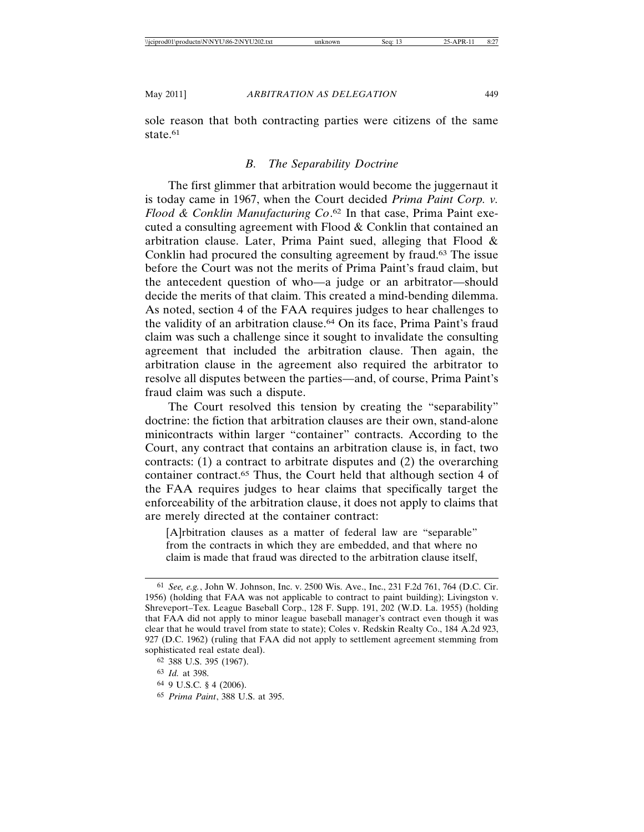sole reason that both contracting parties were citizens of the same state.<sup>61</sup>

## *B. The Separability Doctrine*

The first glimmer that arbitration would become the juggernaut it is today came in 1967, when the Court decided *Prima Paint Corp. v. Flood & Conklin Manufacturing Co*. <sup>62</sup> In that case, Prima Paint executed a consulting agreement with Flood & Conklin that contained an arbitration clause. Later, Prima Paint sued, alleging that Flood & Conklin had procured the consulting agreement by fraud.63 The issue before the Court was not the merits of Prima Paint's fraud claim, but the antecedent question of who—a judge or an arbitrator—should decide the merits of that claim. This created a mind-bending dilemma. As noted, section 4 of the FAA requires judges to hear challenges to the validity of an arbitration clause.64 On its face, Prima Paint's fraud claim was such a challenge since it sought to invalidate the consulting agreement that included the arbitration clause. Then again, the arbitration clause in the agreement also required the arbitrator to resolve all disputes between the parties—and, of course, Prima Paint's fraud claim was such a dispute.

The Court resolved this tension by creating the "separability" doctrine: the fiction that arbitration clauses are their own, stand-alone minicontracts within larger "container" contracts. According to the Court, any contract that contains an arbitration clause is, in fact, two contracts: (1) a contract to arbitrate disputes and (2) the overarching container contract.65 Thus, the Court held that although section 4 of the FAA requires judges to hear claims that specifically target the enforceability of the arbitration clause, it does not apply to claims that are merely directed at the container contract:

[A]rbitration clauses as a matter of federal law are "separable" from the contracts in which they are embedded, and that where no claim is made that fraud was directed to the arbitration clause itself,

<sup>61</sup> *See, e.g.*, John W. Johnson, Inc. v. 2500 Wis. Ave., Inc., 231 F.2d 761, 764 (D.C. Cir. 1956) (holding that FAA was not applicable to contract to paint building); Livingston v. Shreveport–Tex. League Baseball Corp., 128 F. Supp. 191, 202 (W.D. La. 1955) (holding that FAA did not apply to minor league baseball manager's contract even though it was clear that he would travel from state to state); Coles v. Redskin Realty Co., 184 A.2d 923, 927 (D.C. 1962) (ruling that FAA did not apply to settlement agreement stemming from sophisticated real estate deal).

<sup>62</sup> 388 U.S. 395 (1967).

<sup>63</sup> *Id.* at 398.

<sup>64</sup> 9 U.S.C. § 4 (2006).

<sup>65</sup> *Prima Paint*, 388 U.S. at 395.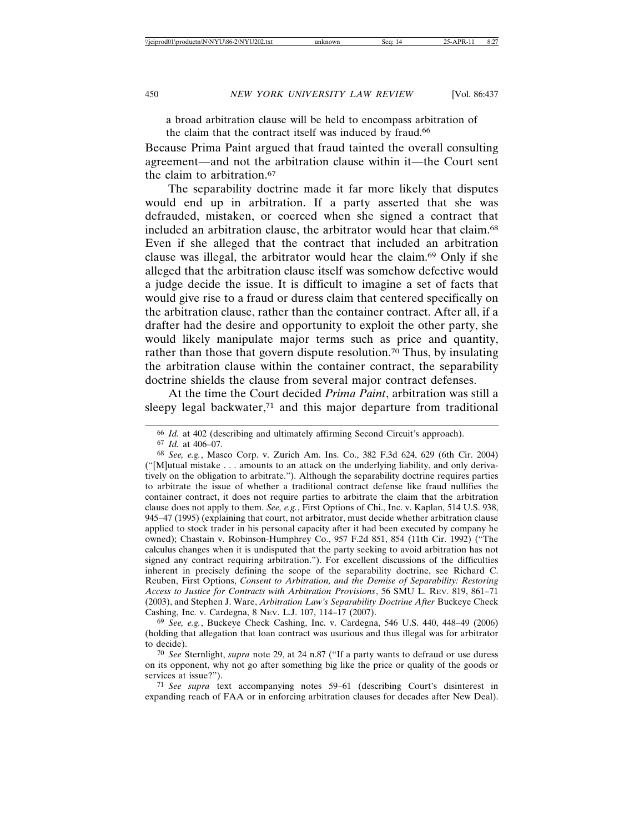a broad arbitration clause will be held to encompass arbitration of the claim that the contract itself was induced by fraud.<sup>66</sup>

Because Prima Paint argued that fraud tainted the overall consulting agreement—and not the arbitration clause within it—the Court sent the claim to arbitration.<sup>67</sup>

The separability doctrine made it far more likely that disputes would end up in arbitration. If a party asserted that she was defrauded, mistaken, or coerced when she signed a contract that included an arbitration clause, the arbitrator would hear that claim.<sup>68</sup> Even if she alleged that the contract that included an arbitration clause was illegal, the arbitrator would hear the claim.69 Only if she alleged that the arbitration clause itself was somehow defective would a judge decide the issue. It is difficult to imagine a set of facts that would give rise to a fraud or duress claim that centered specifically on the arbitration clause, rather than the container contract. After all, if a drafter had the desire and opportunity to exploit the other party, she would likely manipulate major terms such as price and quantity, rather than those that govern dispute resolution.70 Thus, by insulating the arbitration clause within the container contract, the separability doctrine shields the clause from several major contract defenses.

At the time the Court decided *Prima Paint*, arbitration was still a sleepy legal backwater,<sup>71</sup> and this major departure from traditional

69 *See, e.g.*, Buckeye Check Cashing, Inc. v. Cardegna, 546 U.S. 440, 448–49 (2006) (holding that allegation that loan contract was usurious and thus illegal was for arbitrator to decide).

<sup>66</sup> *Id.* at 402 (describing and ultimately affirming Second Circuit's approach).

<sup>67</sup> *Id.* at 406–07.

<sup>68</sup> *See, e.g.*, Masco Corp. v. Zurich Am. Ins. Co., 382 F.3d 624, 629 (6th Cir. 2004) ("[M]utual mistake . . . amounts to an attack on the underlying liability, and only derivatively on the obligation to arbitrate."). Although the separability doctrine requires parties to arbitrate the issue of whether a traditional contract defense like fraud nullifies the container contract, it does not require parties to arbitrate the claim that the arbitration clause does not apply to them. *See, e.g.*, First Options of Chi., Inc. v. Kaplan, 514 U.S. 938, 945–47 (1995) (explaining that court, not arbitrator, must decide whether arbitration clause applied to stock trader in his personal capacity after it had been executed by company he owned); Chastain v. Robinson-Humphrey Co., 957 F.2d 851, 854 (11th Cir. 1992) ("The calculus changes when it is undisputed that the party seeking to avoid arbitration has not signed any contract requiring arbitration."). For excellent discussions of the difficulties inherent in precisely defining the scope of the separability doctrine, see Richard C. Reuben, First Options, *Consent to Arbitration, and the Demise of Separability: Restoring Access to Justice for Contracts with Arbitration Provisions*, 56 SMU L. REV. 819, 861–71 (2003), and Stephen J. Ware, *Arbitration Law's Separability Doctrine After* Buckeye Check Cashing, Inc. v. Cardegna, 8 NEV. L.J. 107, 114–17 (2007).

<sup>70</sup> *See* Sternlight, *supra* note 29, at 24 n.87 ("If a party wants to defraud or use duress on its opponent, why not go after something big like the price or quality of the goods or services at issue?").

<sup>71</sup> *See supra* text accompanying notes 59–61 (describing Court's disinterest in expanding reach of FAA or in enforcing arbitration clauses for decades after New Deal).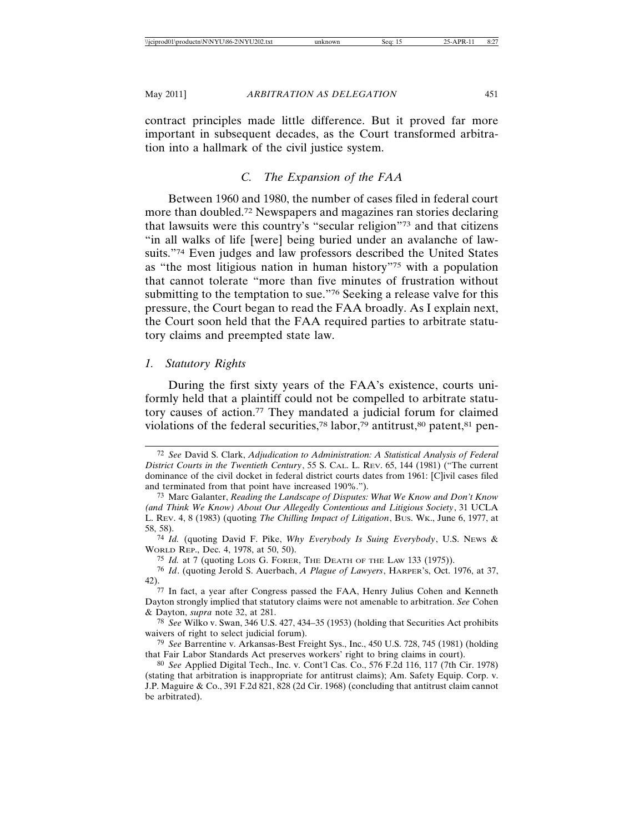contract principles made little difference. But it proved far more important in subsequent decades, as the Court transformed arbitration into a hallmark of the civil justice system.

# *C. The Expansion of the FAA*

Between 1960 and 1980, the number of cases filed in federal court more than doubled.72 Newspapers and magazines ran stories declaring that lawsuits were this country's "secular religion"73 and that citizens "in all walks of life [were] being buried under an avalanche of lawsuits."74 Even judges and law professors described the United States as "the most litigious nation in human history"75 with a population that cannot tolerate "more than five minutes of frustration without submitting to the temptation to sue."76 Seeking a release valve for this pressure, the Court began to read the FAA broadly. As I explain next, the Court soon held that the FAA required parties to arbitrate statutory claims and preempted state law.

## *1. Statutory Rights*

During the first sixty years of the FAA's existence, courts uniformly held that a plaintiff could not be compelled to arbitrate statutory causes of action.77 They mandated a judicial forum for claimed violations of the federal securities,<sup>78</sup> labor,<sup>79</sup> antitrust, $80$  patent, $81$  pen-

74 *Id.* (quoting David F. Pike, *Why Everybody Is Suing Everybody*, U.S. NEWS & WORLD REP., Dec. 4, 1978, at 50, 50).

75 *Id.* at 7 (quoting LOIS G. FORER, THE DEATH OF THE LAW 133 (1975)).

<sup>72</sup> *See* David S. Clark, *Adjudication to Administration: A Statistical Analysis of Federal District Courts in the Twentieth Century*, 55 S. CAL. L. REV. 65, 144 (1981) ("The current dominance of the civil docket in federal district courts dates from 1961: [C]ivil cases filed and terminated from that point have increased 190%.").

<sup>73</sup> Marc Galanter, *Reading the Landscape of Disputes: What We Know and Don't Know (and Think We Know) About Our Allegedly Contentious and Litigious Society*, 31 UCLA L. REV. 4, 8 (1983) (quoting *The Chilling Impact of Litigation*, BUS. WK., June 6, 1977, at 58, 58).

<sup>76</sup> *Id*. (quoting Jerold S. Auerbach, *A Plague of Lawyers*, HARPER'S, Oct. 1976, at 37, 42).

<sup>77</sup> In fact, a year after Congress passed the FAA, Henry Julius Cohen and Kenneth Dayton strongly implied that statutory claims were not amenable to arbitration. *See* Cohen & Dayton, *supra* note 32, at 281.

<sup>78</sup> *See* Wilko v. Swan, 346 U.S. 427, 434–35 (1953) (holding that Securities Act prohibits waivers of right to select judicial forum).

<sup>79</sup> *See* Barrentine v. Arkansas-Best Freight Sys., Inc., 450 U.S. 728, 745 (1981) (holding that Fair Labor Standards Act preserves workers' right to bring claims in court).

<sup>80</sup> *See* Applied Digital Tech., Inc. v. Cont'l Cas. Co., 576 F.2d 116, 117 (7th Cir. 1978) (stating that arbitration is inappropriate for antitrust claims); Am. Safety Equip. Corp. v. J.P. Maguire & Co., 391 F.2d 821, 828 (2d Cir. 1968) (concluding that antitrust claim cannot be arbitrated).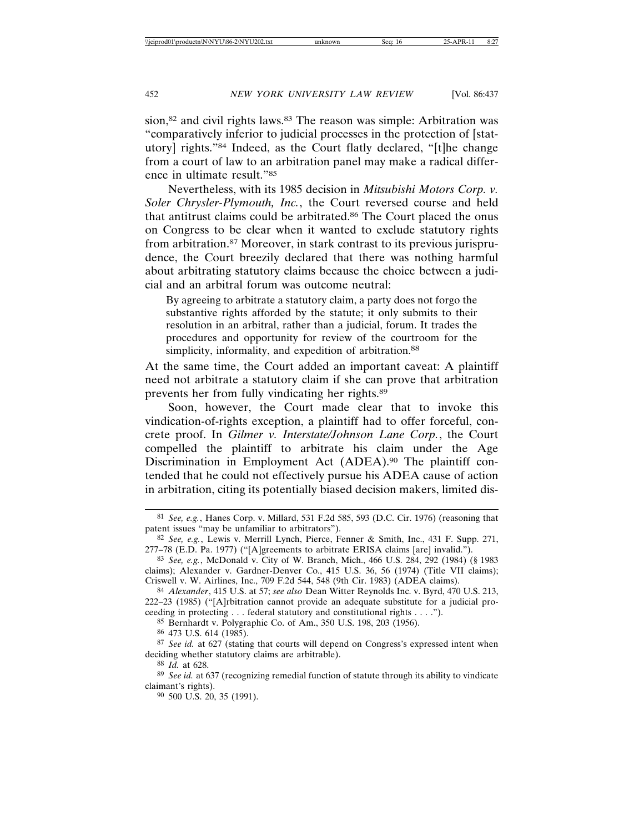sion,<sup>82</sup> and civil rights laws.<sup>83</sup> The reason was simple: Arbitration was "comparatively inferior to judicial processes in the protection of [statutory] rights."84 Indeed, as the Court flatly declared, "[t]he change from a court of law to an arbitration panel may make a radical difference in ultimate result."85

Nevertheless, with its 1985 decision in *Mitsubishi Motors Corp. v. Soler Chrysler-Plymouth, Inc.*, the Court reversed course and held that antitrust claims could be arbitrated.86 The Court placed the onus on Congress to be clear when it wanted to exclude statutory rights from arbitration.87 Moreover, in stark contrast to its previous jurisprudence, the Court breezily declared that there was nothing harmful about arbitrating statutory claims because the choice between a judicial and an arbitral forum was outcome neutral:

By agreeing to arbitrate a statutory claim, a party does not forgo the substantive rights afforded by the statute; it only submits to their resolution in an arbitral, rather than a judicial, forum. It trades the procedures and opportunity for review of the courtroom for the simplicity, informality, and expedition of arbitration.<sup>88</sup>

At the same time, the Court added an important caveat: A plaintiff need not arbitrate a statutory claim if she can prove that arbitration prevents her from fully vindicating her rights.89

Soon, however, the Court made clear that to invoke this vindication-of-rights exception, a plaintiff had to offer forceful, concrete proof. In *Gilmer v. Interstate/Johnson Lane Corp.*, the Court compelled the plaintiff to arbitrate his claim under the Age Discrimination in Employment Act (ADEA).90 The plaintiff contended that he could not effectively pursue his ADEA cause of action in arbitration, citing its potentially biased decision makers, limited dis-

85 Bernhardt v. Polygraphic Co. of Am., 350 U.S. 198, 203 (1956).

86 473 U.S. 614 (1985).

90 500 U.S. 20, 35 (1991).

<sup>81</sup> *See, e.g.*, Hanes Corp. v. Millard, 531 F.2d 585, 593 (D.C. Cir. 1976) (reasoning that patent issues "may be unfamiliar to arbitrators").

<sup>82</sup> *See, e.g.*, Lewis v. Merrill Lynch, Pierce, Fenner & Smith, Inc., 431 F. Supp. 271, 277–78 (E.D. Pa. 1977) ("[A]greements to arbitrate ERISA claims [are] invalid.").

<sup>83</sup> *See, e.g.*, McDonald v. City of W. Branch, Mich., 466 U.S. 284, 292 (1984) (§ 1983 claims); Alexander v. Gardner-Denver Co., 415 U.S. 36, 56 (1974) (Title VII claims); Criswell v. W. Airlines, Inc., 709 F.2d 544, 548 (9th Cir. 1983) (ADEA claims).

<sup>84</sup> *Alexander*, 415 U.S. at 57; *see also* Dean Witter Reynolds Inc. v. Byrd, 470 U.S. 213, 222–23 (1985) ("[A]rbitration cannot provide an adequate substitute for a judicial proceeding in protecting . . . federal statutory and constitutional rights . . . .").

<sup>87</sup> *See id.* at 627 (stating that courts will depend on Congress's expressed intent when deciding whether statutory claims are arbitrable).

<sup>88</sup> *Id.* at 628.

<sup>89</sup> *See id.* at 637 (recognizing remedial function of statute through its ability to vindicate claimant's rights).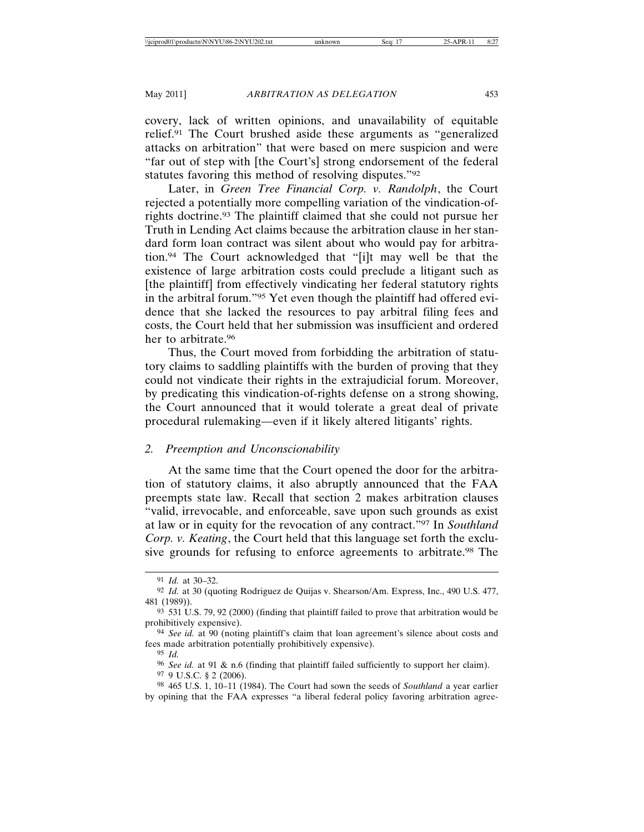covery, lack of written opinions, and unavailability of equitable relief.91 The Court brushed aside these arguments as "generalized attacks on arbitration" that were based on mere suspicion and were "far out of step with [the Court's] strong endorsement of the federal statutes favoring this method of resolving disputes."92

Later, in *Green Tree Financial Corp. v. Randolph*, the Court rejected a potentially more compelling variation of the vindication-ofrights doctrine.93 The plaintiff claimed that she could not pursue her Truth in Lending Act claims because the arbitration clause in her standard form loan contract was silent about who would pay for arbitration.94 The Court acknowledged that "[i]t may well be that the existence of large arbitration costs could preclude a litigant such as [the plaintiff] from effectively vindicating her federal statutory rights in the arbitral forum."95 Yet even though the plaintiff had offered evidence that she lacked the resources to pay arbitral filing fees and costs, the Court held that her submission was insufficient and ordered her to arbitrate.96

Thus, the Court moved from forbidding the arbitration of statutory claims to saddling plaintiffs with the burden of proving that they could not vindicate their rights in the extrajudicial forum. Moreover, by predicating this vindication-of-rights defense on a strong showing, the Court announced that it would tolerate a great deal of private procedural rulemaking—even if it likely altered litigants' rights.

## *2. Preemption and Unconscionability*

At the same time that the Court opened the door for the arbitration of statutory claims, it also abruptly announced that the FAA preempts state law. Recall that section 2 makes arbitration clauses "valid, irrevocable, and enforceable, save upon such grounds as exist at law or in equity for the revocation of any contract."97 In *Southland Corp. v. Keating*, the Court held that this language set forth the exclusive grounds for refusing to enforce agreements to arbitrate.98 The

96 *See id.* at 91 & n.6 (finding that plaintiff failed sufficiently to support her claim). 97 9 U.S.C. § 2 (2006).

<sup>91</sup> *Id.* at 30–32.

<sup>92</sup> *Id.* at 30 (quoting Rodriguez de Quijas v. Shearson/Am. Express, Inc., 490 U.S. 477, 481 (1989)).

<sup>93</sup> 531 U.S. 79, 92 (2000) (finding that plaintiff failed to prove that arbitration would be prohibitively expensive).

<sup>94</sup> *See id.* at 90 (noting plaintiff's claim that loan agreement's silence about costs and fees made arbitration potentially prohibitively expensive).

<sup>95</sup> *Id.*

<sup>98</sup> 465 U.S. 1, 10–11 (1984). The Court had sown the seeds of *Southland* a year earlier by opining that the FAA expresses "a liberal federal policy favoring arbitration agree-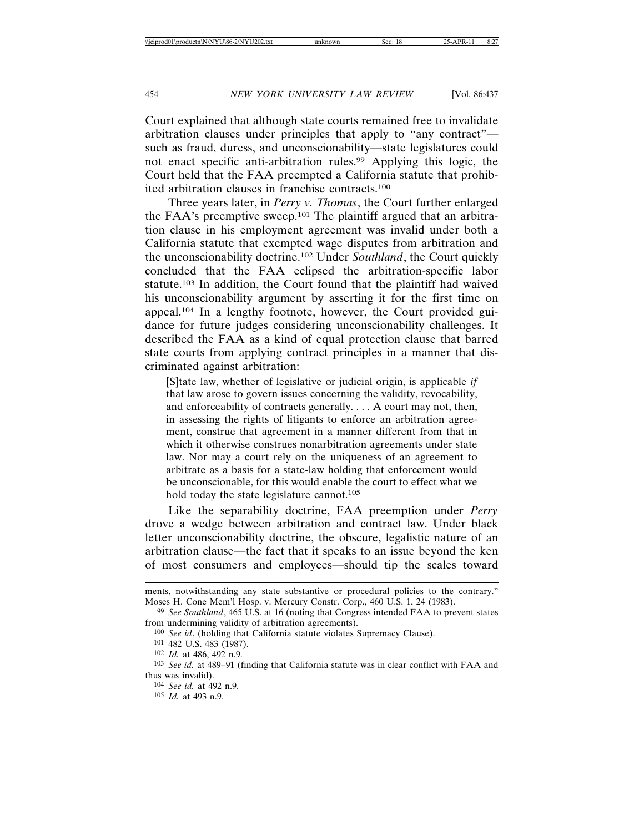Court explained that although state courts remained free to invalidate arbitration clauses under principles that apply to "any contract" such as fraud, duress, and unconscionability—state legislatures could not enact specific anti-arbitration rules.99 Applying this logic, the Court held that the FAA preempted a California statute that prohibited arbitration clauses in franchise contracts.100

Three years later, in *Perry v. Thomas*, the Court further enlarged the FAA's preemptive sweep.101 The plaintiff argued that an arbitration clause in his employment agreement was invalid under both a California statute that exempted wage disputes from arbitration and the unconscionability doctrine.102 Under *Southland*, the Court quickly concluded that the FAA eclipsed the arbitration-specific labor statute.103 In addition, the Court found that the plaintiff had waived his unconscionability argument by asserting it for the first time on appeal.104 In a lengthy footnote, however, the Court provided guidance for future judges considering unconscionability challenges. It described the FAA as a kind of equal protection clause that barred state courts from applying contract principles in a manner that discriminated against arbitration:

[S]tate law, whether of legislative or judicial origin, is applicable *if* that law arose to govern issues concerning the validity, revocability, and enforceability of contracts generally. . . . A court may not, then, in assessing the rights of litigants to enforce an arbitration agreement, construe that agreement in a manner different from that in which it otherwise construes nonarbitration agreements under state law. Nor may a court rely on the uniqueness of an agreement to arbitrate as a basis for a state-law holding that enforcement would be unconscionable, for this would enable the court to effect what we hold today the state legislature cannot.<sup>105</sup>

Like the separability doctrine, FAA preemption under *Perry* drove a wedge between arbitration and contract law. Under black letter unconscionability doctrine, the obscure, legalistic nature of an arbitration clause—the fact that it speaks to an issue beyond the ken of most consumers and employees—should tip the scales toward

ments, notwithstanding any state substantive or procedural policies to the contrary." Moses H. Cone Mem'l Hosp. v. Mercury Constr. Corp., 460 U.S. 1, 24 (1983).

<sup>99</sup> *See Southland*, 465 U.S. at 16 (noting that Congress intended FAA to prevent states from undermining validity of arbitration agreements).

<sup>100</sup> *See id*. (holding that California statute violates Supremacy Clause).

<sup>101</sup> 482 U.S. 483 (1987).

<sup>102</sup> *Id.* at 486, 492 n.9.

<sup>103</sup> *See id.* at 489–91 (finding that California statute was in clear conflict with FAA and thus was invalid).

<sup>104</sup> *See id.* at 492 n.9.

<sup>105</sup> *Id.* at 493 n.9.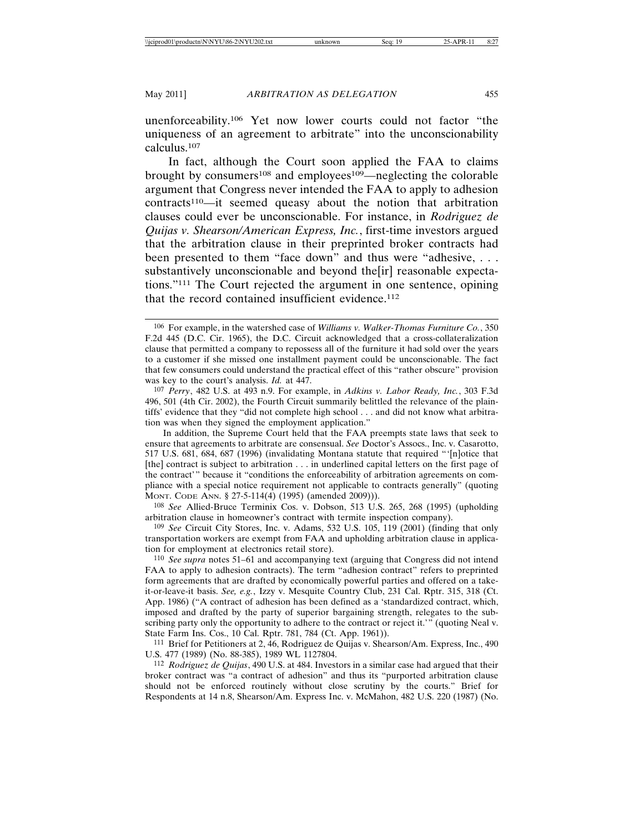unenforceability.106 Yet now lower courts could not factor "the uniqueness of an agreement to arbitrate" into the unconscionability calculus.107

In fact, although the Court soon applied the FAA to claims brought by consumers<sup>108</sup> and employees<sup>109</sup>—neglecting the colorable argument that Congress never intended the FAA to apply to adhesion contracts110—it seemed queasy about the notion that arbitration clauses could ever be unconscionable. For instance, in *Rodriguez de Quijas v. Shearson/American Express, Inc.*, first-time investors argued that the arbitration clause in their preprinted broker contracts had been presented to them "face down" and thus were "adhesive, . . . substantively unconscionable and beyond the[ir] reasonable expectations."111 The Court rejected the argument in one sentence, opining that the record contained insufficient evidence.<sup>112</sup>

In addition, the Supreme Court held that the FAA preempts state laws that seek to ensure that agreements to arbitrate are consensual. *See* Doctor's Assocs., Inc. v. Casarotto, 517 U.S. 681, 684, 687 (1996) (invalidating Montana statute that required "'[n]otice that [the] contract is subject to arbitration . . . in underlined capital letters on the first page of the contract'" because it "conditions the enforceability of arbitration agreements on compliance with a special notice requirement not applicable to contracts generally" (quoting MONT. CODE ANN. § 27-5-114(4) (1995) (amended 2009))).

108 *See* Allied-Bruce Terminix Cos. v. Dobson, 513 U.S. 265, 268 (1995) (upholding arbitration clause in homeowner's contract with termite inspection company).

109 *See* Circuit City Stores, Inc. v. Adams, 532 U.S. 105, 119 (2001) (finding that only transportation workers are exempt from FAA and upholding arbitration clause in application for employment at electronics retail store).

110 *See supra* notes 51–61 and accompanying text (arguing that Congress did not intend FAA to apply to adhesion contracts). The term "adhesion contract" refers to preprinted form agreements that are drafted by economically powerful parties and offered on a takeit-or-leave-it basis. *See, e.g.*, Izzy v. Mesquite Country Club, 231 Cal. Rptr. 315, 318 (Ct. App. 1986) ("A contract of adhesion has been defined as a 'standardized contract, which, imposed and drafted by the party of superior bargaining strength, relegates to the subscribing party only the opportunity to adhere to the contract or reject it.'" (quoting Neal v. State Farm Ins. Cos., 10 Cal. Rptr. 781, 784 (Ct. App. 1961)).

111 Brief for Petitioners at 2, 46, Rodriguez de Quijas v. Shearson/Am. Express, Inc., 490 U.S. 477 (1989) (No. 88-385), 1989 WL 1127804.

112 *Rodriguez de Quijas*, 490 U.S. at 484. Investors in a similar case had argued that their broker contract was "a contract of adhesion" and thus its "purported arbitration clause should not be enforced routinely without close scrutiny by the courts." Brief for Respondents at 14 n.8, Shearson/Am. Express Inc. v. McMahon, 482 U.S. 220 (1987) (No.

<sup>106</sup> For example, in the watershed case of *Williams v. Walker-Thomas Furniture Co.*, 350 F.2d 445 (D.C. Cir. 1965), the D.C. Circuit acknowledged that a cross-collateralization clause that permitted a company to repossess all of the furniture it had sold over the years to a customer if she missed one installment payment could be unconscionable. The fact that few consumers could understand the practical effect of this "rather obscure" provision was key to the court's analysis. *Id.* at 447.

<sup>107</sup> *Perry*, 482 U.S. at 493 n.9. For example, in *Adkins v. Labor Ready, Inc.*, 303 F.3d 496, 501 (4th Cir. 2002), the Fourth Circuit summarily belittled the relevance of the plaintiffs' evidence that they "did not complete high school . . . and did not know what arbitration was when they signed the employment application."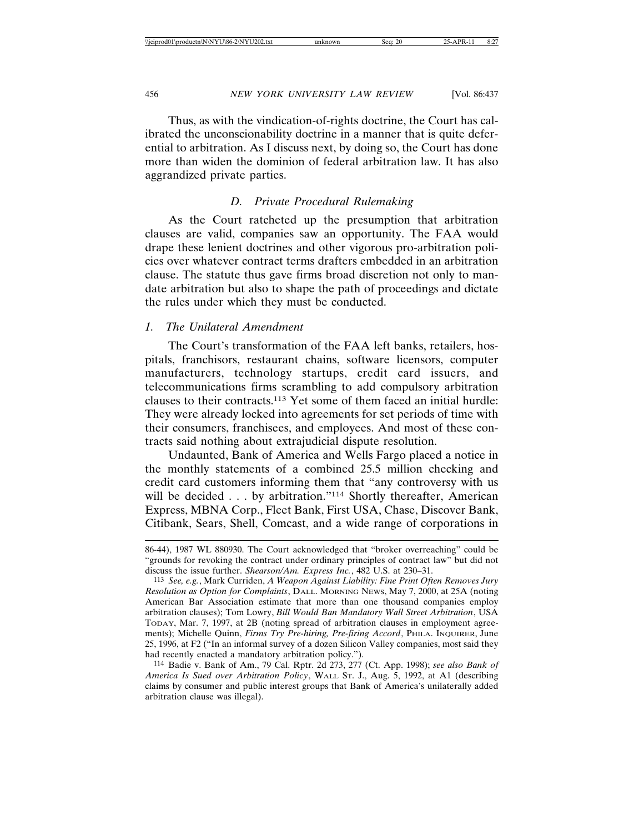Thus, as with the vindication-of-rights doctrine, the Court has calibrated the unconscionability doctrine in a manner that is quite deferential to arbitration. As I discuss next, by doing so, the Court has done more than widen the dominion of federal arbitration law. It has also aggrandized private parties.

# *D. Private Procedural Rulemaking*

As the Court ratcheted up the presumption that arbitration clauses are valid, companies saw an opportunity. The FAA would drape these lenient doctrines and other vigorous pro-arbitration policies over whatever contract terms drafters embedded in an arbitration clause. The statute thus gave firms broad discretion not only to mandate arbitration but also to shape the path of proceedings and dictate the rules under which they must be conducted.

# *1. The Unilateral Amendment*

The Court's transformation of the FAA left banks, retailers, hospitals, franchisors, restaurant chains, software licensors, computer manufacturers, technology startups, credit card issuers, and telecommunications firms scrambling to add compulsory arbitration clauses to their contracts.113 Yet some of them faced an initial hurdle: They were already locked into agreements for set periods of time with their consumers, franchisees, and employees. And most of these contracts said nothing about extrajudicial dispute resolution.

Undaunted, Bank of America and Wells Fargo placed a notice in the monthly statements of a combined 25.5 million checking and credit card customers informing them that "any controversy with us will be decided . . . by arbitration."<sup>114</sup> Shortly thereafter, American Express, MBNA Corp., Fleet Bank, First USA, Chase, Discover Bank, Citibank, Sears, Shell, Comcast, and a wide range of corporations in

114 Badie v. Bank of Am., 79 Cal. Rptr. 2d 273, 277 (Ct. App. 1998); *see also Bank of America Is Sued over Arbitration Policy*, WALL ST. J., Aug. 5, 1992, at A1 (describing claims by consumer and public interest groups that Bank of America's unilaterally added arbitration clause was illegal).

<sup>86-44), 1987</sup> WL 880930. The Court acknowledged that "broker overreaching" could be "grounds for revoking the contract under ordinary principles of contract law" but did not discuss the issue further. *Shearson/Am. Express Inc.*, 482 U.S. at 230–31.

<sup>113</sup> *See, e.g.*, Mark Curriden, *A Weapon Against Liability: Fine Print Often Removes Jury Resolution as Option for Complaints*, DALL. MORNING NEWS, May 7, 2000, at 25A (noting American Bar Association estimate that more than one thousand companies employ arbitration clauses); Tom Lowry, *Bill Would Ban Mandatory Wall Street Arbitration*, USA TODAY, Mar. 7, 1997, at 2B (noting spread of arbitration clauses in employment agreements); Michelle Quinn, *Firms Try Pre-hiring, Pre-firing Accord*, PHILA. INQUIRER, June 25, 1996, at F2 ("In an informal survey of a dozen Silicon Valley companies, most said they had recently enacted a mandatory arbitration policy.").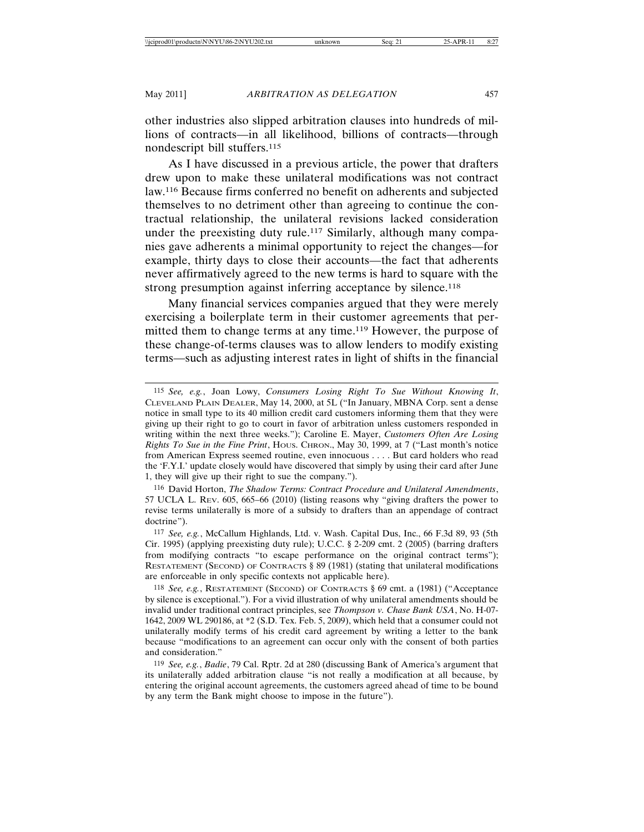other industries also slipped arbitration clauses into hundreds of millions of contracts—in all likelihood, billions of contracts—through nondescript bill stuffers.115

As I have discussed in a previous article, the power that drafters drew upon to make these unilateral modifications was not contract law.116 Because firms conferred no benefit on adherents and subjected themselves to no detriment other than agreeing to continue the contractual relationship, the unilateral revisions lacked consideration under the preexisting duty rule.<sup>117</sup> Similarly, although many companies gave adherents a minimal opportunity to reject the changes—for example, thirty days to close their accounts—the fact that adherents never affirmatively agreed to the new terms is hard to square with the strong presumption against inferring acceptance by silence.<sup>118</sup>

Many financial services companies argued that they were merely exercising a boilerplate term in their customer agreements that permitted them to change terms at any time.119 However, the purpose of these change-of-terms clauses was to allow lenders to modify existing terms—such as adjusting interest rates in light of shifts in the financial

116 David Horton, *The Shadow Terms: Contract Procedure and Unilateral Amendments*, 57 UCLA L. REV. 605, 665–66 (2010) (listing reasons why "giving drafters the power to revise terms unilaterally is more of a subsidy to drafters than an appendage of contract doctrine").

<sup>115</sup> *See, e.g.*, Joan Lowy, *Consumers Losing Right To Sue Without Knowing It*, CLEVELAND PLAIN DEALER, May 14, 2000, at 5L ("In January, MBNA Corp. sent a dense notice in small type to its 40 million credit card customers informing them that they were giving up their right to go to court in favor of arbitration unless customers responded in writing within the next three weeks."); Caroline E. Mayer, *Customers Often Are Losing Rights To Sue in the Fine Print*, HOUS. CHRON., May 30, 1999, at 7 ("Last month's notice from American Express seemed routine, even innocuous . . . . But card holders who read the 'F.Y.I.' update closely would have discovered that simply by using their card after June 1, they will give up their right to sue the company.").

<sup>117</sup> *See, e.g.*, McCallum Highlands, Ltd. v. Wash. Capital Dus, Inc., 66 F.3d 89, 93 (5th Cir. 1995) (applying preexisting duty rule); U.C.C. § 2-209 cmt. 2 (2005) (barring drafters from modifying contracts "to escape performance on the original contract terms"); RESTATEMENT (SECOND) OF CONTRACTS § 89 (1981) (stating that unilateral modifications are enforceable in only specific contexts not applicable here).

<sup>118</sup> *See, e.g.*, RESTATEMENT (SECOND) OF CONTRACTS § 69 cmt. a (1981) ("Acceptance by silence is exceptional."). For a vivid illustration of why unilateral amendments should be invalid under traditional contract principles, see *Thompson v. Chase Bank USA*, No. H-07- 1642, 2009 WL 290186, at \*2 (S.D. Tex. Feb. 5, 2009), which held that a consumer could not unilaterally modify terms of his credit card agreement by writing a letter to the bank because "modifications to an agreement can occur only with the consent of both parties and consideration."

<sup>119</sup> *See, e.g.*, *Badie*, 79 Cal. Rptr. 2d at 280 (discussing Bank of America's argument that its unilaterally added arbitration clause "is not really a modification at all because, by entering the original account agreements, the customers agreed ahead of time to be bound by any term the Bank might choose to impose in the future").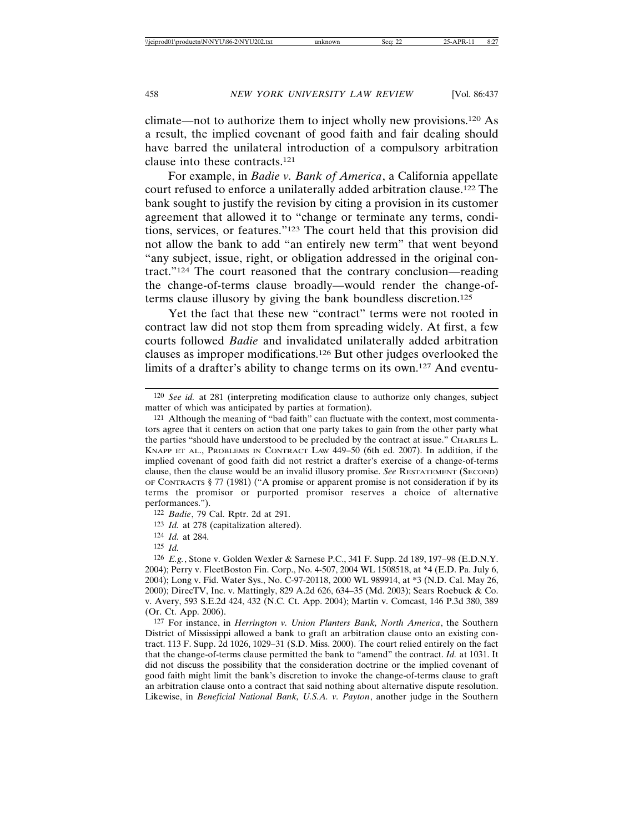climate—not to authorize them to inject wholly new provisions.120 As a result, the implied covenant of good faith and fair dealing should have barred the unilateral introduction of a compulsory arbitration clause into these contracts.121

For example, in *Badie v. Bank of America*, a California appellate court refused to enforce a unilaterally added arbitration clause.122 The bank sought to justify the revision by citing a provision in its customer agreement that allowed it to "change or terminate any terms, conditions, services, or features."123 The court held that this provision did not allow the bank to add "an entirely new term" that went beyond "any subject, issue, right, or obligation addressed in the original contract."124 The court reasoned that the contrary conclusion—reading the change-of-terms clause broadly—would render the change-ofterms clause illusory by giving the bank boundless discretion.125

Yet the fact that these new "contract" terms were not rooted in contract law did not stop them from spreading widely. At first, a few courts followed *Badie* and invalidated unilaterally added arbitration clauses as improper modifications.126 But other judges overlooked the limits of a drafter's ability to change terms on its own.127 And eventu-

123 *Id.* at 278 (capitalization altered).

<sup>120</sup> *See id.* at 281 (interpreting modification clause to authorize only changes, subject matter of which was anticipated by parties at formation).

<sup>121</sup> Although the meaning of "bad faith" can fluctuate with the context, most commentators agree that it centers on action that one party takes to gain from the other party what the parties "should have understood to be precluded by the contract at issue." CHARLES L. KNAPP ET AL., PROBLEMS IN CONTRACT LAW 449–50 (6th ed. 2007). In addition, if the implied covenant of good faith did not restrict a drafter's exercise of a change-of-terms clause, then the clause would be an invalid illusory promise. *See* RESTATEMENT (SECOND) OF CONTRACTS § 77 (1981) ("A promise or apparent promise is not consideration if by its terms the promisor or purported promisor reserves a choice of alternative performances.").

<sup>122</sup> *Badie*, 79 Cal. Rptr. 2d at 291.

<sup>124</sup> *Id.* at 284.

<sup>125</sup> *Id.*

<sup>126</sup> *E.g.*, Stone v. Golden Wexler & Sarnese P.C., 341 F. Supp. 2d 189, 197–98 (E.D.N.Y. 2004); Perry v. FleetBoston Fin. Corp., No. 4-507, 2004 WL 1508518, at \*4 (E.D. Pa. July 6, 2004); Long v. Fid. Water Sys., No. C-97-20118, 2000 WL 989914, at \*3 (N.D. Cal. May 26, 2000); DirecTV, Inc. v. Mattingly, 829 A.2d 626, 634–35 (Md. 2003); Sears Roebuck & Co. v. Avery, 593 S.E.2d 424, 432 (N.C. Ct. App. 2004); Martin v. Comcast, 146 P.3d 380, 389 (Or. Ct. App. 2006).

<sup>127</sup> For instance, in *Herrington v. Union Planters Bank, North America*, the Southern District of Mississippi allowed a bank to graft an arbitration clause onto an existing contract. 113 F. Supp. 2d 1026, 1029–31 (S.D. Miss. 2000). The court relied entirely on the fact that the change-of-terms clause permitted the bank to "amend" the contract. *Id.* at 1031. It did not discuss the possibility that the consideration doctrine or the implied covenant of good faith might limit the bank's discretion to invoke the change-of-terms clause to graft an arbitration clause onto a contract that said nothing about alternative dispute resolution. Likewise, in *Beneficial National Bank, U.S.A. v. Payton*, another judge in the Southern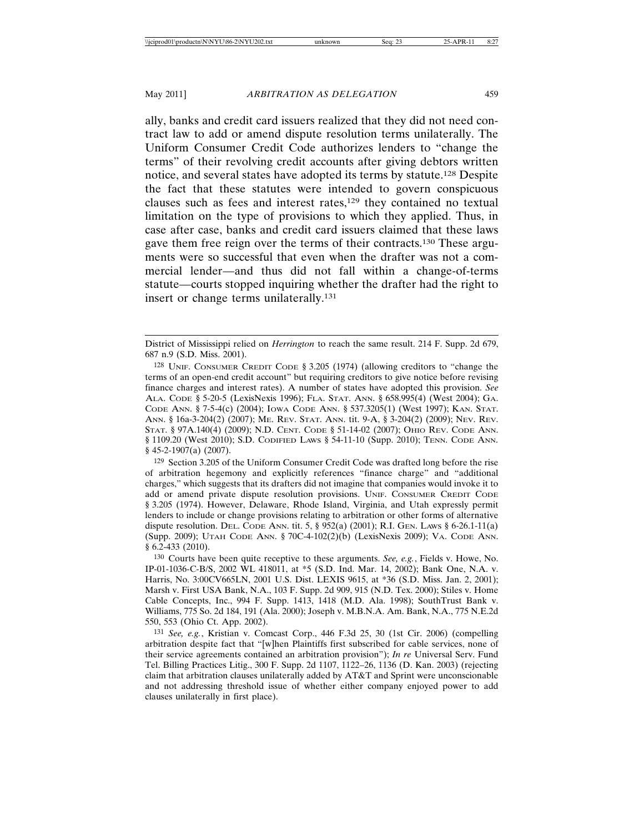ally, banks and credit card issuers realized that they did not need contract law to add or amend dispute resolution terms unilaterally. The Uniform Consumer Credit Code authorizes lenders to "change the terms" of their revolving credit accounts after giving debtors written notice, and several states have adopted its terms by statute.128 Despite the fact that these statutes were intended to govern conspicuous clauses such as fees and interest rates,<sup>129</sup> they contained no textual limitation on the type of provisions to which they applied. Thus, in case after case, banks and credit card issuers claimed that these laws gave them free reign over the terms of their contracts.130 These arguments were so successful that even when the drafter was not a commercial lender—and thus did not fall within a change-of-terms statute—courts stopped inquiring whether the drafter had the right to insert or change terms unilaterally.131

District of Mississippi relied on *Herrington* to reach the same result. 214 F. Supp. 2d 679, 687 n.9 (S.D. Miss. 2001).

<sup>128</sup> UNIF. CONSUMER CREDIT CODE § 3.205 (1974) (allowing creditors to "change the terms of an open-end credit account" but requiring creditors to give notice before revising finance charges and interest rates). A number of states have adopted this provision. *See* ALA. CODE § 5-20-5 (LexisNexis 1996); FLA. STAT. ANN. § 658.995(4) (West 2004); GA. CODE ANN. § 7-5-4(c) (2004); IOWA CODE ANN. § 537.3205(1) (West 1997); KAN. STAT. ANN. § 16a-3-204(2) (2007); ME. REV. STAT. ANN. tit. 9-A, § 3-204(2) (2009); NEV. REV. STAT. § 97A.140(4) (2009); N.D. CENT. CODE § 51-14-02 (2007); OHIO REV. CODE ANN. § 1109.20 (West 2010); S.D. CODIFIED LAWS § 54-11-10 (Supp. 2010); TENN. CODE ANN. § 45-2-1907(a) (2007).

<sup>129</sup> Section 3.205 of the Uniform Consumer Credit Code was drafted long before the rise of arbitration hegemony and explicitly references "finance charge" and "additional charges," which suggests that its drafters did not imagine that companies would invoke it to add or amend private dispute resolution provisions. UNIF. CONSUMER CREDIT CODE § 3.205 (1974). However, Delaware, Rhode Island, Virginia, and Utah expressly permit lenders to include or change provisions relating to arbitration or other forms of alternative dispute resolution. DEL. CODE ANN. tit. 5, § 952(a) (2001); R.I. GEN. LAWS § 6-26.1-11(a) (Supp. 2009); UTAH CODE ANN. § 70C-4-102(2)(b) (LexisNexis 2009); VA. CODE ANN. § 6.2-433 (2010).

<sup>130</sup> Courts have been quite receptive to these arguments. *See, e.g.*, Fields v. Howe, No. IP-01-1036-C-B/S, 2002 WL 418011, at \*5 (S.D. Ind. Mar. 14, 2002); Bank One, N.A. v. Harris, No. 3:00CV665LN, 2001 U.S. Dist. LEXIS 9615, at \*36 (S.D. Miss. Jan. 2, 2001); Marsh v. First USA Bank, N.A., 103 F. Supp. 2d 909, 915 (N.D. Tex. 2000); Stiles v. Home Cable Concepts, Inc., 994 F. Supp. 1413, 1418 (M.D. Ala. 1998); SouthTrust Bank v. Williams, 775 So. 2d 184, 191 (Ala. 2000); Joseph v. M.B.N.A. Am. Bank, N.A., 775 N.E.2d 550, 553 (Ohio Ct. App. 2002).

<sup>131</sup> *See, e.g.*, Kristian v. Comcast Corp., 446 F.3d 25, 30 (1st Cir. 2006) (compelling arbitration despite fact that "[w]hen Plaintiffs first subscribed for cable services, none of their service agreements contained an arbitration provision"); *In re* Universal Serv. Fund Tel. Billing Practices Litig., 300 F. Supp. 2d 1107, 1122–26, 1136 (D. Kan. 2003) (rejecting claim that arbitration clauses unilaterally added by AT&T and Sprint were unconscionable and not addressing threshold issue of whether either company enjoyed power to add clauses unilaterally in first place).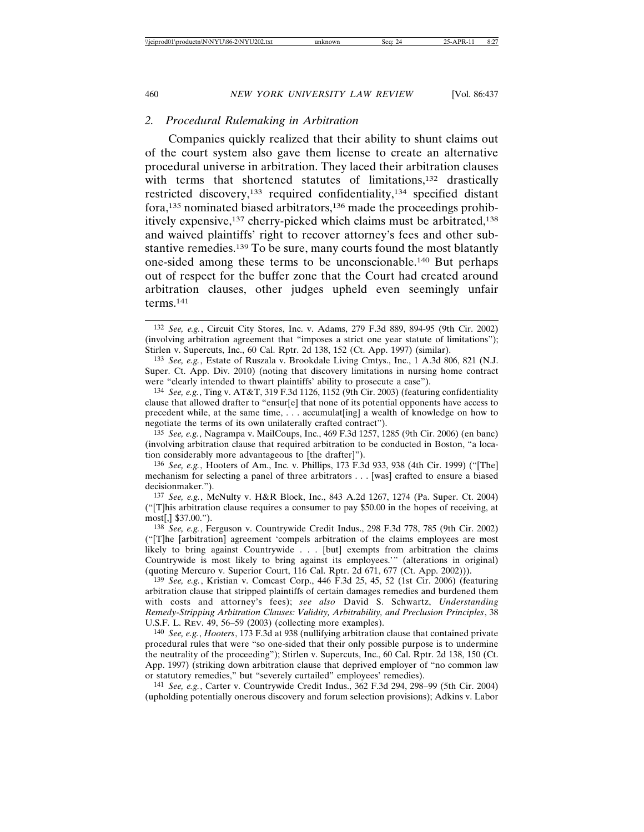## *2. Procedural Rulemaking in Arbitration*

Companies quickly realized that their ability to shunt claims out of the court system also gave them license to create an alternative procedural universe in arbitration. They laced their arbitration clauses with terms that shortened statutes of limitations,<sup>132</sup> drastically restricted discovery,133 required confidentiality,134 specified distant fora,135 nominated biased arbitrators,136 made the proceedings prohibitively expensive,137 cherry-picked which claims must be arbitrated,138 and waived plaintiffs' right to recover attorney's fees and other substantive remedies.139 To be sure, many courts found the most blatantly one-sided among these terms to be unconscionable.140 But perhaps out of respect for the buffer zone that the Court had created around arbitration clauses, other judges upheld even seemingly unfair terms.141

135 *See, e.g.*, Nagrampa v. MailCoups, Inc., 469 F.3d 1257, 1285 (9th Cir. 2006) (en banc) (involving arbitration clause that required arbitration to be conducted in Boston, "a location considerably more advantageous to [the drafter]").

136 *See, e.g.*, Hooters of Am., Inc. v. Phillips, 173 F.3d 933, 938 (4th Cir. 1999) ("[The] mechanism for selecting a panel of three arbitrators . . . [was] crafted to ensure a biased decisionmaker.").

137 *See, e.g.*, McNulty v. H&R Block, Inc., 843 A.2d 1267, 1274 (Pa. Super. Ct. 2004) ("[T]his arbitration clause requires a consumer to pay \$50.00 in the hopes of receiving, at most[,] \$37.00.").

138 *See, e.g.*, Ferguson v. Countrywide Credit Indus., 298 F.3d 778, 785 (9th Cir. 2002) ("[T]he [arbitration] agreement 'compels arbitration of the claims employees are most likely to bring against Countrywide . . . [but] exempts from arbitration the claims Countrywide is most likely to bring against its employees.'" (alterations in original) (quoting Mercuro v. Superior Court, 116 Cal. Rptr. 2d 671, 677 (Ct. App. 2002))).

139 *See, e.g.*, Kristian v. Comcast Corp., 446 F.3d 25, 45, 52 (1st Cir. 2006) (featuring arbitration clause that stripped plaintiffs of certain damages remedies and burdened them with costs and attorney's fees); *see also* David S. Schwartz, *Understanding Remedy-Stripping Arbitration Clauses: Validity, Arbitrability, and Preclusion Principles*, 38 U.S.F. L. REV. 49, 56–59 (2003) (collecting more examples).

140 *See, e.g.*, *Hooters*, 173 F.3d at 938 (nullifying arbitration clause that contained private procedural rules that were "so one-sided that their only possible purpose is to undermine the neutrality of the proceeding"); Stirlen v. Supercuts, Inc., 60 Cal. Rptr. 2d 138, 150 (Ct. App. 1997) (striking down arbitration clause that deprived employer of "no common law or statutory remedies," but "severely curtailed" employees' remedies).

141 *See, e.g.*, Carter v. Countrywide Credit Indus., 362 F.3d 294, 298–99 (5th Cir. 2004) (upholding potentially onerous discovery and forum selection provisions); Adkins v. Labor

<sup>132</sup> *See, e.g.*, Circuit City Stores, Inc. v. Adams, 279 F.3d 889, 894-95 (9th Cir. 2002) (involving arbitration agreement that "imposes a strict one year statute of limitations"); Stirlen v. Supercuts, Inc., 60 Cal. Rptr. 2d 138, 152 (Ct. App. 1997) (similar).

<sup>133</sup> *See, e.g.*, Estate of Ruszala v. Brookdale Living Cmtys., Inc., 1 A.3d 806, 821 (N.J. Super. Ct. App. Div. 2010) (noting that discovery limitations in nursing home contract were "clearly intended to thwart plaintiffs' ability to prosecute a case").

<sup>134</sup> *See, e.g.*, Ting v. AT&T, 319 F.3d 1126, 1152 (9th Cir. 2003) (featuring confidentiality clause that allowed drafter to "ensur[e] that none of its potential opponents have access to precedent while, at the same time, . . . accumulat[ing] a wealth of knowledge on how to negotiate the terms of its own unilaterally crafted contract").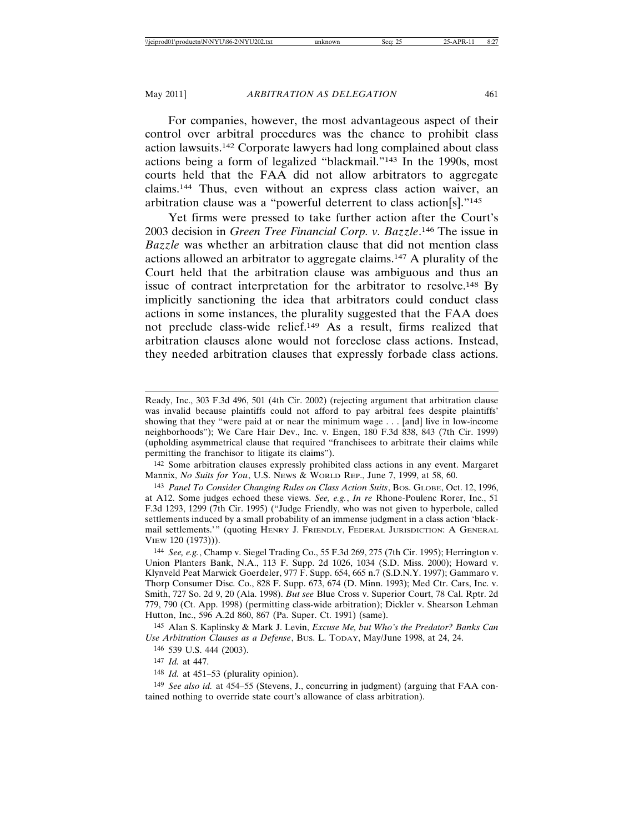For companies, however, the most advantageous aspect of their control over arbitral procedures was the chance to prohibit class action lawsuits.142 Corporate lawyers had long complained about class actions being a form of legalized "blackmail."143 In the 1990s, most courts held that the FAA did not allow arbitrators to aggregate claims.144 Thus, even without an express class action waiver, an arbitration clause was a "powerful deterrent to class action[s]."145

Yet firms were pressed to take further action after the Court's 2003 decision in *Green Tree Financial Corp. v. Bazzle*. 146 The issue in *Bazzle* was whether an arbitration clause that did not mention class actions allowed an arbitrator to aggregate claims.147 A plurality of the Court held that the arbitration clause was ambiguous and thus an issue of contract interpretation for the arbitrator to resolve.148 By implicitly sanctioning the idea that arbitrators could conduct class actions in some instances, the plurality suggested that the FAA does not preclude class-wide relief.149 As a result, firms realized that arbitration clauses alone would not foreclose class actions. Instead, they needed arbitration clauses that expressly forbade class actions.

142 Some arbitration clauses expressly prohibited class actions in any event. Margaret Mannix, *No Suits for You*, U.S. NEWS & WORLD REP., June 7, 1999, at 58, 60.

143 *Panel To Consider Changing Rules on Class Action Suits*, BOS. GLOBE, Oct. 12, 1996, at A12. Some judges echoed these views. *See, e.g.*, *In re* Rhone-Poulenc Rorer, Inc., 51 F.3d 1293, 1299 (7th Cir. 1995) ("Judge Friendly, who was not given to hyperbole, called settlements induced by a small probability of an immense judgment in a class action 'blackmail settlements.'" (quoting HENRY J. FRIENDLY, FEDERAL JURISDICTION: A GENERAL VIEW 120 (1973))).

144 *See, e.g.*, Champ v. Siegel Trading Co., 55 F.3d 269, 275 (7th Cir. 1995); Herrington v. Union Planters Bank, N.A., 113 F. Supp. 2d 1026, 1034 (S.D. Miss. 2000); Howard v. Klynveld Peat Marwick Goerdeler, 977 F. Supp. 654, 665 n.7 (S.D.N.Y. 1997); Gammaro v. Thorp Consumer Disc. Co., 828 F. Supp. 673, 674 (D. Minn. 1993); Med Ctr. Cars, Inc. v. Smith, 727 So. 2d 9, 20 (Ala. 1998). *But see* Blue Cross v. Superior Court, 78 Cal. Rptr. 2d 779, 790 (Ct. App. 1998) (permitting class-wide arbitration); Dickler v. Shearson Lehman Hutton, Inc., 596 A.2d 860, 867 (Pa. Super. Ct. 1991) (same).

145 Alan S. Kaplinsky & Mark J. Levin, *Excuse Me, but Who's the Predator? Banks Can Use Arbitration Clauses as a Defense*, BUS. L. TODAY, May/June 1998, at 24, 24.

146 539 U.S. 444 (2003).

147 *Id.* at 447.

148 *Id.* at 451–53 (plurality opinion).

149 *See also id.* at 454–55 (Stevens, J., concurring in judgment) (arguing that FAA contained nothing to override state court's allowance of class arbitration).

Ready, Inc., 303 F.3d 496, 501 (4th Cir. 2002) (rejecting argument that arbitration clause was invalid because plaintiffs could not afford to pay arbitral fees despite plaintiffs' showing that they "were paid at or near the minimum wage . . . [and] live in low-income neighborhoods"); We Care Hair Dev., Inc. v. Engen, 180 F.3d 838, 843 (7th Cir. 1999) (upholding asymmetrical clause that required "franchisees to arbitrate their claims while permitting the franchisor to litigate its claims").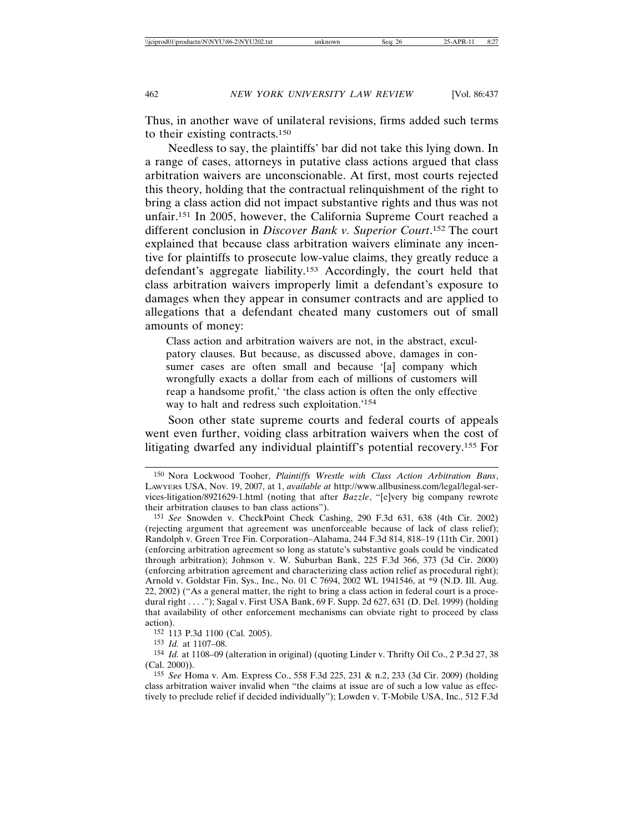Thus, in another wave of unilateral revisions, firms added such terms to their existing contracts.150

Needless to say, the plaintiffs' bar did not take this lying down. In a range of cases, attorneys in putative class actions argued that class arbitration waivers are unconscionable. At first, most courts rejected this theory, holding that the contractual relinquishment of the right to bring a class action did not impact substantive rights and thus was not unfair.151 In 2005, however, the California Supreme Court reached a different conclusion in *Discover Bank v. Superior Court*. 152 The court explained that because class arbitration waivers eliminate any incentive for plaintiffs to prosecute low-value claims, they greatly reduce a defendant's aggregate liability.153 Accordingly, the court held that class arbitration waivers improperly limit a defendant's exposure to damages when they appear in consumer contracts and are applied to allegations that a defendant cheated many customers out of small amounts of money:

Class action and arbitration waivers are not, in the abstract, exculpatory clauses. But because, as discussed above, damages in consumer cases are often small and because '[a] company which wrongfully exacts a dollar from each of millions of customers will reap a handsome profit,' 'the class action is often the only effective way to halt and redress such exploitation.'154

Soon other state supreme courts and federal courts of appeals went even further, voiding class arbitration waivers when the cost of litigating dwarfed any individual plaintiff's potential recovery.155 For

152 113 P.3d 1100 (Cal. 2005).

153 *Id.* at 1107–08.

154 *Id.* at 1108–09 (alteration in original) (quoting Linder v. Thrifty Oil Co., 2 P.3d 27, 38 (Cal. 2000)).

155 *See* Homa v. Am. Express Co., 558 F.3d 225, 231 & n.2, 233 (3d Cir. 2009) (holding class arbitration waiver invalid when "the claims at issue are of such a low value as effectively to preclude relief if decided individually"); Lowden v. T-Mobile USA, Inc., 512 F.3d

<sup>150</sup> Nora Lockwood Tooher, *Plaintiffs Wrestle with Class Action Arbitration Bans*, LAWYERS USA, Nov. 19, 2007, at 1, *available at* http://www.allbusiness.com/legal/legal-services-litigation/8921629-1.html (noting that after *Bazzle*, "[e]very big company rewrote their arbitration clauses to ban class actions").

<sup>151</sup> *See* Snowden v. CheckPoint Check Cashing, 290 F.3d 631, 638 (4th Cir. 2002) (rejecting argument that agreement was unenforceable because of lack of class relief); Randolph v. Green Tree Fin. Corporation–Alabama, 244 F.3d 814, 818–19 (11th Cir. 2001) (enforcing arbitration agreement so long as statute's substantive goals could be vindicated through arbitration); Johnson v. W. Suburban Bank, 225 F.3d 366, 373 (3d Cir. 2000) (enforcing arbitration agreement and characterizing class action relief as procedural right); Arnold v. Goldstar Fin. Sys., Inc., No. 01 C 7694, 2002 WL 1941546, at \*9 (N.D. Ill. Aug. 22, 2002) ("As a general matter, the right to bring a class action in federal court is a procedural right . . . ."); Sagal v. First USA Bank, 69 F. Supp. 2d 627, 631 (D. Del. 1999) (holding that availability of other enforcement mechanisms can obviate right to proceed by class action).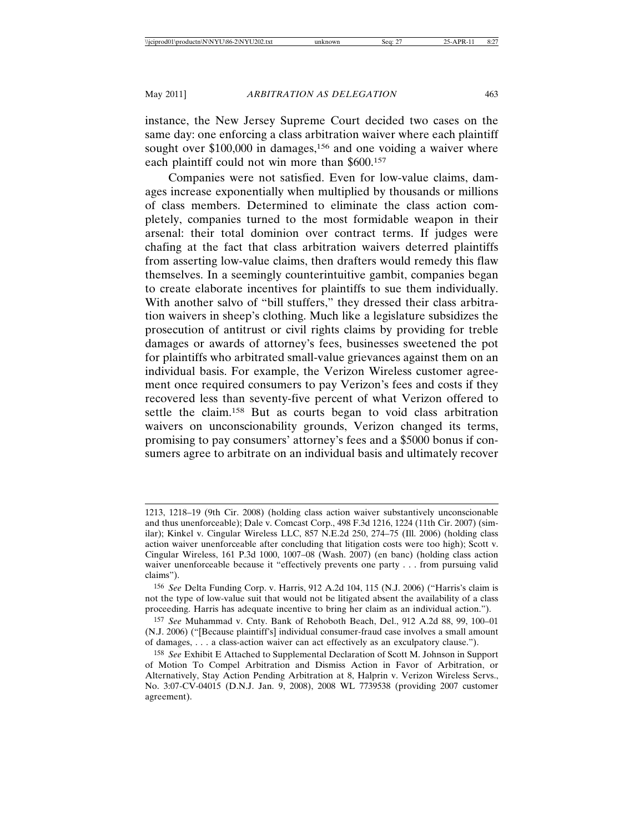instance, the New Jersey Supreme Court decided two cases on the same day: one enforcing a class arbitration waiver where each plaintiff sought over \$100,000 in damages,<sup>156</sup> and one voiding a waiver where each plaintiff could not win more than \$600.157

Companies were not satisfied. Even for low-value claims, damages increase exponentially when multiplied by thousands or millions of class members. Determined to eliminate the class action completely, companies turned to the most formidable weapon in their arsenal: their total dominion over contract terms. If judges were chafing at the fact that class arbitration waivers deterred plaintiffs from asserting low-value claims, then drafters would remedy this flaw themselves. In a seemingly counterintuitive gambit, companies began to create elaborate incentives for plaintiffs to sue them individually. With another salvo of "bill stuffers," they dressed their class arbitration waivers in sheep's clothing. Much like a legislature subsidizes the prosecution of antitrust or civil rights claims by providing for treble damages or awards of attorney's fees, businesses sweetened the pot for plaintiffs who arbitrated small-value grievances against them on an individual basis. For example, the Verizon Wireless customer agreement once required consumers to pay Verizon's fees and costs if they recovered less than seventy-five percent of what Verizon offered to settle the claim.158 But as courts began to void class arbitration waivers on unconscionability grounds, Verizon changed its terms, promising to pay consumers' attorney's fees and a \$5000 bonus if consumers agree to arbitrate on an individual basis and ultimately recover

<sup>1213, 1218–19 (9</sup>th Cir. 2008) (holding class action waiver substantively unconscionable and thus unenforceable); Dale v. Comcast Corp., 498 F.3d 1216, 1224 (11th Cir. 2007) (similar); Kinkel v. Cingular Wireless LLC, 857 N.E.2d 250, 274–75 (Ill. 2006) (holding class action waiver unenforceable after concluding that litigation costs were too high); Scott v. Cingular Wireless, 161 P.3d 1000, 1007–08 (Wash. 2007) (en banc) (holding class action waiver unenforceable because it "effectively prevents one party . . . from pursuing valid claims").

<sup>156</sup> *See* Delta Funding Corp. v. Harris, 912 A.2d 104, 115 (N.J. 2006) ("Harris's claim is not the type of low-value suit that would not be litigated absent the availability of a class proceeding. Harris has adequate incentive to bring her claim as an individual action.").

<sup>157</sup> *See* Muhammad v. Cnty. Bank of Rehoboth Beach, Del., 912 A.2d 88, 99, 100–01 (N.J. 2006) ("[Because plaintiff's] individual consumer-fraud case involves a small amount of damages, . . . a class-action waiver can act effectively as an exculpatory clause.").

<sup>158</sup> *See* Exhibit E Attached to Supplemental Declaration of Scott M. Johnson in Support of Motion To Compel Arbitration and Dismiss Action in Favor of Arbitration, or Alternatively, Stay Action Pending Arbitration at 8, Halprin v. Verizon Wireless Servs., No. 3:07-CV-04015 (D.N.J. Jan. 9, 2008), 2008 WL 7739538 (providing 2007 customer agreement).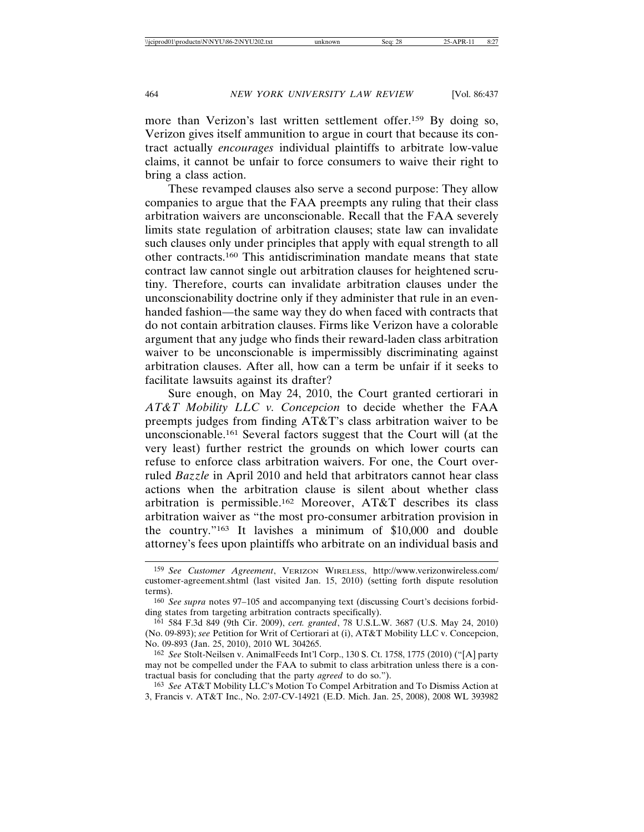more than Verizon's last written settlement offer.159 By doing so, Verizon gives itself ammunition to argue in court that because its contract actually *encourages* individual plaintiffs to arbitrate low-value claims, it cannot be unfair to force consumers to waive their right to bring a class action.

These revamped clauses also serve a second purpose: They allow companies to argue that the FAA preempts any ruling that their class arbitration waivers are unconscionable. Recall that the FAA severely limits state regulation of arbitration clauses; state law can invalidate such clauses only under principles that apply with equal strength to all other contracts.160 This antidiscrimination mandate means that state contract law cannot single out arbitration clauses for heightened scrutiny. Therefore, courts can invalidate arbitration clauses under the unconscionability doctrine only if they administer that rule in an evenhanded fashion—the same way they do when faced with contracts that do not contain arbitration clauses. Firms like Verizon have a colorable argument that any judge who finds their reward-laden class arbitration waiver to be unconscionable is impermissibly discriminating against arbitration clauses. After all, how can a term be unfair if it seeks to facilitate lawsuits against its drafter?

Sure enough, on May 24, 2010, the Court granted certiorari in *AT&T Mobility LLC v. Concepcion* to decide whether the FAA preempts judges from finding AT&T's class arbitration waiver to be unconscionable.161 Several factors suggest that the Court will (at the very least) further restrict the grounds on which lower courts can refuse to enforce class arbitration waivers. For one, the Court overruled *Bazzle* in April 2010 and held that arbitrators cannot hear class actions when the arbitration clause is silent about whether class arbitration is permissible.162 Moreover, AT&T describes its class arbitration waiver as "the most pro-consumer arbitration provision in the country."163 It lavishes a minimum of \$10,000 and double attorney's fees upon plaintiffs who arbitrate on an individual basis and

<sup>159</sup> *See Customer Agreement*, VERIZON WIRELESS, http://www.verizonwireless.com/ customer-agreement.shtml (last visited Jan. 15, 2010) (setting forth dispute resolution terms).

<sup>160</sup> *See supra* notes 97–105 and accompanying text (discussing Court's decisions forbidding states from targeting arbitration contracts specifically).

<sup>161</sup> 584 F.3d 849 (9th Cir. 2009), *cert. granted*, 78 U.S.L.W. 3687 (U.S. May 24, 2010) (No. 09-893); *see* Petition for Writ of Certiorari at (i), AT&T Mobility LLC v. Concepcion, No. 09-893 (Jan. 25, 2010), 2010 WL 304265.

<sup>162</sup> *See* Stolt-Neilsen v. AnimalFeeds Int'l Corp., 130 S. Ct. 1758, 1775 (2010) ("[A] party may not be compelled under the FAA to submit to class arbitration unless there is a contractual basis for concluding that the party *agreed* to do so.").

<sup>163</sup> *See* AT&T Mobility LLC's Motion To Compel Arbitration and To Dismiss Action at 3, Francis v. AT&T Inc., No. 2:07-CV-14921 (E.D. Mich. Jan. 25, 2008), 2008 WL 393982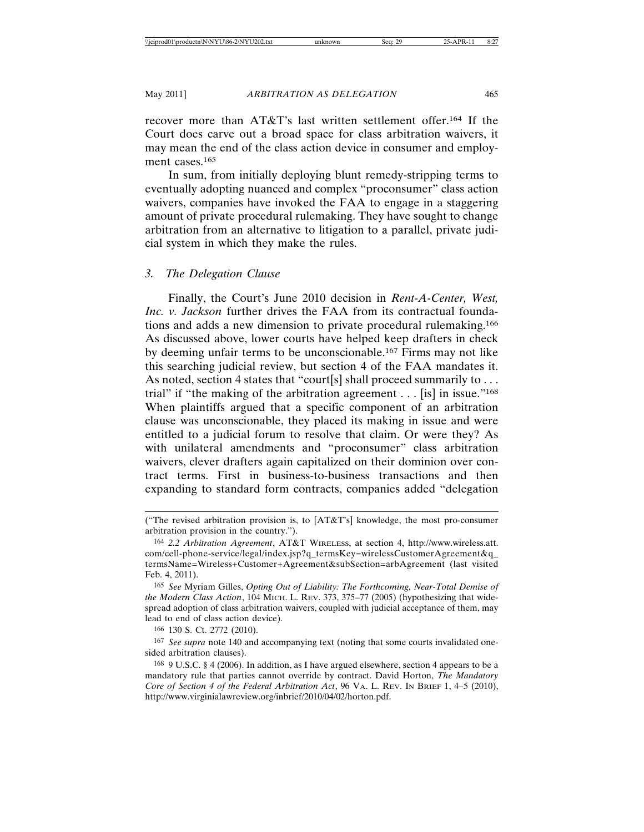recover more than AT&T's last written settlement offer.164 If the Court does carve out a broad space for class arbitration waivers, it may mean the end of the class action device in consumer and employment cases.<sup>165</sup>

In sum, from initially deploying blunt remedy-stripping terms to eventually adopting nuanced and complex "proconsumer" class action waivers, companies have invoked the FAA to engage in a staggering amount of private procedural rulemaking. They have sought to change arbitration from an alternative to litigation to a parallel, private judicial system in which they make the rules.

# *3. The Delegation Clause*

Finally, the Court's June 2010 decision in *Rent-A-Center, West, Inc. v. Jackson* further drives the FAA from its contractual foundations and adds a new dimension to private procedural rulemaking.166 As discussed above, lower courts have helped keep drafters in check by deeming unfair terms to be unconscionable.167 Firms may not like this searching judicial review, but section 4 of the FAA mandates it. As noted, section 4 states that "court[s] shall proceed summarily to  $\dots$ trial" if "the making of the arbitration agreement  $\dots$  [is] in issue."<sup>168</sup> When plaintiffs argued that a specific component of an arbitration clause was unconscionable, they placed its making in issue and were entitled to a judicial forum to resolve that claim. Or were they? As with unilateral amendments and "proconsumer" class arbitration waivers, clever drafters again capitalized on their dominion over contract terms. First in business-to-business transactions and then expanding to standard form contracts, companies added "delegation

<sup>(&</sup>quot;The revised arbitration provision is, to [AT&T's] knowledge, the most pro-consumer arbitration provision in the country.").

<sup>164</sup> *2.2 Arbitration Agreement*, AT&T WIRELESS, at section 4, http://www.wireless.att. com/cell-phone-service/legal/index.jsp?q\_termsKey=wirelessCustomerAgreement&q\_ termsName=Wireless+Customer+Agreement&subSection=arbAgreement (last visited Feb. 4, 2011).

<sup>165</sup> *See* Myriam Gilles, *Opting Out of Liability: The Forthcoming, Near-Total Demise of the Modern Class Action*, 104 MICH. L. REV. 373, 375–77 (2005) (hypothesizing that widespread adoption of class arbitration waivers, coupled with judicial acceptance of them, may lead to end of class action device).

<sup>166</sup> 130 S. Ct. 2772 (2010).

<sup>167</sup> *See supra* note 140 and accompanying text (noting that some courts invalidated onesided arbitration clauses).

<sup>168</sup> 9 U.S.C. § 4 (2006). In addition, as I have argued elsewhere, section 4 appears to be a mandatory rule that parties cannot override by contract. David Horton, *The Mandatory Core of Section 4 of the Federal Arbitration Act*, 96 VA. L. REV. IN BRIEF 1, 4–5 (2010), http://www.virginialawreview.org/inbrief/2010/04/02/horton.pdf.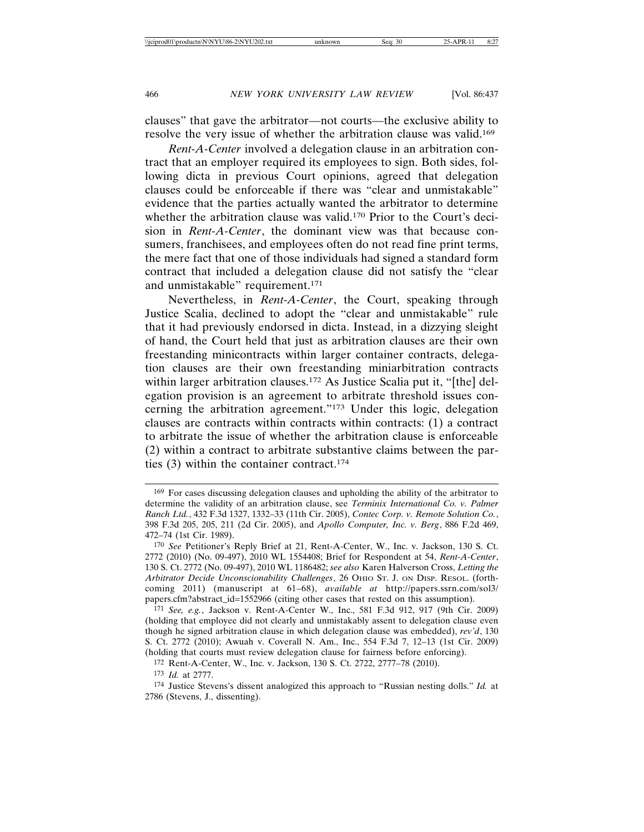clauses" that gave the arbitrator—not courts—the exclusive ability to resolve the very issue of whether the arbitration clause was valid.169

*Rent-A-Center* involved a delegation clause in an arbitration contract that an employer required its employees to sign. Both sides, following dicta in previous Court opinions, agreed that delegation clauses could be enforceable if there was "clear and unmistakable" evidence that the parties actually wanted the arbitrator to determine whether the arbitration clause was valid.<sup>170</sup> Prior to the Court's decision in *Rent-A-Center*, the dominant view was that because consumers, franchisees, and employees often do not read fine print terms, the mere fact that one of those individuals had signed a standard form contract that included a delegation clause did not satisfy the "clear and unmistakable" requirement.171

Nevertheless, in *Rent-A-Center*, the Court, speaking through Justice Scalia, declined to adopt the "clear and unmistakable" rule that it had previously endorsed in dicta. Instead, in a dizzying sleight of hand, the Court held that just as arbitration clauses are their own freestanding minicontracts within larger container contracts, delegation clauses are their own freestanding miniarbitration contracts within larger arbitration clauses.<sup>172</sup> As Justice Scalia put it, "[the] delegation provision is an agreement to arbitrate threshold issues concerning the arbitration agreement."173 Under this logic, delegation clauses are contracts within contracts within contracts: (1) a contract to arbitrate the issue of whether the arbitration clause is enforceable (2) within a contract to arbitrate substantive claims between the parties (3) within the container contract.174

<sup>169</sup> For cases discussing delegation clauses and upholding the ability of the arbitrator to determine the validity of an arbitration clause, see *Terminix International Co. v. Palmer Ranch Ltd.*, 432 F.3d 1327, 1332–33 (11th Cir. 2005), *Contec Corp. v. Remote Solution Co.*, 398 F.3d 205, 205, 211 (2d Cir. 2005), and *Apollo Computer, Inc. v. Berg*, 886 F.2d 469, 472–74 (1st Cir. 1989).

<sup>170</sup> *See* Petitioner's Reply Brief at 21, Rent-A-Center, W., Inc. v. Jackson, 130 S. Ct. 2772 (2010) (No. 09-497), 2010 WL 1554408; Brief for Respondent at 54, *Rent-A-Center*, 130 S. Ct. 2772 (No. 09-497), 2010 WL 1186482; *see also* Karen Halverson Cross, *Letting the Arbitrator Decide Unconscionability Challenges*, 26 OHIO ST. J. ON DISP. RESOL. (forthcoming 2011) (manuscript at 61–68), *available at* http://papers.ssrn.com/sol3/ papers.cfm?abstract\_id=1552966 (citing other cases that rested on this assumption).

<sup>171</sup> *See, e.g.*, Jackson v. Rent-A-Center W., Inc., 581 F.3d 912, 917 (9th Cir. 2009) (holding that employee did not clearly and unmistakably assent to delegation clause even though he signed arbitration clause in which delegation clause was embedded), *rev'd*, 130 S. Ct. 2772 (2010); Awuah v. Coverall N. Am., Inc., 554 F.3d 7, 12–13 (1st Cir. 2009) (holding that courts must review delegation clause for fairness before enforcing).

<sup>172</sup> Rent-A-Center, W., Inc. v. Jackson, 130 S. Ct. 2722, 2777–78 (2010).

<sup>173</sup> *Id.* at 2777.

<sup>174</sup> Justice Stevens's dissent analogized this approach to "Russian nesting dolls." *Id.* at 2786 (Stevens, J., dissenting).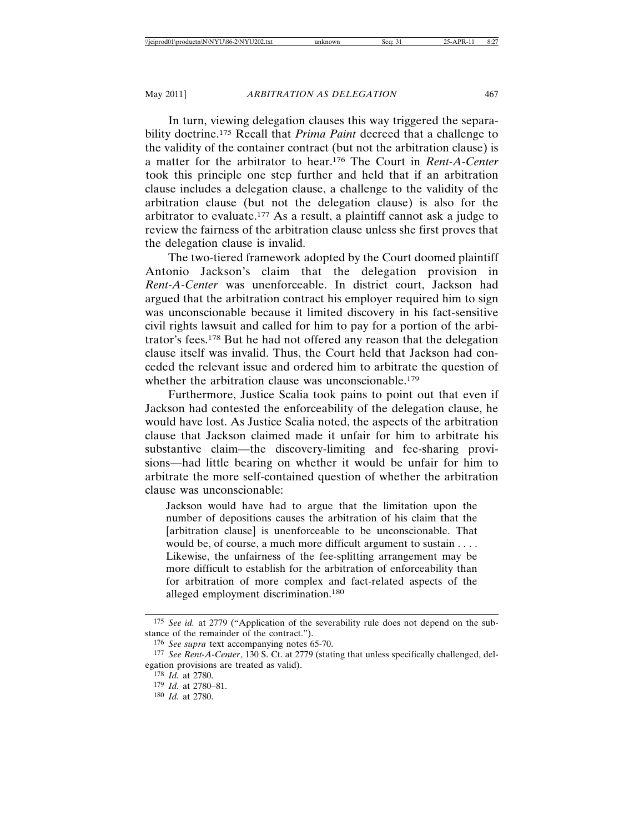In turn, viewing delegation clauses this way triggered the separability doctrine.175 Recall that *Prima Paint* decreed that a challenge to the validity of the container contract (but not the arbitration clause) is a matter for the arbitrator to hear.176 The Court in *Rent-A-Center* took this principle one step further and held that if an arbitration clause includes a delegation clause, a challenge to the validity of the arbitration clause (but not the delegation clause) is also for the arbitrator to evaluate.177 As a result, a plaintiff cannot ask a judge to review the fairness of the arbitration clause unless she first proves that the delegation clause is invalid.

The two-tiered framework adopted by the Court doomed plaintiff Antonio Jackson's claim that the delegation provision in *Rent-A-Center* was unenforceable. In district court, Jackson had argued that the arbitration contract his employer required him to sign was unconscionable because it limited discovery in his fact-sensitive civil rights lawsuit and called for him to pay for a portion of the arbitrator's fees.178 But he had not offered any reason that the delegation clause itself was invalid. Thus, the Court held that Jackson had conceded the relevant issue and ordered him to arbitrate the question of whether the arbitration clause was unconscionable.<sup>179</sup>

Furthermore, Justice Scalia took pains to point out that even if Jackson had contested the enforceability of the delegation clause, he would have lost. As Justice Scalia noted, the aspects of the arbitration clause that Jackson claimed made it unfair for him to arbitrate his substantive claim—the discovery-limiting and fee-sharing provisions—had little bearing on whether it would be unfair for him to arbitrate the more self-contained question of whether the arbitration clause was unconscionable:

Jackson would have had to argue that the limitation upon the number of depositions causes the arbitration of his claim that the [arbitration clause] is unenforceable to be unconscionable. That would be, of course, a much more difficult argument to sustain . . . . Likewise, the unfairness of the fee-splitting arrangement may be more difficult to establish for the arbitration of enforceability than for arbitration of more complex and fact-related aspects of the alleged employment discrimination.180

<sup>175</sup> *See id.* at 2779 ("Application of the severability rule does not depend on the substance of the remainder of the contract.").

<sup>176</sup> *See supra* text accompanying notes 65-70.

<sup>177</sup> *See Rent-A-Center*, 130 S. Ct. at 2779 (stating that unless specifically challenged, delegation provisions are treated as valid).

<sup>178</sup> *Id.* at 2780.

<sup>179</sup> *Id.* at 2780–81.

<sup>180</sup> *Id.* at 2780.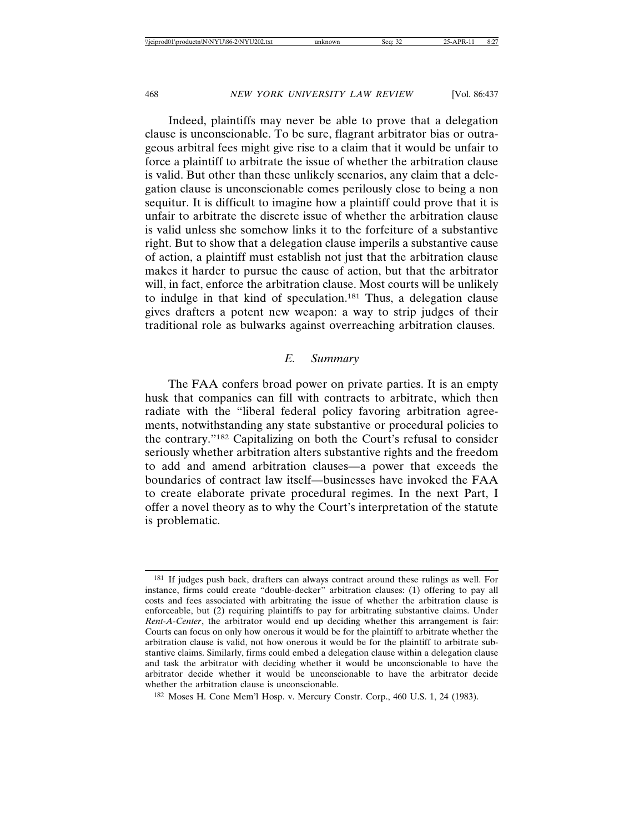Indeed, plaintiffs may never be able to prove that a delegation clause is unconscionable. To be sure, flagrant arbitrator bias or outrageous arbitral fees might give rise to a claim that it would be unfair to force a plaintiff to arbitrate the issue of whether the arbitration clause is valid. But other than these unlikely scenarios, any claim that a delegation clause is unconscionable comes perilously close to being a non sequitur. It is difficult to imagine how a plaintiff could prove that it is unfair to arbitrate the discrete issue of whether the arbitration clause is valid unless she somehow links it to the forfeiture of a substantive right. But to show that a delegation clause imperils a substantive cause of action, a plaintiff must establish not just that the arbitration clause makes it harder to pursue the cause of action, but that the arbitrator will, in fact, enforce the arbitration clause. Most courts will be unlikely to indulge in that kind of speculation.181 Thus, a delegation clause gives drafters a potent new weapon: a way to strip judges of their traditional role as bulwarks against overreaching arbitration clauses.

## *E. Summary*

The FAA confers broad power on private parties. It is an empty husk that companies can fill with contracts to arbitrate, which then radiate with the "liberal federal policy favoring arbitration agreements, notwithstanding any state substantive or procedural policies to the contrary."182 Capitalizing on both the Court's refusal to consider seriously whether arbitration alters substantive rights and the freedom to add and amend arbitration clauses—a power that exceeds the boundaries of contract law itself—businesses have invoked the FAA to create elaborate private procedural regimes. In the next Part, I offer a novel theory as to why the Court's interpretation of the statute is problematic.

182 Moses H. Cone Mem'l Hosp. v. Mercury Constr. Corp., 460 U.S. 1, 24 (1983).

<sup>&</sup>lt;sup>181</sup> If judges push back, drafters can always contract around these rulings as well. For instance, firms could create "double-decker" arbitration clauses: (1) offering to pay all costs and fees associated with arbitrating the issue of whether the arbitration clause is enforceable, but (2) requiring plaintiffs to pay for arbitrating substantive claims. Under *Rent-A-Center*, the arbitrator would end up deciding whether this arrangement is fair: Courts can focus on only how onerous it would be for the plaintiff to arbitrate whether the arbitration clause is valid, not how onerous it would be for the plaintiff to arbitrate substantive claims. Similarly, firms could embed a delegation clause within a delegation clause and task the arbitrator with deciding whether it would be unconscionable to have the arbitrator decide whether it would be unconscionable to have the arbitrator decide whether the arbitration clause is unconscionable.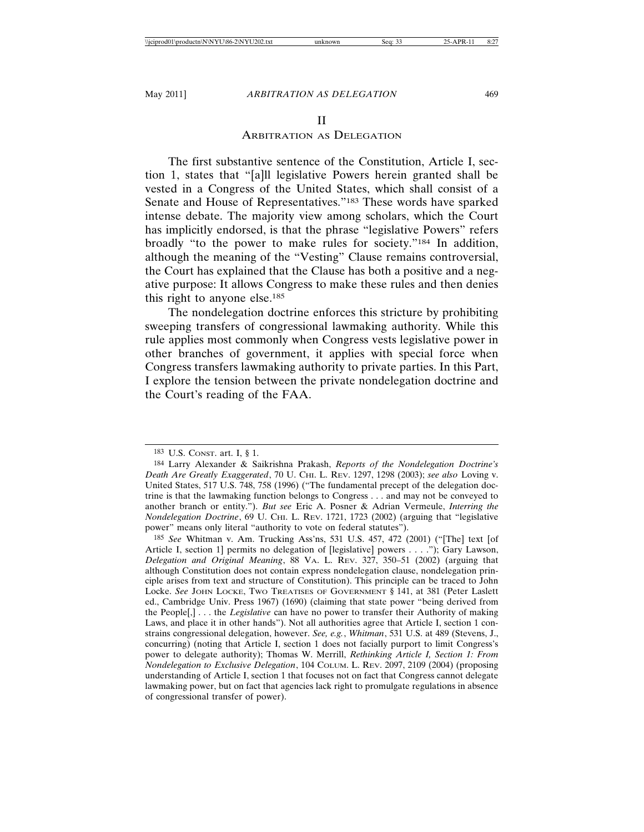### II

#### ARBITRATION AS DELEGATION

The first substantive sentence of the Constitution, Article I, section 1, states that "[a]ll legislative Powers herein granted shall be vested in a Congress of the United States, which shall consist of a Senate and House of Representatives."183 These words have sparked intense debate. The majority view among scholars, which the Court has implicitly endorsed, is that the phrase "legislative Powers" refers broadly "to the power to make rules for society."184 In addition, although the meaning of the "Vesting" Clause remains controversial, the Court has explained that the Clause has both a positive and a negative purpose: It allows Congress to make these rules and then denies this right to anyone else.185

The nondelegation doctrine enforces this stricture by prohibiting sweeping transfers of congressional lawmaking authority. While this rule applies most commonly when Congress vests legislative power in other branches of government, it applies with special force when Congress transfers lawmaking authority to private parties. In this Part, I explore the tension between the private nondelegation doctrine and the Court's reading of the FAA.

<sup>183</sup> U.S. CONST. art. I, § 1.

<sup>184</sup> Larry Alexander & Saikrishna Prakash, *Reports of the Nondelegation Doctrine's Death Are Greatly Exaggerated*, 70 U. CHI. L. REV. 1297, 1298 (2003); *see also* Loving v. United States, 517 U.S. 748, 758 (1996) ("The fundamental precept of the delegation doctrine is that the lawmaking function belongs to Congress . . . and may not be conveyed to another branch or entity."). *But see* Eric A. Posner & Adrian Vermeule, *Interring the Nondelegation Doctrine*, 69 U. CHI. L. REV. 1721, 1723 (2002) (arguing that "legislative power" means only literal "authority to vote on federal statutes").

<sup>185</sup> *See* Whitman v. Am. Trucking Ass'ns, 531 U.S. 457, 472 (2001) ("[The] text [of Article I, section 1] permits no delegation of [legislative] powers . . . ."); Gary Lawson, *Delegation and Original Meaning*, 88 VA. L. REV. 327, 350–51 (2002) (arguing that although Constitution does not contain express nondelegation clause, nondelegation principle arises from text and structure of Constitution). This principle can be traced to John Locke. *See* JOHN LOCKE, TWO TREATISES OF GOVERNMENT § 141, at 381 (Peter Laslett ed., Cambridge Univ. Press 1967) (1690) (claiming that state power "being derived from the People[,] . . . the *Legislative* can have no power to transfer their Authority of making Laws, and place it in other hands"). Not all authorities agree that Article I, section 1 constrains congressional delegation, however. *See, e.g.*, *Whitman*, 531 U.S. at 489 (Stevens, J., concurring) (noting that Article I, section 1 does not facially purport to limit Congress's power to delegate authority); Thomas W. Merrill, *Rethinking Article I, Section 1: From Nondelegation to Exclusive Delegation*, 104 COLUM. L. REV. 2097, 2109 (2004) (proposing understanding of Article I, section 1 that focuses not on fact that Congress cannot delegate lawmaking power, but on fact that agencies lack right to promulgate regulations in absence of congressional transfer of power).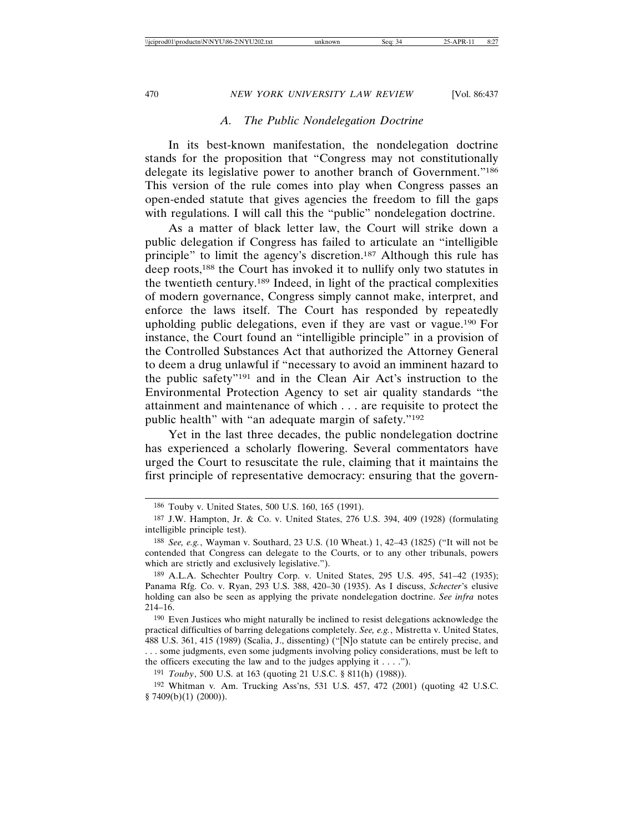## *A. The Public Nondelegation Doctrine*

In its best-known manifestation, the nondelegation doctrine stands for the proposition that "Congress may not constitutionally delegate its legislative power to another branch of Government."<sup>186</sup> This version of the rule comes into play when Congress passes an open-ended statute that gives agencies the freedom to fill the gaps with regulations. I will call this the "public" nondelegation doctrine.

As a matter of black letter law, the Court will strike down a public delegation if Congress has failed to articulate an "intelligible principle" to limit the agency's discretion.187 Although this rule has deep roots,188 the Court has invoked it to nullify only two statutes in the twentieth century.189 Indeed, in light of the practical complexities of modern governance, Congress simply cannot make, interpret, and enforce the laws itself. The Court has responded by repeatedly upholding public delegations, even if they are vast or vague.190 For instance, the Court found an "intelligible principle" in a provision of the Controlled Substances Act that authorized the Attorney General to deem a drug unlawful if "necessary to avoid an imminent hazard to the public safety"191 and in the Clean Air Act's instruction to the Environmental Protection Agency to set air quality standards "the attainment and maintenance of which . . . are requisite to protect the public health" with "an adequate margin of safety."192

Yet in the last three decades, the public nondelegation doctrine has experienced a scholarly flowering. Several commentators have urged the Court to resuscitate the rule, claiming that it maintains the first principle of representative democracy: ensuring that the govern-

<sup>186</sup> Touby v. United States, 500 U.S. 160, 165 (1991).

<sup>187</sup> J.W. Hampton, Jr. & Co. v. United States, 276 U.S. 394, 409 (1928) (formulating intelligible principle test).

<sup>188</sup> *See, e.g.*, Wayman v. Southard, 23 U.S. (10 Wheat.) 1, 42–43 (1825) ("It will not be contended that Congress can delegate to the Courts, or to any other tribunals, powers which are strictly and exclusively legislative.").

<sup>189</sup> A.L.A. Schechter Poultry Corp. v. United States, 295 U.S. 495, 541–42 (1935); Panama Rfg. Co. v. Ryan, 293 U.S. 388, 420–30 (1935). As I discuss, *Schecter*'s elusive holding can also be seen as applying the private nondelegation doctrine. *See infra* notes 214–16.

<sup>190</sup> Even Justices who might naturally be inclined to resist delegations acknowledge the practical difficulties of barring delegations completely. *See, e.g.*, Mistretta v. United States, 488 U.S. 361, 415 (1989) (Scalia, J., dissenting) ("[N]o statute can be entirely precise, and . . . some judgments, even some judgments involving policy considerations, must be left to the officers executing the law and to the judges applying it  $\dots$ .").

<sup>191</sup> *Touby*, 500 U.S. at 163 (quoting 21 U.S.C. § 811(h) (1988)).

<sup>192</sup> Whitman v*.* Am. Trucking Ass'ns, 531 U.S. 457, 472 (2001) (quoting 42 U.S.C. § 7409(b)(1) (2000)).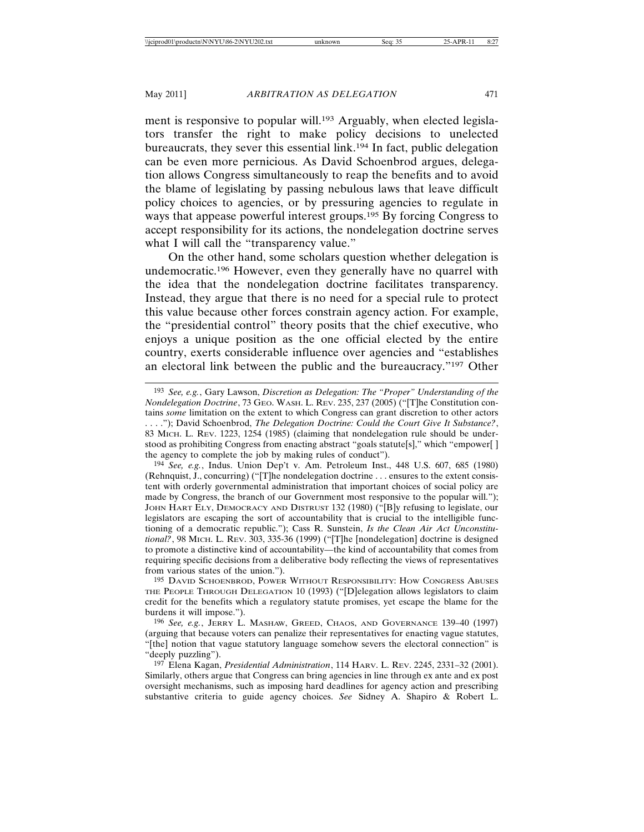ment is responsive to popular will.<sup>193</sup> Arguably, when elected legislators transfer the right to make policy decisions to unelected bureaucrats, they sever this essential link.194 In fact, public delegation can be even more pernicious. As David Schoenbrod argues, delegation allows Congress simultaneously to reap the benefits and to avoid the blame of legislating by passing nebulous laws that leave difficult policy choices to agencies, or by pressuring agencies to regulate in ways that appease powerful interest groups.195 By forcing Congress to accept responsibility for its actions, the nondelegation doctrine serves what I will call the "transparency value."

On the other hand, some scholars question whether delegation is undemocratic.196 However, even they generally have no quarrel with the idea that the nondelegation doctrine facilitates transparency. Instead, they argue that there is no need for a special rule to protect this value because other forces constrain agency action. For example, the "presidential control" theory posits that the chief executive, who enjoys a unique position as the one official elected by the entire country, exerts considerable influence over agencies and "establishes an electoral link between the public and the bureaucracy."197 Other

194 *See, e.g.*, Indus. Union Dep't v. Am. Petroleum Inst., 448 U.S. 607, 685 (1980) (Rehnquist, J., concurring) ("[T]he nondelegation doctrine . . . ensures to the extent consistent with orderly governmental administration that important choices of social policy are made by Congress, the branch of our Government most responsive to the popular will."); JOHN HART ELY, DEMOCRACY AND DISTRUST 132 (1980) ("[B]y refusing to legislate, our legislators are escaping the sort of accountability that is crucial to the intelligible functioning of a democratic republic."); Cass R. Sunstein, *Is the Clean Air Act Unconstitutional?*, 98 MICH. L. REV. 303, 335-36 (1999) ("[T]he [nondelegation] doctrine is designed to promote a distinctive kind of accountability—the kind of accountability that comes from requiring specific decisions from a deliberative body reflecting the views of representatives from various states of the union.").

195 DAVID SCHOENBROD, POWER WITHOUT RESPONSIBILITY: HOW CONGRESS ABUSES THE PEOPLE THROUGH DELEGATION 10 (1993) ("[D]elegation allows legislators to claim credit for the benefits which a regulatory statute promises, yet escape the blame for the burdens it will impose.").

196 *See, e.g.*, JERRY L. MASHAW, GREED, CHAOS, AND GOVERNANCE 139–40 (1997) (arguing that because voters can penalize their representatives for enacting vague statutes, "[the] notion that vague statutory language somehow severs the electoral connection" is "deeply puzzling").

197 Elena Kagan, *Presidential Administration*, 114 HARV. L. REV. 2245, 2331–32 (2001). Similarly, others argue that Congress can bring agencies in line through ex ante and ex post oversight mechanisms, such as imposing hard deadlines for agency action and prescribing substantive criteria to guide agency choices. *See* Sidney A. Shapiro & Robert L.

<sup>193</sup> *See, e.g.*, Gary Lawson, *Discretion as Delegation: The "Proper" Understanding of the Nondelegation Doctrine*, 73 GEO. WASH. L. REV. 235, 237 (2005) ("[T]he Constitution contains *some* limitation on the extent to which Congress can grant discretion to other actors . . . ."); David Schoenbrod, *The Delegation Doctrine: Could the Court Give It Substance?*, 83 MICH. L. REV. 1223, 1254 (1985) (claiming that nondelegation rule should be understood as prohibiting Congress from enacting abstract "goals statute[s]," which "empower[ ] the agency to complete the job by making rules of conduct").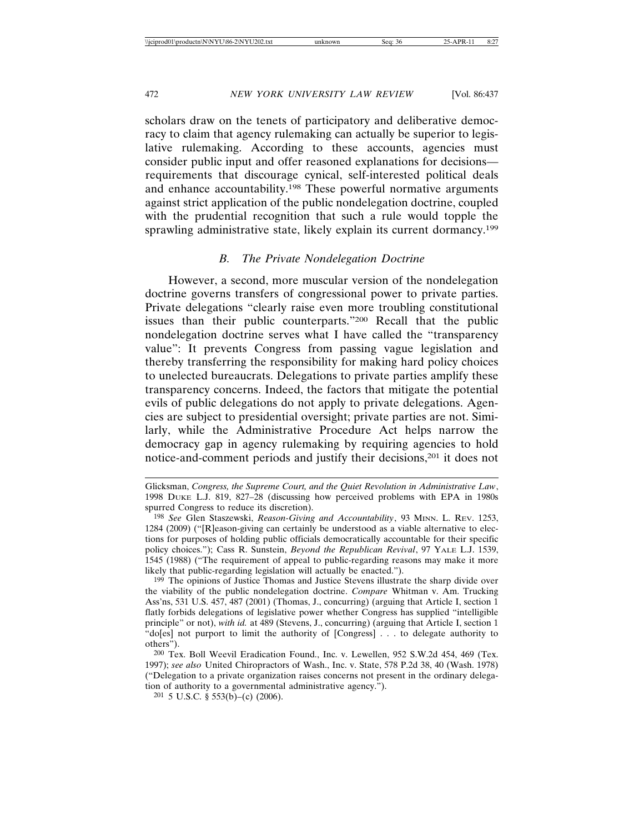scholars draw on the tenets of participatory and deliberative democracy to claim that agency rulemaking can actually be superior to legislative rulemaking. According to these accounts, agencies must consider public input and offer reasoned explanations for decisions requirements that discourage cynical, self-interested political deals and enhance accountability.198 These powerful normative arguments against strict application of the public nondelegation doctrine, coupled with the prudential recognition that such a rule would topple the sprawling administrative state, likely explain its current dormancy.199

#### *B. The Private Nondelegation Doctrine*

However, a second, more muscular version of the nondelegation doctrine governs transfers of congressional power to private parties. Private delegations "clearly raise even more troubling constitutional issues than their public counterparts."200 Recall that the public nondelegation doctrine serves what I have called the "transparency value": It prevents Congress from passing vague legislation and thereby transferring the responsibility for making hard policy choices to unelected bureaucrats. Delegations to private parties amplify these transparency concerns. Indeed, the factors that mitigate the potential evils of public delegations do not apply to private delegations. Agencies are subject to presidential oversight; private parties are not. Similarly, while the Administrative Procedure Act helps narrow the democracy gap in agency rulemaking by requiring agencies to hold notice-and-comment periods and justify their decisions,201 it does not

201 5 U.S.C. § 553(b)–(c) (2006).

Glicksman, *Congress, the Supreme Court, and the Quiet Revolution in Administrative Law*, 1998 DUKE L.J. 819, 827–28 (discussing how perceived problems with EPA in 1980s spurred Congress to reduce its discretion).

<sup>198</sup> *See* Glen Staszewski, *Reason-Giving and Accountability*, 93 MINN. L. REV. 1253, 1284 (2009) ("[R]eason-giving can certainly be understood as a viable alternative to elections for purposes of holding public officials democratically accountable for their specific policy choices."); Cass R. Sunstein, *Beyond the Republican Revival*, 97 YALE L.J. 1539, 1545 (1988) ("The requirement of appeal to public-regarding reasons may make it more likely that public-regarding legislation will actually be enacted.").

<sup>199</sup> The opinions of Justice Thomas and Justice Stevens illustrate the sharp divide over the viability of the public nondelegation doctrine. *Compare* Whitman v. Am. Trucking Ass'ns, 531 U.S. 457, 487 (2001) (Thomas, J., concurring) (arguing that Article I, section 1 flatly forbids delegations of legislative power whether Congress has supplied "intelligible principle" or not), *with id.* at 489 (Stevens, J., concurring) (arguing that Article I, section 1 "do[es] not purport to limit the authority of [Congress] . . . to delegate authority to others").

<sup>200</sup> Tex. Boll Weevil Eradication Found., Inc. v. Lewellen, 952 S.W.2d 454, 469 (Tex. 1997); *see also* United Chiropractors of Wash., Inc. v. State, 578 P.2d 38, 40 (Wash. 1978) ("Delegation to a private organization raises concerns not present in the ordinary delegation of authority to a governmental administrative agency.").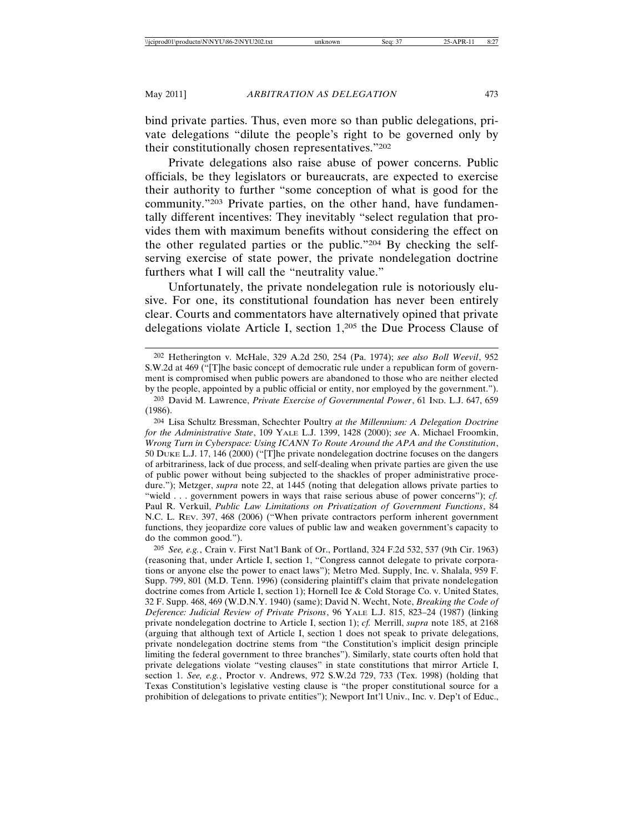bind private parties. Thus, even more so than public delegations, private delegations "dilute the people's right to be governed only by their constitutionally chosen representatives."202

Private delegations also raise abuse of power concerns. Public officials, be they legislators or bureaucrats, are expected to exercise their authority to further "some conception of what is good for the community."203 Private parties, on the other hand, have fundamentally different incentives: They inevitably "select regulation that provides them with maximum benefits without considering the effect on the other regulated parties or the public."204 By checking the selfserving exercise of state power, the private nondelegation doctrine furthers what I will call the "neutrality value."

Unfortunately, the private nondelegation rule is notoriously elusive. For one, its constitutional foundation has never been entirely clear. Courts and commentators have alternatively opined that private delegations violate Article I, section 1,205 the Due Process Clause of

204 Lisa Schultz Bressman, Schechter Poultry *at the Millennium: A Delegation Doctrine for the Administrative State*, 109 YALE L.J. 1399, 1428 (2000); *see* A. Michael Froomkin, *Wrong Turn in Cyberspace: Using ICANN To Route Around the APA and the Constitution*, 50 DUKE L.J. 17, 146 (2000) ("[T]he private nondelegation doctrine focuses on the dangers of arbitrariness, lack of due process, and self-dealing when private parties are given the use of public power without being subjected to the shackles of proper administrative procedure."); Metzger, *supra* note 22, at 1445 (noting that delegation allows private parties to "wield . . . government powers in ways that raise serious abuse of power concerns"); *cf.* Paul R. Verkuil, *Public Law Limitations on Privatization of Government Functions*, 84 N.C. L. REV. 397, 468 (2006) ("When private contractors perform inherent government functions, they jeopardize core values of public law and weaken government's capacity to do the common good.").

205 *See, e.g.*, Crain v. First Nat'l Bank of Or., Portland, 324 F.2d 532, 537 (9th Cir. 1963) (reasoning that, under Article I, section 1, "Congress cannot delegate to private corporations or anyone else the power to enact laws"); Metro Med. Supply, Inc. v. Shalala, 959 F. Supp. 799, 801 (M.D. Tenn. 1996) (considering plaintiff's claim that private nondelegation doctrine comes from Article I, section 1); Hornell Ice & Cold Storage Co. v. United States, 32 F. Supp. 468, 469 (W.D.N.Y. 1940) (same); David N. Wecht, Note, *Breaking the Code of Deference: Judicial Review of Private Prisons*, 96 YALE L.J. 815, 823–24 (1987) (linking private nondelegation doctrine to Article I, section 1); *cf.* Merrill, *supra* note 185, at 2168 (arguing that although text of Article I, section 1 does not speak to private delegations, private nondelegation doctrine stems from "the Constitution's implicit design principle limiting the federal government to three branches"). Similarly, state courts often hold that private delegations violate "vesting clauses" in state constitutions that mirror Article I, section 1. *See, e.g.*, Proctor v. Andrews, 972 S.W.2d 729, 733 (Tex. 1998) (holding that Texas Constitution's legislative vesting clause is "the proper constitutional source for a prohibition of delegations to private entities"); Newport Int'l Univ., Inc. v. Dep't of Educ.,

<sup>202</sup> Hetherington v. McHale, 329 A.2d 250, 254 (Pa. 1974); *see also Boll Weevil*, 952 S.W.2d at 469 ("[T]he basic concept of democratic rule under a republican form of government is compromised when public powers are abandoned to those who are neither elected by the people, appointed by a public official or entity, nor employed by the government.").

<sup>203</sup> David M. Lawrence, *Private Exercise of Governmental Power*, 61 IND. L.J. 647, 659 (1986).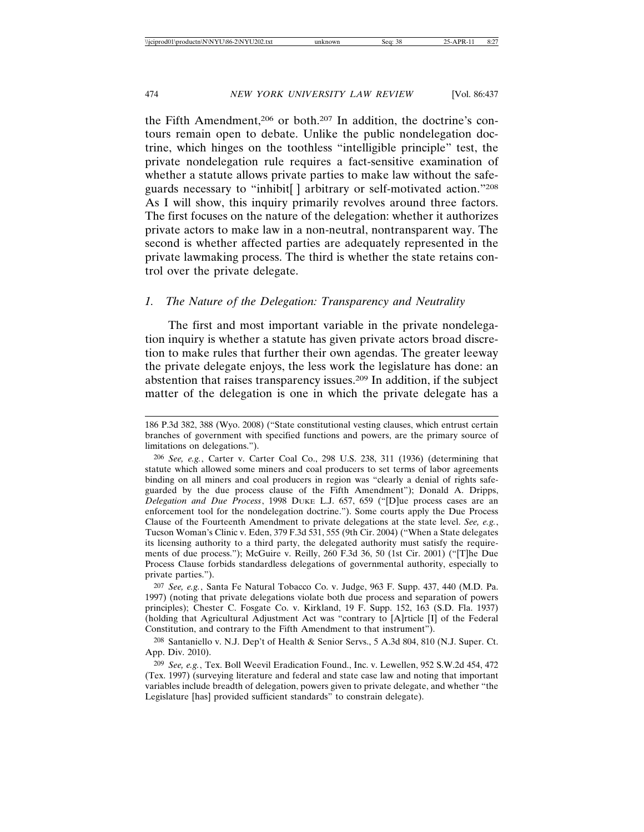the Fifth Amendment,206 or both.207 In addition, the doctrine's contours remain open to debate. Unlike the public nondelegation doctrine, which hinges on the toothless "intelligible principle" test, the private nondelegation rule requires a fact-sensitive examination of whether a statute allows private parties to make law without the safeguards necessary to "inhibit[ ] arbitrary or self-motivated action."208 As I will show, this inquiry primarily revolves around three factors. The first focuses on the nature of the delegation: whether it authorizes private actors to make law in a non-neutral, nontransparent way. The second is whether affected parties are adequately represented in the private lawmaking process. The third is whether the state retains control over the private delegate.

#### *1. The Nature of the Delegation: Transparency and Neutrality*

The first and most important variable in the private nondelegation inquiry is whether a statute has given private actors broad discretion to make rules that further their own agendas. The greater leeway the private delegate enjoys, the less work the legislature has done: an abstention that raises transparency issues.209 In addition, if the subject matter of the delegation is one in which the private delegate has a

207 *See, e.g.*, Santa Fe Natural Tobacco Co. v. Judge, 963 F. Supp. 437, 440 (M.D. Pa. 1997) (noting that private delegations violate both due process and separation of powers principles); Chester C. Fosgate Co. v. Kirkland, 19 F. Supp. 152, 163 (S.D. Fla. 1937) (holding that Agricultural Adjustment Act was "contrary to [A]rticle [I] of the Federal Constitution, and contrary to the Fifth Amendment to that instrument").

208 Santaniello v. N.J. Dep't of Health & Senior Servs., 5 A.3d 804, 810 (N.J. Super. Ct. App. Div. 2010).

<sup>186</sup> P.3d 382, 388 (Wyo. 2008) ("State constitutional vesting clauses, which entrust certain branches of government with specified functions and powers, are the primary source of limitations on delegations.").

<sup>206</sup> *See, e.g.*, Carter v. Carter Coal Co., 298 U.S. 238, 311 (1936) (determining that statute which allowed some miners and coal producers to set terms of labor agreements binding on all miners and coal producers in region was "clearly a denial of rights safeguarded by the due process clause of the Fifth Amendment"); Donald A. Dripps, *Delegation and Due Process*, 1998 DUKE L.J. 657, 659 ("[D]ue process cases are an enforcement tool for the nondelegation doctrine."). Some courts apply the Due Process Clause of the Fourteenth Amendment to private delegations at the state level. *See, e.g.*, Tucson Woman's Clinic v. Eden, 379 F.3d 531, 555 (9th Cir. 2004) ("When a State delegates its licensing authority to a third party, the delegated authority must satisfy the requirements of due process."); McGuire v. Reilly, 260 F.3d 36, 50 (1st Cir. 2001) ("[T]he Due Process Clause forbids standardless delegations of governmental authority, especially to private parties.").

<sup>209</sup> *See, e.g.*, Tex. Boll Weevil Eradication Found., Inc. v. Lewellen, 952 S.W.2d 454, 472 (Tex. 1997) (surveying literature and federal and state case law and noting that important variables include breadth of delegation, powers given to private delegate, and whether "the Legislature [has] provided sufficient standards" to constrain delegate).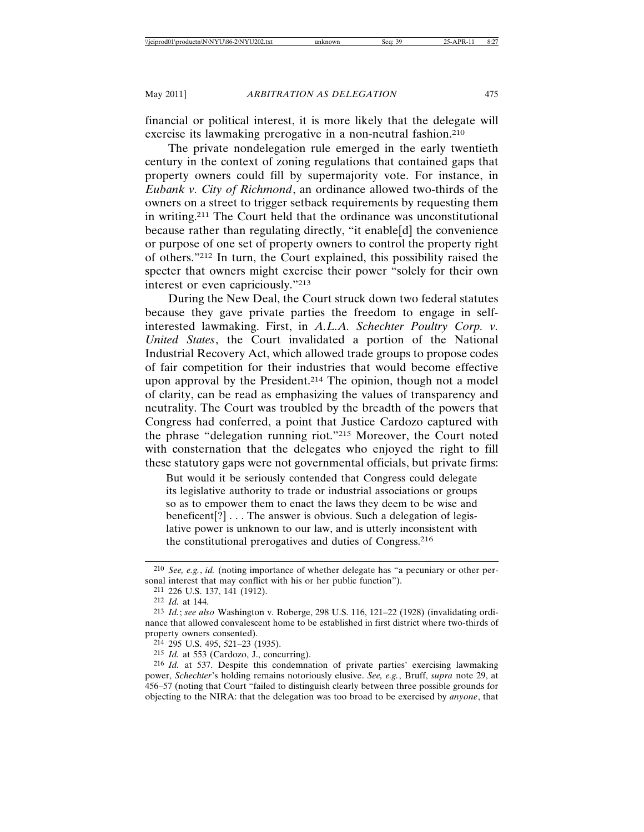financial or political interest, it is more likely that the delegate will exercise its lawmaking prerogative in a non-neutral fashion.<sup>210</sup>

The private nondelegation rule emerged in the early twentieth century in the context of zoning regulations that contained gaps that property owners could fill by supermajority vote. For instance, in *Eubank v. City of Richmond*, an ordinance allowed two-thirds of the owners on a street to trigger setback requirements by requesting them in writing.211 The Court held that the ordinance was unconstitutional because rather than regulating directly, "it enable[d] the convenience or purpose of one set of property owners to control the property right of others."212 In turn, the Court explained, this possibility raised the specter that owners might exercise their power "solely for their own interest or even capriciously."213

During the New Deal, the Court struck down two federal statutes because they gave private parties the freedom to engage in selfinterested lawmaking. First, in *A.L.A. Schechter Poultry Corp. v. United States*, the Court invalidated a portion of the National Industrial Recovery Act, which allowed trade groups to propose codes of fair competition for their industries that would become effective upon approval by the President.<sup>214</sup> The opinion, though not a model of clarity, can be read as emphasizing the values of transparency and neutrality. The Court was troubled by the breadth of the powers that Congress had conferred, a point that Justice Cardozo captured with the phrase "delegation running riot."215 Moreover, the Court noted with consternation that the delegates who enjoyed the right to fill these statutory gaps were not governmental officials, but private firms:

But would it be seriously contended that Congress could delegate its legislative authority to trade or industrial associations or groups so as to empower them to enact the laws they deem to be wise and beneficent[?] . . . The answer is obvious. Such a delegation of legislative power is unknown to our law, and is utterly inconsistent with the constitutional prerogatives and duties of Congress.216

<sup>210</sup> *See, e.g.*, *id.* (noting importance of whether delegate has "a pecuniary or other personal interest that may conflict with his or her public function").

<sup>211</sup> 226 U.S. 137, 141 (1912).

<sup>212</sup> *Id.* at 144.

<sup>213</sup> *Id.*; *see also* Washington v. Roberge, 298 U.S. 116, 121–22 (1928) (invalidating ordinance that allowed convalescent home to be established in first district where two-thirds of property owners consented).

<sup>214</sup> 295 U.S. 495, 521–23 (1935).

<sup>215</sup> *Id.* at 553 (Cardozo, J., concurring).

<sup>216</sup> *Id.* at 537. Despite this condemnation of private parties' exercising lawmaking power, *Schechter*'s holding remains notoriously elusive. *See, e.g.*, Bruff, *supra* note 29, at 456–57 (noting that Court "failed to distinguish clearly between three possible grounds for objecting to the NIRA: that the delegation was too broad to be exercised by *anyone*, that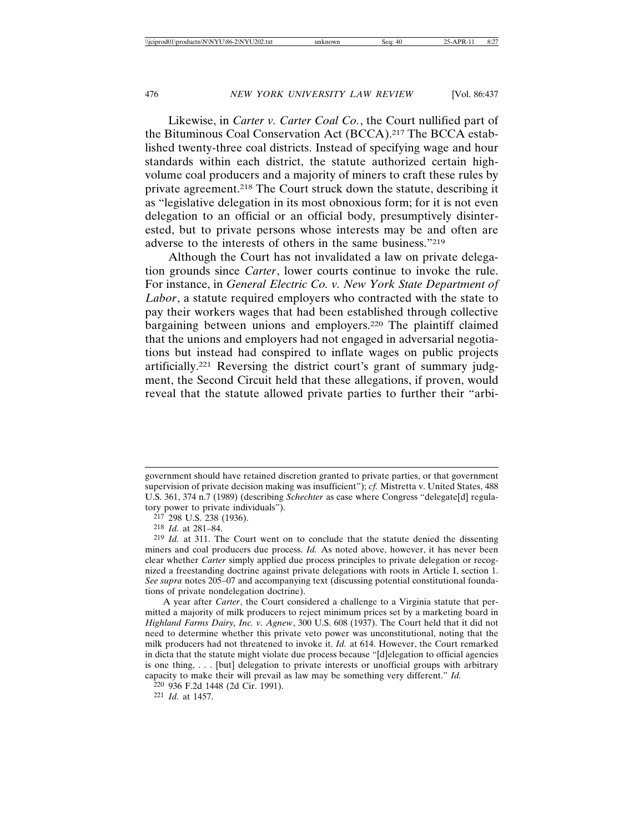Likewise, in *Carter v. Carter Coal Co.*, the Court nullified part of the Bituminous Coal Conservation Act (BCCA).217 The BCCA established twenty-three coal districts. Instead of specifying wage and hour standards within each district, the statute authorized certain highvolume coal producers and a majority of miners to craft these rules by private agreement.218 The Court struck down the statute, describing it as "legislative delegation in its most obnoxious form; for it is not even delegation to an official or an official body, presumptively disinterested, but to private persons whose interests may be and often are adverse to the interests of others in the same business."219

Although the Court has not invalidated a law on private delegation grounds since *Carter*, lower courts continue to invoke the rule. For instance, in *General Electric Co. v. New York State Department of Labor*, a statute required employers who contracted with the state to pay their workers wages that had been established through collective bargaining between unions and employers.220 The plaintiff claimed that the unions and employers had not engaged in adversarial negotiations but instead had conspired to inflate wages on public projects artificially.221 Reversing the district court's grant of summary judgment, the Second Circuit held that these allegations, if proven, would reveal that the statute allowed private parties to further their "arbi-

government should have retained discretion granted to private parties, or that government supervision of private decision making was insufficient"); *cf.* Mistretta v. United States, 488 U.S. 361, 374 n.7 (1989) (describing *Schechter* as case where Congress "delegate[d] regulatory power to private individuals").

<sup>217</sup> 298 U.S. 238 (1936).

<sup>218</sup> *Id.* at 281–84.

<sup>219</sup> *Id.* at 311. The Court went on to conclude that the statute denied the dissenting miners and coal producers due process. *Id.* As noted above, however, it has never been clear whether *Carter* simply applied due process principles to private delegation or recognized a freestanding doctrine against private delegations with roots in Article I, section 1. *See supra* notes 205–07 and accompanying text (discussing potential constitutional foundations of private nondelegation doctrine).

A year after *Carter*, the Court considered a challenge to a Virginia statute that permitted a majority of milk producers to reject minimum prices set by a marketing board in *Highland Farms Dairy, Inc. v. Agnew*, 300 U.S. 608 (1937). The Court held that it did not need to determine whether this private veto power was unconstitutional, noting that the milk producers had not threatened to invoke it. *Id.* at 614. However, the Court remarked in dicta that the statute might violate due process because "[d]elegation to official agencies is one thing, . . . [but] delegation to private interests or unofficial groups with arbitrary capacity to make their will prevail as law may be something very different." *Id.*

<sup>220</sup> 936 F.2d 1448 (2d Cir. 1991).

<sup>221</sup> *Id.* at 1457.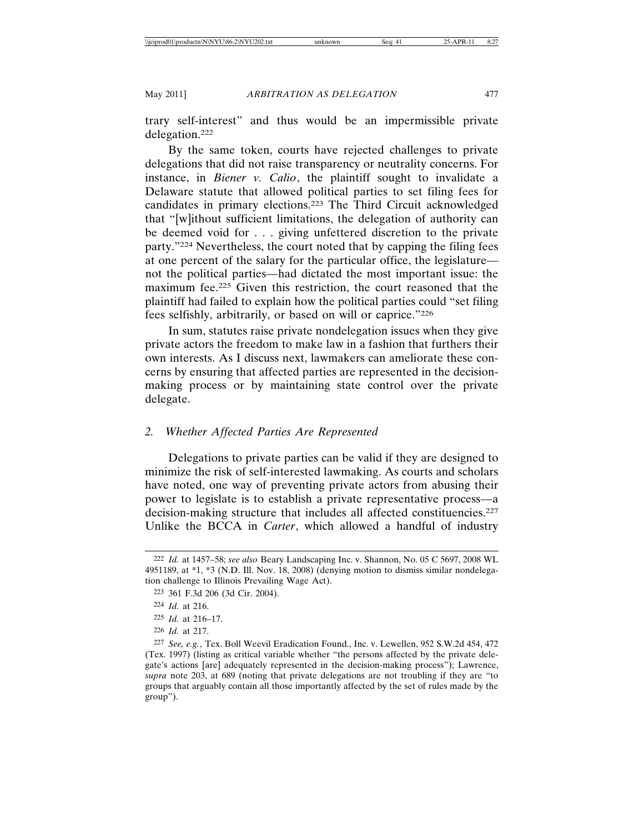trary self-interest" and thus would be an impermissible private delegation.222

By the same token, courts have rejected challenges to private delegations that did not raise transparency or neutrality concerns. For instance, in *Biener v. Calio*, the plaintiff sought to invalidate a Delaware statute that allowed political parties to set filing fees for candidates in primary elections.223 The Third Circuit acknowledged that "[w]ithout sufficient limitations, the delegation of authority can be deemed void for . . . giving unfettered discretion to the private party."224 Nevertheless, the court noted that by capping the filing fees at one percent of the salary for the particular office, the legislature not the political parties—had dictated the most important issue: the maximum fee.225 Given this restriction, the court reasoned that the plaintiff had failed to explain how the political parties could "set filing fees selfishly, arbitrarily, or based on will or caprice."226

In sum, statutes raise private nondelegation issues when they give private actors the freedom to make law in a fashion that furthers their own interests. As I discuss next, lawmakers can ameliorate these concerns by ensuring that affected parties are represented in the decisionmaking process or by maintaining state control over the private delegate.

# *2. Whether Affected Parties Are Represented*

Delegations to private parties can be valid if they are designed to minimize the risk of self-interested lawmaking. As courts and scholars have noted, one way of preventing private actors from abusing their power to legislate is to establish a private representative process—a decision-making structure that includes all affected constituencies.227 Unlike the BCCA in *Carter*, which allowed a handful of industry

<sup>222</sup> *Id.* at 1457–58; *see also* Beary Landscaping Inc. v. Shannon, No. 05 C 5697, 2008 WL 4951189, at \*1, \*3 (N.D. Ill. Nov. 18, 2008) (denying motion to dismiss similar nondelegation challenge to Illinois Prevailing Wage Act).

<sup>223</sup> 361 F.3d 206 (3d Cir. 2004).

<sup>224</sup> *Id.* at 216.

<sup>225</sup> *Id.* at 216–17.

<sup>226</sup> *Id.* at 217.

<sup>227</sup> *See, e.g.*, Tex. Boll Weevil Eradication Found., Inc. v. Lewellen, 952 S.W.2d 454, 472 (Tex. 1997) (listing as critical variable whether "the persons affected by the private delegate's actions [are] adequately represented in the decision-making process"); Lawrence, *supra* note 203, at 689 (noting that private delegations are not troubling if they are "to groups that arguably contain all those importantly affected by the set of rules made by the group").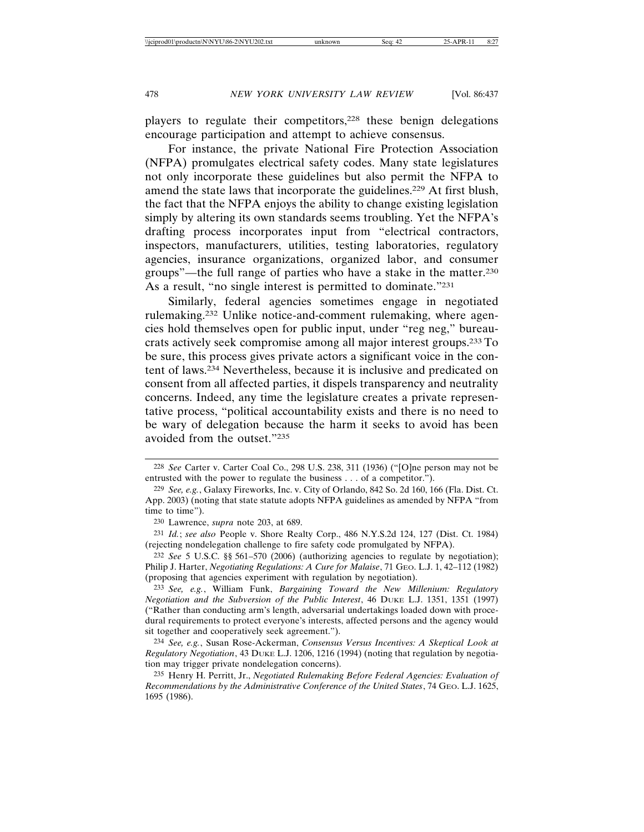players to regulate their competitors,228 these benign delegations encourage participation and attempt to achieve consensus.

For instance, the private National Fire Protection Association (NFPA) promulgates electrical safety codes. Many state legislatures not only incorporate these guidelines but also permit the NFPA to amend the state laws that incorporate the guidelines.229 At first blush, the fact that the NFPA enjoys the ability to change existing legislation simply by altering its own standards seems troubling. Yet the NFPA's drafting process incorporates input from "electrical contractors, inspectors, manufacturers, utilities, testing laboratories, regulatory agencies, insurance organizations, organized labor, and consumer groups"—the full range of parties who have a stake in the matter.230 As a result, "no single interest is permitted to dominate."231

Similarly, federal agencies sometimes engage in negotiated rulemaking.232 Unlike notice-and-comment rulemaking, where agencies hold themselves open for public input, under "reg neg," bureaucrats actively seek compromise among all major interest groups.233 To be sure, this process gives private actors a significant voice in the content of laws.234 Nevertheless, because it is inclusive and predicated on consent from all affected parties, it dispels transparency and neutrality concerns. Indeed, any time the legislature creates a private representative process, "political accountability exists and there is no need to be wary of delegation because the harm it seeks to avoid has been avoided from the outset."235

<sup>228</sup> *See* Carter v. Carter Coal Co., 298 U.S. 238, 311 (1936) ("[O]ne person may not be entrusted with the power to regulate the business . . . of a competitor.").

<sup>229</sup> *See, e.g.*, Galaxy Fireworks, Inc. v. City of Orlando, 842 So. 2d 160, 166 (Fla. Dist. Ct. App. 2003) (noting that state statute adopts NFPA guidelines as amended by NFPA "from time to time").

<sup>230</sup> Lawrence, *supra* note 203, at 689.

<sup>231</sup> *Id.*; *see also* People v. Shore Realty Corp., 486 N.Y.S.2d 124, 127 (Dist. Ct. 1984) (rejecting nondelegation challenge to fire safety code promulgated by NFPA).

<sup>232</sup> *See* 5 U.S.C. §§ 561–570 (2006) (authorizing agencies to regulate by negotiation); Philip J. Harter, *Negotiating Regulations: A Cure for Malaise*, 71 GEO. L.J. 1, 42–112 (1982) (proposing that agencies experiment with regulation by negotiation).

<sup>233</sup> *See, e.g.*, William Funk, *Bargaining Toward the New Millenium: Regulatory Negotiation and the Subversion of the Public Interest*, 46 DUKE L.J. 1351, 1351 (1997) ("Rather than conducting arm's length, adversarial undertakings loaded down with procedural requirements to protect everyone's interests, affected persons and the agency would sit together and cooperatively seek agreement.").

<sup>234</sup> *See, e.g.*, Susan Rose-Ackerman, *Consensus Versus Incentives: A Skeptical Look at Regulatory Negotiation*, 43 DUKE L.J. 1206, 1216 (1994) (noting that regulation by negotiation may trigger private nondelegation concerns).

<sup>235</sup> Henry H. Perritt, Jr., *Negotiated Rulemaking Before Federal Agencies: Evaluation of Recommendations by the Administrative Conference of the United States*, 74 GEO. L.J. 1625, 1695 (1986).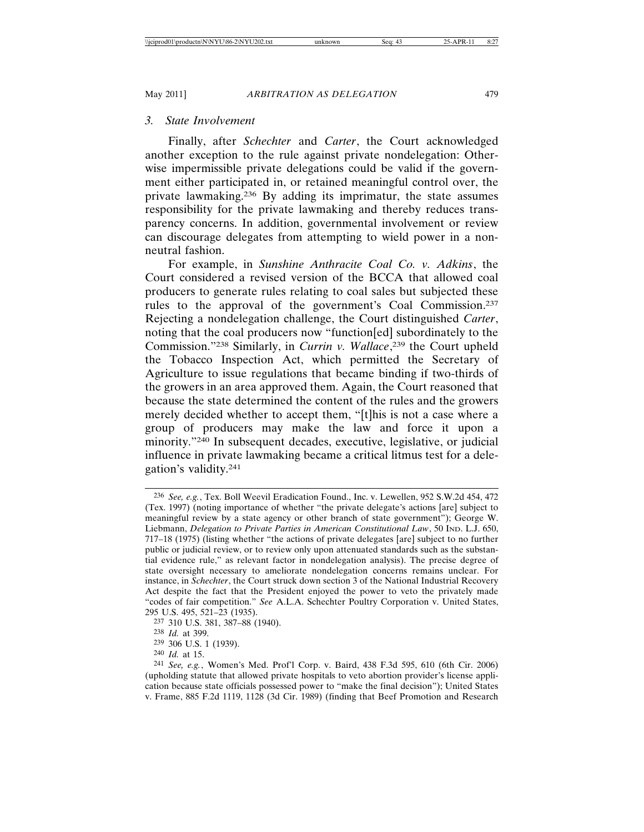## *3. State Involvement*

Finally, after *Schechter* and *Carter*, the Court acknowledged another exception to the rule against private nondelegation: Otherwise impermissible private delegations could be valid if the government either participated in, or retained meaningful control over, the private lawmaking.236 By adding its imprimatur, the state assumes responsibility for the private lawmaking and thereby reduces transparency concerns. In addition, governmental involvement or review can discourage delegates from attempting to wield power in a nonneutral fashion.

For example, in *Sunshine Anthracite Coal Co. v. Adkins*, the Court considered a revised version of the BCCA that allowed coal producers to generate rules relating to coal sales but subjected these rules to the approval of the government's Coal Commission.237 Rejecting a nondelegation challenge, the Court distinguished *Carter*, noting that the coal producers now "function[ed] subordinately to the Commission."238 Similarly, in *Currin v. Wallace*, 239 the Court upheld the Tobacco Inspection Act, which permitted the Secretary of Agriculture to issue regulations that became binding if two-thirds of the growers in an area approved them. Again, the Court reasoned that because the state determined the content of the rules and the growers merely decided whether to accept them, "[t]his is not a case where a group of producers may make the law and force it upon a minority."240 In subsequent decades, executive, legislative, or judicial influence in private lawmaking became a critical litmus test for a delegation's validity.241

<sup>236</sup> *See, e.g.*, Tex. Boll Weevil Eradication Found., Inc. v. Lewellen, 952 S.W.2d 454, 472 (Tex. 1997) (noting importance of whether "the private delegate's actions [are] subject to meaningful review by a state agency or other branch of state government"); George W. Liebmann, *Delegation to Private Parties in American Constitutional Law*, 50 IND. L.J. 650, 717–18 (1975) (listing whether "the actions of private delegates [are] subject to no further public or judicial review, or to review only upon attenuated standards such as the substantial evidence rule," as relevant factor in nondelegation analysis). The precise degree of state oversight necessary to ameliorate nondelegation concerns remains unclear. For instance, in *Schechter*, the Court struck down section 3 of the National Industrial Recovery Act despite the fact that the President enjoyed the power to veto the privately made "codes of fair competition." *See* A.L.A. Schechter Poultry Corporation v. United States, 295 U.S. 495, 521–23 (1935).

<sup>237</sup> 310 U.S. 381, 387–88 (1940).

<sup>238</sup> *Id.* at 399.

<sup>239</sup> 306 U.S. 1 (1939).

<sup>240</sup> *Id.* at 15.

<sup>241</sup> *See, e.g.*, Women's Med. Prof'l Corp. v. Baird, 438 F.3d 595, 610 (6th Cir. 2006) (upholding statute that allowed private hospitals to veto abortion provider's license application because state officials possessed power to "make the final decision"); United States v. Frame, 885 F.2d 1119, 1128 (3d Cir. 1989) (finding that Beef Promotion and Research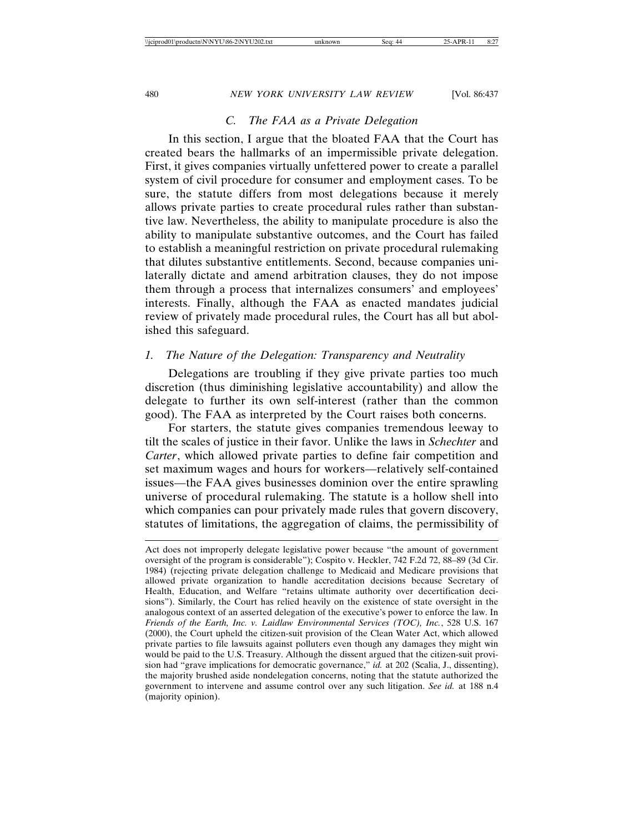# *C. The FAA as a Private Delegation*

In this section, I argue that the bloated FAA that the Court has created bears the hallmarks of an impermissible private delegation. First, it gives companies virtually unfettered power to create a parallel system of civil procedure for consumer and employment cases. To be sure, the statute differs from most delegations because it merely allows private parties to create procedural rules rather than substantive law. Nevertheless, the ability to manipulate procedure is also the ability to manipulate substantive outcomes, and the Court has failed to establish a meaningful restriction on private procedural rulemaking that dilutes substantive entitlements. Second, because companies unilaterally dictate and amend arbitration clauses, they do not impose them through a process that internalizes consumers' and employees' interests. Finally, although the FAA as enacted mandates judicial review of privately made procedural rules, the Court has all but abolished this safeguard.

# *1. The Nature of the Delegation: Transparency and Neutrality*

Delegations are troubling if they give private parties too much discretion (thus diminishing legislative accountability) and allow the delegate to further its own self-interest (rather than the common good). The FAA as interpreted by the Court raises both concerns.

For starters, the statute gives companies tremendous leeway to tilt the scales of justice in their favor. Unlike the laws in *Schechter* and *Carter*, which allowed private parties to define fair competition and set maximum wages and hours for workers—relatively self-contained issues—the FAA gives businesses dominion over the entire sprawling universe of procedural rulemaking. The statute is a hollow shell into which companies can pour privately made rules that govern discovery, statutes of limitations, the aggregation of claims, the permissibility of

Act does not improperly delegate legislative power because "the amount of government oversight of the program is considerable"); Cospito v. Heckler, 742 F.2d 72, 88–89 (3d Cir. 1984) (rejecting private delegation challenge to Medicaid and Medicare provisions that allowed private organization to handle accreditation decisions because Secretary of Health, Education, and Welfare "retains ultimate authority over decertification decisions"). Similarly, the Court has relied heavily on the existence of state oversight in the analogous context of an asserted delegation of the executive's power to enforce the law. In *Friends of the Earth, Inc. v. Laidlaw Environmental Services (TOC), Inc.*, 528 U.S. 167 (2000), the Court upheld the citizen-suit provision of the Clean Water Act, which allowed private parties to file lawsuits against polluters even though any damages they might win would be paid to the U.S. Treasury. Although the dissent argued that the citizen-suit provision had "grave implications for democratic governance," *id.* at 202 (Scalia, J., dissenting), the majority brushed aside nondelegation concerns, noting that the statute authorized the government to intervene and assume control over any such litigation. *See id.* at 188 n.4 (majority opinion).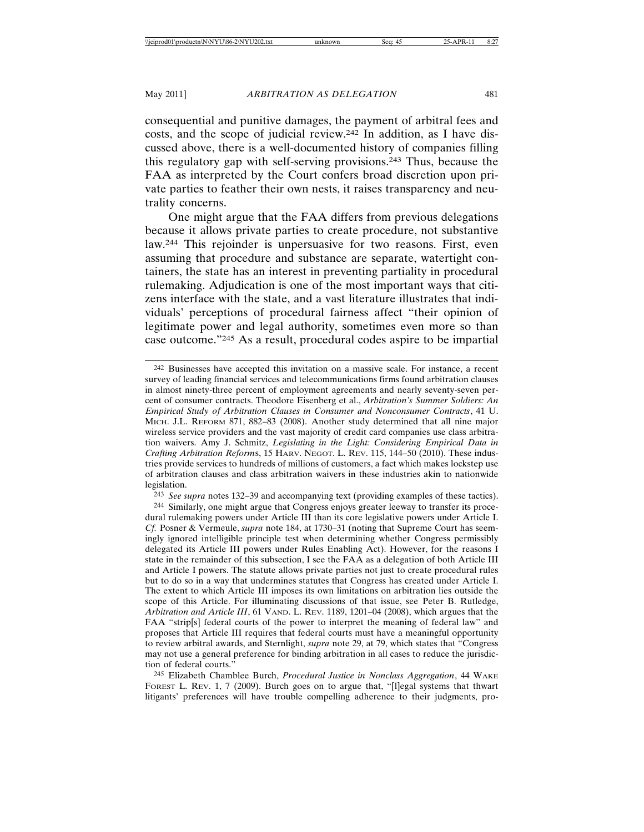consequential and punitive damages, the payment of arbitral fees and costs, and the scope of judicial review.242 In addition, as I have discussed above, there is a well-documented history of companies filling this regulatory gap with self-serving provisions.243 Thus, because the FAA as interpreted by the Court confers broad discretion upon private parties to feather their own nests, it raises transparency and neutrality concerns.

One might argue that the FAA differs from previous delegations because it allows private parties to create procedure, not substantive law.244 This rejoinder is unpersuasive for two reasons. First, even assuming that procedure and substance are separate, watertight containers, the state has an interest in preventing partiality in procedural rulemaking. Adjudication is one of the most important ways that citizens interface with the state, and a vast literature illustrates that individuals' perceptions of procedural fairness affect "their opinion of legitimate power and legal authority, sometimes even more so than case outcome."245 As a result, procedural codes aspire to be impartial

243 *See supra* notes 132–39 and accompanying text (providing examples of these tactics).

244 Similarly, one might argue that Congress enjoys greater leeway to transfer its procedural rulemaking powers under Article III than its core legislative powers under Article I. *Cf.* Posner & Vermeule, *supra* note 184, at 1730–31 (noting that Supreme Court has seemingly ignored intelligible principle test when determining whether Congress permissibly delegated its Article III powers under Rules Enabling Act). However, for the reasons I state in the remainder of this subsection, I see the FAA as a delegation of both Article III and Article I powers. The statute allows private parties not just to create procedural rules but to do so in a way that undermines statutes that Congress has created under Article I. The extent to which Article III imposes its own limitations on arbitration lies outside the scope of this Article. For illuminating discussions of that issue, see Peter B. Rutledge, *Arbitration and Article III*, 61 VAND. L. REV. 1189, 1201–04 (2008), which argues that the FAA "strip[s] federal courts of the power to interpret the meaning of federal law" and proposes that Article III requires that federal courts must have a meaningful opportunity to review arbitral awards, and Sternlight, *supra* note 29, at 79, which states that "Congress may not use a general preference for binding arbitration in all cases to reduce the jurisdiction of federal courts."

245 Elizabeth Chamblee Burch, *Procedural Justice in Nonclass Aggregation*, 44 WAKE FOREST L. REV. 1, 7 (2009). Burch goes on to argue that, "[l]egal systems that thwart litigants' preferences will have trouble compelling adherence to their judgments, pro-

<sup>242</sup> Businesses have accepted this invitation on a massive scale. For instance, a recent survey of leading financial services and telecommunications firms found arbitration clauses in almost ninety-three percent of employment agreements and nearly seventy-seven percent of consumer contracts. Theodore Eisenberg et al., *Arbitration's Summer Soldiers: An Empirical Study of Arbitration Clauses in Consumer and Nonconsumer Contracts*, 41 U. MICH. J.L. REFORM 871, 882–83 (2008). Another study determined that all nine major wireless service providers and the vast majority of credit card companies use class arbitration waivers. Amy J. Schmitz, *Legislating in the Light: Considering Empirical Data in Crafting Arbitration Reform*s, 15 HARV. NEGOT. L. REV. 115, 144–50 (2010). These industries provide services to hundreds of millions of customers, a fact which makes lockstep use of arbitration clauses and class arbitration waivers in these industries akin to nationwide legislation.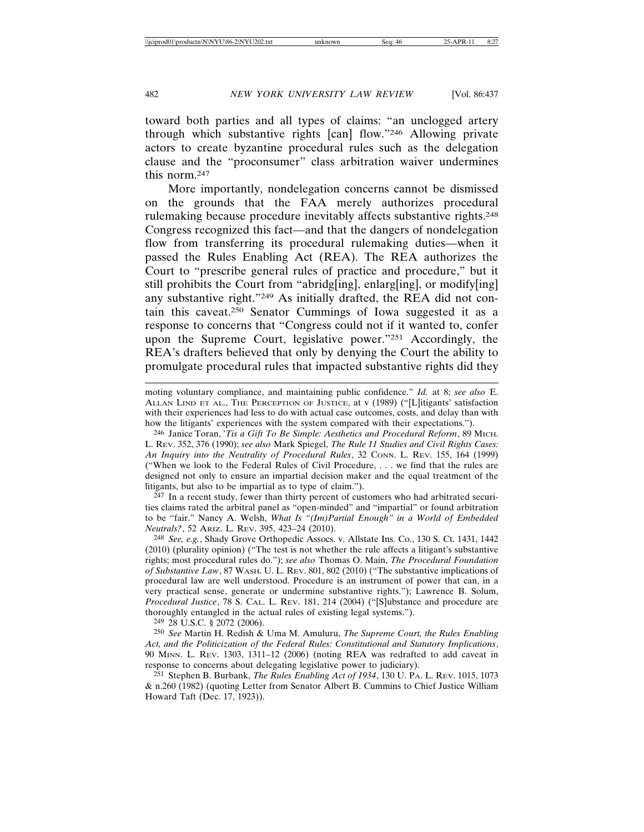toward both parties and all types of claims: "an unclogged artery through which substantive rights [can] flow."246 Allowing private actors to create byzantine procedural rules such as the delegation clause and the "proconsumer" class arbitration waiver undermines this norm.247

More importantly, nondelegation concerns cannot be dismissed on the grounds that the FAA merely authorizes procedural rulemaking because procedure inevitably affects substantive rights.248 Congress recognized this fact—and that the dangers of nondelegation flow from transferring its procedural rulemaking duties—when it passed the Rules Enabling Act (REA). The REA authorizes the Court to "prescribe general rules of practice and procedure," but it still prohibits the Court from "abridg[ing], enlarg[ing], or modify[ing] any substantive right."249 As initially drafted, the REA did not contain this caveat.250 Senator Cummings of Iowa suggested it as a response to concerns that "Congress could not if it wanted to, confer upon the Supreme Court, legislative power."251 Accordingly, the REA's drafters believed that only by denying the Court the ability to promulgate procedural rules that impacted substantive rights did they

moting voluntary compliance, and maintaining public confidence." *Id.* at 8; *see also* E. ALLAN LIND ET AL., THE PERCEPTION OF JUSTICE, at v (1989) ("[L]itigants' satisfaction with their experiences had less to do with actual case outcomes, costs, and delay than with how the litigants' experiences with the system compared with their expectations.").

246 Janice Toran, '*Tis a Gift To Be Simple: Aesthetics and Procedural Reform*, 89 MICH. L. REV. 352, 376 (1990); *see also* Mark Spiegel, *The Rule 11 Studies and Civil Rights Cases: An Inquiry into the Neutrality of Procedural Rules*, 32 CONN. L. REV. 155, 164 (1999) ("When we look to the Federal Rules of Civil Procedure, . . . we find that the rules are designed not only to ensure an impartial decision maker and the equal treatment of the litigants, but also to be impartial as to type of claim.").

 $247$  In a recent study, fewer than thirty percent of customers who had arbitrated securities claims rated the arbitral panel as "open-minded" and "impartial" or found arbitration to be "fair." Nancy A. Welsh, *What Is "(Im)Partial Enough" in a World of Embedded Neutrals?*, 52 ARIZ. L. REV. 395, 423–24 (2010).

248 *See, e.g.*, Shady Grove Orthopedic Assocs. v. Allstate Ins. Co., 130 S. Ct. 1431, 1442 (2010) (plurality opinion) ("The test is not whether the rule affects a litigant's substantive rights; most procedural rules do."); *see also* Thomas O. Main, *The Procedural Foundation of Substantive Law*, 87 WASH. U. L. REV. 801, 802 (2010) ("The substantive implications of procedural law are well understood. Procedure is an instrument of power that can, in a very practical sense, generate or undermine substantive rights."); Lawrence B. Solum, *Procedural Justice*, 78 S. CAL. L. REV. 181, 214 (2004) ("[S]ubstance and procedure are thoroughly entangled in the actual rules of existing legal systems.").

249 28 U.S.C. § 2072 (2006).

250 *See* Martin H. Redish & Uma M. Amuluru, *The Supreme Court, the Rules Enabling Act, and the Politicization of the Federal Rules: Constitutional and Statutory Implications*, 90 MINN. L. REV. 1303, 1311–12 (2006) (noting REA was redrafted to add caveat in response to concerns about delegating legislative power to judiciary).

251 Stephen B. Burbank, *The Rules Enabling Act of 1934*, 130 U. PA. L. REV. 1015, 1073 & n.260 (1982) (quoting Letter from Senator Albert B. Cummins to Chief Justice William Howard Taft (Dec. 17, 1923)).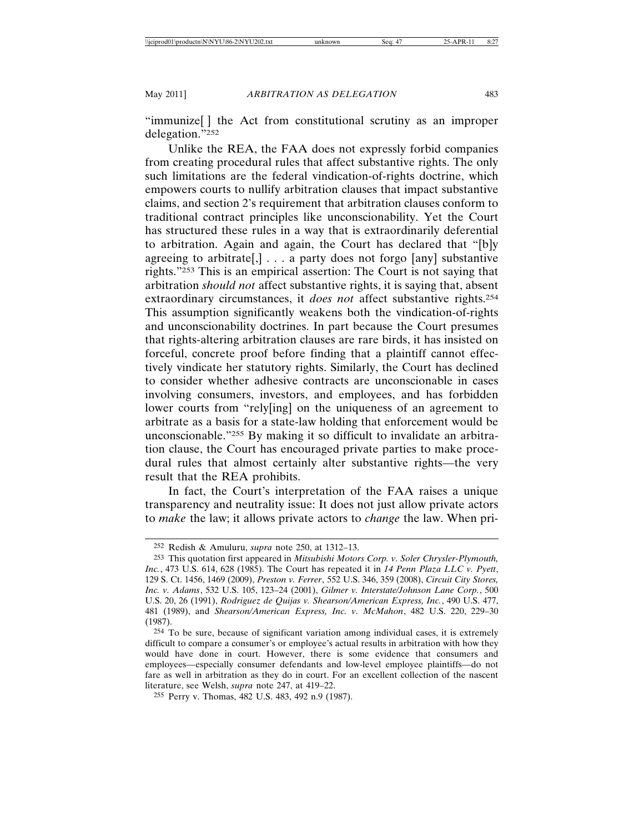"immunize[ ] the Act from constitutional scrutiny as an improper delegation."252

Unlike the REA, the FAA does not expressly forbid companies from creating procedural rules that affect substantive rights. The only such limitations are the federal vindication-of-rights doctrine, which empowers courts to nullify arbitration clauses that impact substantive claims, and section 2's requirement that arbitration clauses conform to traditional contract principles like unconscionability. Yet the Court has structured these rules in a way that is extraordinarily deferential to arbitration. Again and again, the Court has declared that "[b]y agreeing to arbitrate[,]  $\ldots$  a party does not forgo [any] substantive rights."253 This is an empirical assertion: The Court is not saying that arbitration *should not* affect substantive rights, it is saying that, absent extraordinary circumstances, it *does not* affect substantive rights.254 This assumption significantly weakens both the vindication-of-rights and unconscionability doctrines. In part because the Court presumes that rights-altering arbitration clauses are rare birds, it has insisted on forceful, concrete proof before finding that a plaintiff cannot effectively vindicate her statutory rights. Similarly, the Court has declined to consider whether adhesive contracts are unconscionable in cases involving consumers, investors, and employees, and has forbidden lower courts from "rely[ing] on the uniqueness of an agreement to arbitrate as a basis for a state-law holding that enforcement would be unconscionable."255 By making it so difficult to invalidate an arbitration clause, the Court has encouraged private parties to make procedural rules that almost certainly alter substantive rights—the very result that the REA prohibits.

In fact, the Court's interpretation of the FAA raises a unique transparency and neutrality issue: It does not just allow private actors to *make* the law; it allows private actors to *change* the law. When pri-

255 Perry v. Thomas, 482 U.S. 483, 492 n.9 (1987).

<sup>252</sup> Redish & Amuluru, *supra* note 250, at 1312–13.

<sup>253</sup> This quotation first appeared in *Mitsubishi Motors Corp. v. Soler Chrysler-Plymouth, Inc.*, 473 U.S. 614, 628 (1985). The Court has repeated it in *14 Penn Plaza LLC v. Pyett*, 129 S. Ct. 1456, 1469 (2009), *Preston v. Ferrer*, 552 U.S. 346, 359 (2008), *Circuit City Stores, Inc. v. Adams*, 532 U.S. 105, 123–24 (2001), *Gilmer v. Interstate/Johnson Lane Corp.*, 500 U.S. 20, 26 (1991), *Rodriguez de Quijas v. Shearson/American Express, Inc.*, 490 U.S. 477, 481 (1989), and *Shearson/American Express, Inc. v. McMahon*, 482 U.S. 220, 229–30 (1987).

<sup>254</sup> To be sure, because of significant variation among individual cases, it is extremely difficult to compare a consumer's or employee's actual results in arbitration with how they would have done in court. However, there is some evidence that consumers and employees—especially consumer defendants and low-level employee plaintiffs—do not fare as well in arbitration as they do in court. For an excellent collection of the nascent literature, see Welsh, *supra* note 247, at 419–22.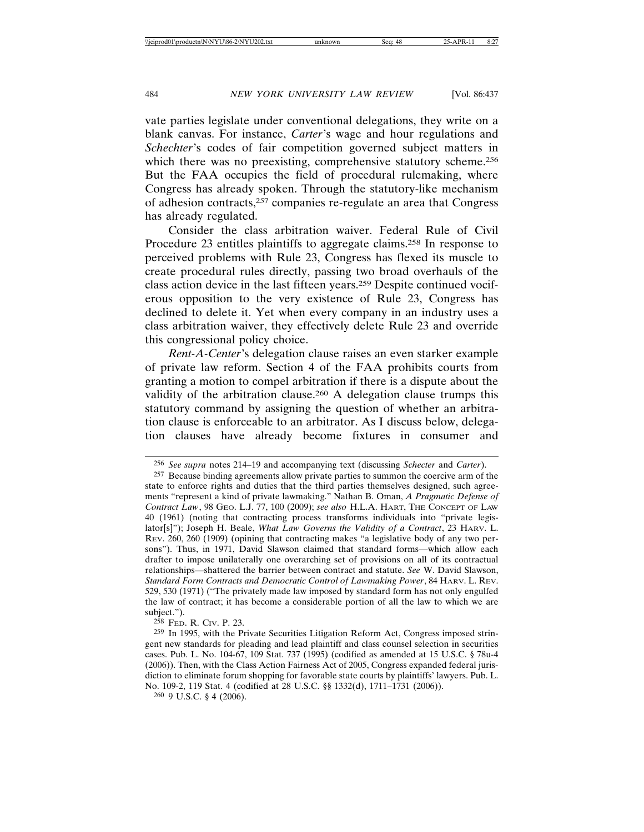vate parties legislate under conventional delegations, they write on a blank canvas. For instance, *Carter*'s wage and hour regulations and *Schechter*'s codes of fair competition governed subject matters in which there was no preexisting, comprehensive statutory scheme.<sup>256</sup> But the FAA occupies the field of procedural rulemaking, where Congress has already spoken. Through the statutory-like mechanism of adhesion contracts,257 companies re-regulate an area that Congress has already regulated.

Consider the class arbitration waiver. Federal Rule of Civil Procedure 23 entitles plaintiffs to aggregate claims.258 In response to perceived problems with Rule 23, Congress has flexed its muscle to create procedural rules directly, passing two broad overhauls of the class action device in the last fifteen years.259 Despite continued vociferous opposition to the very existence of Rule 23, Congress has declined to delete it. Yet when every company in an industry uses a class arbitration waiver, they effectively delete Rule 23 and override this congressional policy choice.

*Rent-A-Center*'s delegation clause raises an even starker example of private law reform. Section 4 of the FAA prohibits courts from granting a motion to compel arbitration if there is a dispute about the validity of the arbitration clause.<sup>260</sup> A delegation clause trumps this statutory command by assigning the question of whether an arbitration clause is enforceable to an arbitrator. As I discuss below, delegation clauses have already become fixtures in consumer and

258 FED. R. CIV. P. 23.

260 9 U.S.C. § 4 (2006).

<sup>256</sup> *See supra* notes 214–19 and accompanying text (discussing *Schecter* and *Carter*).

<sup>257</sup> Because binding agreements allow private parties to summon the coercive arm of the state to enforce rights and duties that the third parties themselves designed, such agreements "represent a kind of private lawmaking." Nathan B. Oman, *A Pragmatic Defense of Contract Law*, 98 GEO. L.J. 77, 100 (2009); *see also* H.L.A. HART, THE CONCEPT OF LAW 40 (1961) (noting that contracting process transforms individuals into "private legislator[s]"); Joseph H. Beale, *What Law Governs the Validity of a Contract*, 23 HARV. L. REV. 260, 260 (1909) (opining that contracting makes "a legislative body of any two persons"). Thus, in 1971, David Slawson claimed that standard forms—which allow each drafter to impose unilaterally one overarching set of provisions on all of its contractual relationships—shattered the barrier between contract and statute. *See* W. David Slawson, *Standard Form Contracts and Democratic Control of Lawmaking Power*, 84 HARV. L. REV. 529, 530 (1971) ("The privately made law imposed by standard form has not only engulfed the law of contract; it has become a considerable portion of all the law to which we are subject.").

<sup>259</sup> In 1995, with the Private Securities Litigation Reform Act, Congress imposed stringent new standards for pleading and lead plaintiff and class counsel selection in securities cases. Pub. L. No. 104-67, 109 Stat. 737 (1995) (codified as amended at 15 U.S.C. § 78u-4 (2006)). Then, with the Class Action Fairness Act of 2005, Congress expanded federal jurisdiction to eliminate forum shopping for favorable state courts by plaintiffs' lawyers. Pub. L. No. 109-2, 119 Stat. 4 (codified at 28 U.S.C. §§ 1332(d), 1711–1731 (2006)).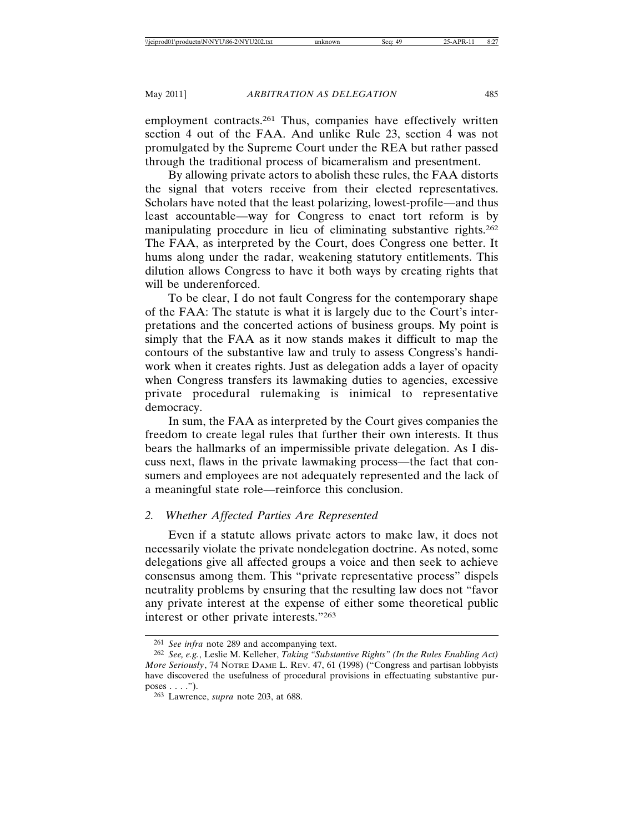employment contracts.<sup>261</sup> Thus, companies have effectively written section 4 out of the FAA. And unlike Rule 23, section 4 was not promulgated by the Supreme Court under the REA but rather passed through the traditional process of bicameralism and presentment.

By allowing private actors to abolish these rules, the FAA distorts the signal that voters receive from their elected representatives. Scholars have noted that the least polarizing, lowest-profile—and thus least accountable—way for Congress to enact tort reform is by manipulating procedure in lieu of eliminating substantive rights.262 The FAA, as interpreted by the Court, does Congress one better. It hums along under the radar, weakening statutory entitlements. This dilution allows Congress to have it both ways by creating rights that will be underenforced.

To be clear, I do not fault Congress for the contemporary shape of the FAA: The statute is what it is largely due to the Court's interpretations and the concerted actions of business groups. My point is simply that the FAA as it now stands makes it difficult to map the contours of the substantive law and truly to assess Congress's handiwork when it creates rights. Just as delegation adds a layer of opacity when Congress transfers its lawmaking duties to agencies, excessive private procedural rulemaking is inimical to representative democracy.

In sum, the FAA as interpreted by the Court gives companies the freedom to create legal rules that further their own interests. It thus bears the hallmarks of an impermissible private delegation. As I discuss next, flaws in the private lawmaking process—the fact that consumers and employees are not adequately represented and the lack of a meaningful state role—reinforce this conclusion.

## *2. Whether Affected Parties Are Represented*

Even if a statute allows private actors to make law, it does not necessarily violate the private nondelegation doctrine. As noted, some delegations give all affected groups a voice and then seek to achieve consensus among them. This "private representative process" dispels neutrality problems by ensuring that the resulting law does not "favor any private interest at the expense of either some theoretical public interest or other private interests."263

<sup>261</sup> *See infra* note 289 and accompanying text.

<sup>262</sup> *See, e.g.*, Leslie M. Kelleher, *Taking "Substantive Rights" (In the Rules Enabling Act) More Seriously*, 74 NOTRE DAME L. REV. 47, 61 (1998) ("Congress and partisan lobbyists have discovered the usefulness of procedural provisions in effectuating substantive purposes  $\dots$ .").

<sup>263</sup> Lawrence, *supra* note 203, at 688.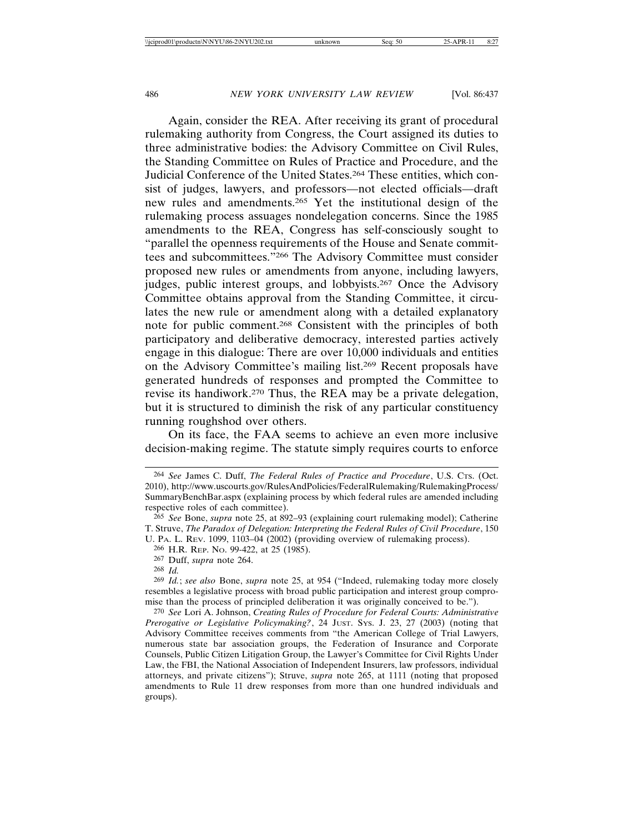Again, consider the REA. After receiving its grant of procedural rulemaking authority from Congress, the Court assigned its duties to three administrative bodies: the Advisory Committee on Civil Rules, the Standing Committee on Rules of Practice and Procedure, and the Judicial Conference of the United States.264 These entities, which consist of judges, lawyers, and professors—not elected officials—draft new rules and amendments.265 Yet the institutional design of the rulemaking process assuages nondelegation concerns. Since the 1985 amendments to the REA, Congress has self-consciously sought to "parallel the openness requirements of the House and Senate committees and subcommittees."266 The Advisory Committee must consider proposed new rules or amendments from anyone, including lawyers, judges, public interest groups, and lobbyists.<sup>267</sup> Once the Advisory Committee obtains approval from the Standing Committee, it circulates the new rule or amendment along with a detailed explanatory note for public comment.268 Consistent with the principles of both participatory and deliberative democracy, interested parties actively engage in this dialogue: There are over 10,000 individuals and entities on the Advisory Committee's mailing list.269 Recent proposals have generated hundreds of responses and prompted the Committee to revise its handiwork.270 Thus, the REA may be a private delegation, but it is structured to diminish the risk of any particular constituency running roughshod over others.

On its face, the FAA seems to achieve an even more inclusive decision-making regime. The statute simply requires courts to enforce

269 *Id.*; *see also* Bone, *supra* note 25, at 954 ("Indeed, rulemaking today more closely resembles a legislative process with broad public participation and interest group compromise than the process of principled deliberation it was originally conceived to be.").

270 *See* Lori A. Johnson, *Creating Rules of Procedure for Federal Courts: Administrative Prerogative or Legislative Policymaking?*, 24 JUST. SYS. J. 23, 27 (2003) (noting that Advisory Committee receives comments from "the American College of Trial Lawyers, numerous state bar association groups, the Federation of Insurance and Corporate Counsels, Public Citizen Litigation Group, the Lawyer's Committee for Civil Rights Under Law, the FBI, the National Association of Independent Insurers, law professors, individual attorneys, and private citizens"); Struve, *supra* note 265, at 1111 (noting that proposed amendments to Rule 11 drew responses from more than one hundred individuals and groups).

<sup>264</sup> *See* James C. Duff, *The Federal Rules of Practice and Procedure*, U.S. CTS. (Oct. 2010), http://www.uscourts.gov/RulesAndPolicies/FederalRulemaking/RulemakingProcess/ SummaryBenchBar.aspx (explaining process by which federal rules are amended including respective roles of each committee).

<sup>265</sup> *See* Bone, *supra* note 25, at 892–93 (explaining court rulemaking model); Catherine T. Struve, *The Paradox of Delegation: Interpreting the Federal Rules of Civil Procedure*, 150 U. PA. L. REV. 1099, 1103–04 (2002) (providing overview of rulemaking process).

<sup>266</sup> H.R. REP. NO. 99-422, at 25 (1985).

<sup>267</sup> Duff, *supra* note 264.

<sup>268</sup> *Id.*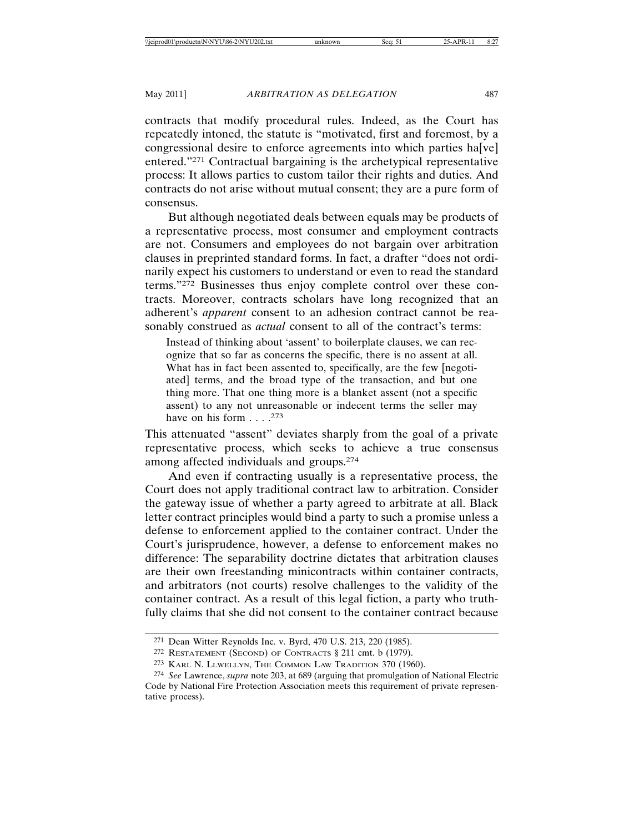contracts that modify procedural rules. Indeed, as the Court has repeatedly intoned, the statute is "motivated, first and foremost, by a congressional desire to enforce agreements into which parties ha[ve] entered."271 Contractual bargaining is the archetypical representative process: It allows parties to custom tailor their rights and duties. And contracts do not arise without mutual consent; they are a pure form of consensus.

But although negotiated deals between equals may be products of a representative process, most consumer and employment contracts are not. Consumers and employees do not bargain over arbitration clauses in preprinted standard forms. In fact, a drafter "does not ordinarily expect his customers to understand or even to read the standard terms."272 Businesses thus enjoy complete control over these contracts. Moreover, contracts scholars have long recognized that an adherent's *apparent* consent to an adhesion contract cannot be reasonably construed as *actual* consent to all of the contract's terms:

Instead of thinking about 'assent' to boilerplate clauses, we can recognize that so far as concerns the specific, there is no assent at all. What has in fact been assented to, specifically, are the few [negotiated] terms, and the broad type of the transaction, and but one thing more. That one thing more is a blanket assent (not a specific assent) to any not unreasonable or indecent terms the seller may have on his form  $\ldots$  .<sup>273</sup>

This attenuated "assent" deviates sharply from the goal of a private representative process, which seeks to achieve a true consensus among affected individuals and groups.274

And even if contracting usually is a representative process, the Court does not apply traditional contract law to arbitration. Consider the gateway issue of whether a party agreed to arbitrate at all. Black letter contract principles would bind a party to such a promise unless a defense to enforcement applied to the container contract. Under the Court's jurisprudence, however, a defense to enforcement makes no difference: The separability doctrine dictates that arbitration clauses are their own freestanding minicontracts within container contracts, and arbitrators (not courts) resolve challenges to the validity of the container contract. As a result of this legal fiction, a party who truthfully claims that she did not consent to the container contract because

<sup>271</sup> Dean Witter Reynolds Inc. v. Byrd, 470 U.S. 213, 220 (1985).

<sup>272</sup> RESTATEMENT (SECOND) OF CONTRACTS § 211 cmt. b (1979).

<sup>273</sup> KARL N. LLWELLYN, THE COMMON LAW TRADITION 370 (1960).

<sup>274</sup> *See* Lawrence, *supra* note 203, at 689 (arguing that promulgation of National Electric Code by National Fire Protection Association meets this requirement of private representative process).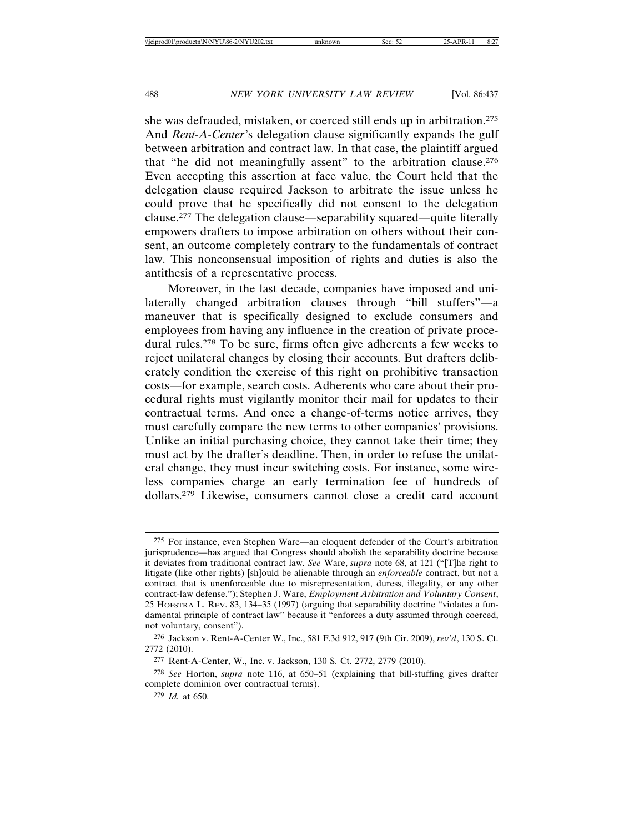she was defrauded, mistaken, or coerced still ends up in arbitration.275 And *Rent-A-Center*'s delegation clause significantly expands the gulf between arbitration and contract law. In that case, the plaintiff argued that "he did not meaningfully assent" to the arbitration clause.276 Even accepting this assertion at face value, the Court held that the delegation clause required Jackson to arbitrate the issue unless he could prove that he specifically did not consent to the delegation clause.277 The delegation clause—separability squared—quite literally empowers drafters to impose arbitration on others without their consent, an outcome completely contrary to the fundamentals of contract law. This nonconsensual imposition of rights and duties is also the antithesis of a representative process.

Moreover, in the last decade, companies have imposed and unilaterally changed arbitration clauses through "bill stuffers"—a maneuver that is specifically designed to exclude consumers and employees from having any influence in the creation of private procedural rules.278 To be sure, firms often give adherents a few weeks to reject unilateral changes by closing their accounts. But drafters deliberately condition the exercise of this right on prohibitive transaction costs—for example, search costs. Adherents who care about their procedural rights must vigilantly monitor their mail for updates to their contractual terms. And once a change-of-terms notice arrives, they must carefully compare the new terms to other companies' provisions. Unlike an initial purchasing choice, they cannot take their time; they must act by the drafter's deadline. Then, in order to refuse the unilateral change, they must incur switching costs. For instance, some wireless companies charge an early termination fee of hundreds of dollars.279 Likewise, consumers cannot close a credit card account

<sup>275</sup> For instance, even Stephen Ware—an eloquent defender of the Court's arbitration jurisprudence—has argued that Congress should abolish the separability doctrine because it deviates from traditional contract law. *See* Ware, *supra* note 68, at 121 ("[T]he right to litigate (like other rights) [sh]ould be alienable through an *enforceable* contract, but not a contract that is unenforceable due to misrepresentation, duress, illegality, or any other contract-law defense."); Stephen J. Ware, *Employment Arbitration and Voluntary Consent*, 25 HOFSTRA L. REV. 83, 134–35 (1997) (arguing that separability doctrine "violates a fundamental principle of contract law" because it "enforces a duty assumed through coerced, not voluntary, consent").

<sup>276</sup> Jackson v. Rent-A-Center W., Inc., 581 F.3d 912, 917 (9th Cir. 2009), *rev'd*, 130 S. Ct. 2772 (2010).

<sup>277</sup> Rent-A-Center, W., Inc. v. Jackson, 130 S. Ct. 2772, 2779 (2010).

<sup>278</sup> *See* Horton, *supra* note 116, at 650–51 (explaining that bill-stuffing gives drafter complete dominion over contractual terms).

<sup>279</sup> *Id.* at 650.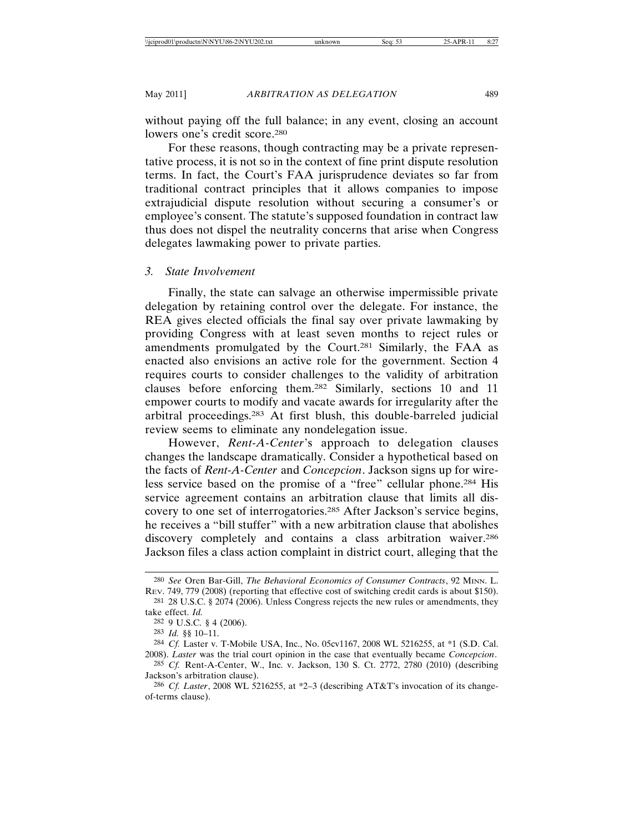without paying off the full balance; in any event, closing an account lowers one's credit score.<sup>280</sup>

For these reasons, though contracting may be a private representative process, it is not so in the context of fine print dispute resolution terms. In fact, the Court's FAA jurisprudence deviates so far from traditional contract principles that it allows companies to impose extrajudicial dispute resolution without securing a consumer's or employee's consent. The statute's supposed foundation in contract law thus does not dispel the neutrality concerns that arise when Congress delegates lawmaking power to private parties.

#### *3. State Involvement*

Finally, the state can salvage an otherwise impermissible private delegation by retaining control over the delegate. For instance, the REA gives elected officials the final say over private lawmaking by providing Congress with at least seven months to reject rules or amendments promulgated by the Court.281 Similarly, the FAA as enacted also envisions an active role for the government. Section 4 requires courts to consider challenges to the validity of arbitration clauses before enforcing them.282 Similarly, sections 10 and 11 empower courts to modify and vacate awards for irregularity after the arbitral proceedings.283 At first blush, this double-barreled judicial review seems to eliminate any nondelegation issue.

However, *Rent-A-Center*'s approach to delegation clauses changes the landscape dramatically. Consider a hypothetical based on the facts of *Rent-A-Center* and *Concepcion*. Jackson signs up for wireless service based on the promise of a "free" cellular phone.284 His service agreement contains an arbitration clause that limits all discovery to one set of interrogatories.285 After Jackson's service begins, he receives a "bill stuffer" with a new arbitration clause that abolishes discovery completely and contains a class arbitration waiver.286 Jackson files a class action complaint in district court, alleging that the

<sup>280</sup> *See* Oren Bar-Gill, *The Behavioral Economics of Consumer Contracts*, 92 MINN. L. REV. 749, 779 (2008) (reporting that effective cost of switching credit cards is about \$150).

<sup>281</sup> 28 U.S.C. § 2074 (2006). Unless Congress rejects the new rules or amendments, they take effect. *Id.*

<sup>282</sup> 9 U.S.C. § 4 (2006).

<sup>283</sup> *Id.* §§ 10–11.

<sup>284</sup> *Cf.* Laster v. T-Mobile USA, Inc., No. 05cv1167, 2008 WL 5216255, at \*1 (S.D. Cal. 2008). *Laster* was the trial court opinion in the case that eventually became *Concepcion*.

<sup>285</sup> *Cf.* Rent-A-Center, W., Inc. v. Jackson, 130 S. Ct. 2772, 2780 (2010) (describing Jackson's arbitration clause).

<sup>286</sup> *Cf. Laster*, 2008 WL 5216255, at \*2–3 (describing AT&T's invocation of its changeof-terms clause).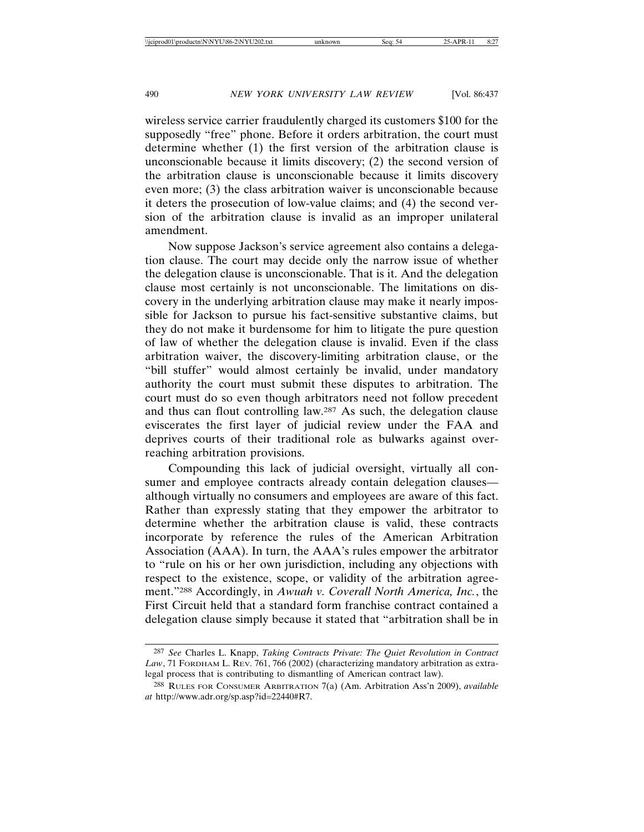wireless service carrier fraudulently charged its customers \$100 for the supposedly "free" phone. Before it orders arbitration, the court must determine whether (1) the first version of the arbitration clause is unconscionable because it limits discovery; (2) the second version of the arbitration clause is unconscionable because it limits discovery even more; (3) the class arbitration waiver is unconscionable because it deters the prosecution of low-value claims; and (4) the second version of the arbitration clause is invalid as an improper unilateral amendment.

Now suppose Jackson's service agreement also contains a delegation clause. The court may decide only the narrow issue of whether the delegation clause is unconscionable. That is it. And the delegation clause most certainly is not unconscionable. The limitations on discovery in the underlying arbitration clause may make it nearly impossible for Jackson to pursue his fact-sensitive substantive claims, but they do not make it burdensome for him to litigate the pure question of law of whether the delegation clause is invalid. Even if the class arbitration waiver, the discovery-limiting arbitration clause, or the "bill stuffer" would almost certainly be invalid, under mandatory authority the court must submit these disputes to arbitration. The court must do so even though arbitrators need not follow precedent and thus can flout controlling law.287 As such, the delegation clause eviscerates the first layer of judicial review under the FAA and deprives courts of their traditional role as bulwarks against overreaching arbitration provisions.

Compounding this lack of judicial oversight, virtually all consumer and employee contracts already contain delegation clauses although virtually no consumers and employees are aware of this fact. Rather than expressly stating that they empower the arbitrator to determine whether the arbitration clause is valid, these contracts incorporate by reference the rules of the American Arbitration Association (AAA). In turn, the AAA's rules empower the arbitrator to "rule on his or her own jurisdiction, including any objections with respect to the existence, scope, or validity of the arbitration agreement."288 Accordingly, in *Awuah v. Coverall North America, Inc.*, the First Circuit held that a standard form franchise contract contained a delegation clause simply because it stated that "arbitration shall be in

<sup>287</sup> *See* Charles L. Knapp, *Taking Contracts Private: The Quiet Revolution in Contract Law*, 71 FORDHAM L. REV. 761, 766 (2002) (characterizing mandatory arbitration as extralegal process that is contributing to dismantling of American contract law).

<sup>288</sup> RULES FOR CONSUMER ARBITRATION 7(a) (Am. Arbitration Ass'n 2009), *available at* http://www.adr.org/sp.asp?id=22440#R7.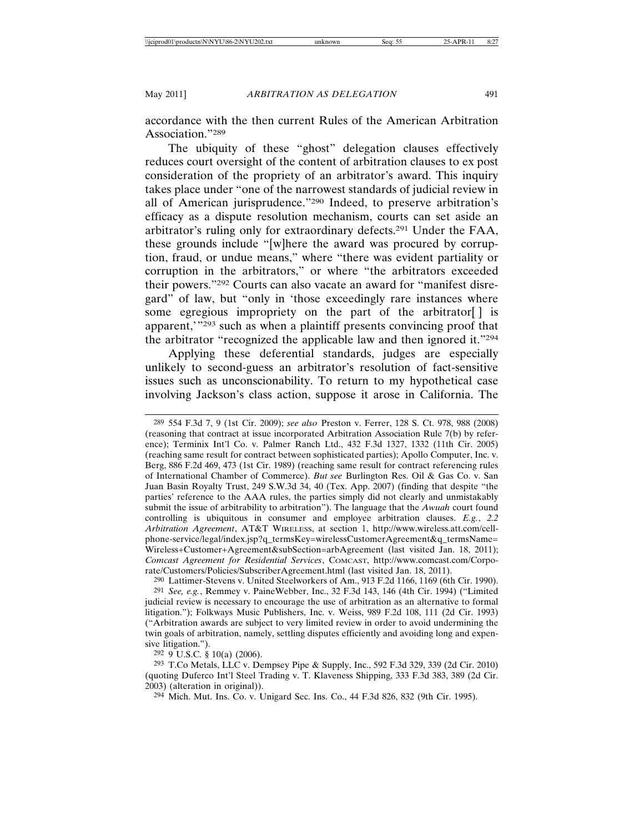accordance with the then current Rules of the American Arbitration Association."289

The ubiquity of these "ghost" delegation clauses effectively reduces court oversight of the content of arbitration clauses to ex post consideration of the propriety of an arbitrator's award. This inquiry takes place under "one of the narrowest standards of judicial review in all of American jurisprudence."290 Indeed, to preserve arbitration's efficacy as a dispute resolution mechanism, courts can set aside an arbitrator's ruling only for extraordinary defects.291 Under the FAA, these grounds include "[w]here the award was procured by corruption, fraud, or undue means," where "there was evident partiality or corruption in the arbitrators," or where "the arbitrators exceeded their powers."292 Courts can also vacate an award for "manifest disregard" of law, but "only in 'those exceedingly rare instances where some egregious impropriety on the part of the arbitrator<sup>[]</sup> is apparent,'"293 such as when a plaintiff presents convincing proof that the arbitrator "recognized the applicable law and then ignored it."294

Applying these deferential standards, judges are especially unlikely to second-guess an arbitrator's resolution of fact-sensitive issues such as unconscionability. To return to my hypothetical case involving Jackson's class action, suppose it arose in California. The

289 554 F.3d 7, 9 (1st Cir. 2009); *see also* Preston v. Ferrer, 128 S. Ct. 978, 988 (2008) (reasoning that contract at issue incorporated Arbitration Association Rule 7(b) by reference); Terminix Int'l Co. v. Palmer Ranch Ltd., 432 F.3d 1327, 1332 (11th Cir. 2005) (reaching same result for contract between sophisticated parties); Apollo Computer, Inc. v. Berg, 886 F.2d 469, 473 (1st Cir. 1989) (reaching same result for contract referencing rules of International Chamber of Commerce). *But see* Burlington Res. Oil & Gas Co. v. San Juan Basin Royalty Trust, 249 S.W.3d 34, 40 (Tex. App. 2007) (finding that despite "the parties' reference to the AAA rules, the parties simply did not clearly and unmistakably submit the issue of arbitrability to arbitration"). The language that the *Awuah* court found controlling is ubiquitous in consumer and employee arbitration clauses. *E.g.*, *2.2 Arbitration Agreement*, AT&T WIRELESS, at section 1, http://www.wireless.att.com/cellphone-service/legal/index.jsp?q\_termsKey=wirelessCustomerAgreement&q\_termsName= Wireless+Customer+Agreement&subSection=arbAgreement (last visited Jan. 18, 2011); *Comcast Agreement for Residential Services*, COMCAST, http://www.comcast.com/Corporate/Customers/Policies/SubscriberAgreement.html (last visited Jan. 18, 2011).

 $290$  Lattimer-Stevens v. United Steelworkers of Am., 913 F.2d 1166, 1169 (6th Cir. 1990). 291 *See, e.g.*, Remmey v. PaineWebber, Inc., 32 F.3d 143, 146 (4th Cir. 1994) ("Limited judicial review is necessary to encourage the use of arbitration as an alternative to formal litigation."); Folkways Music Publishers, Inc. v. Weiss, 989 F.2d 108, 111 (2d Cir. 1993) ("Arbitration awards are subject to very limited review in order to avoid undermining the twin goals of arbitration, namely, settling disputes efficiently and avoiding long and expensive litigation.").

292 9 U.S.C. § 10(a) (2006).

293 T.Co Metals, LLC v. Dempsey Pipe & Supply, Inc., 592 F.3d 329, 339 (2d Cir. 2010) (quoting Duferco Int'l Steel Trading v. T. Klaveness Shipping, 333 F.3d 383, 389 (2d Cir. 2003) (alteration in original)).

294 Mich. Mut. Ins. Co. v. Unigard Sec. Ins. Co., 44 F.3d 826, 832 (9th Cir. 1995).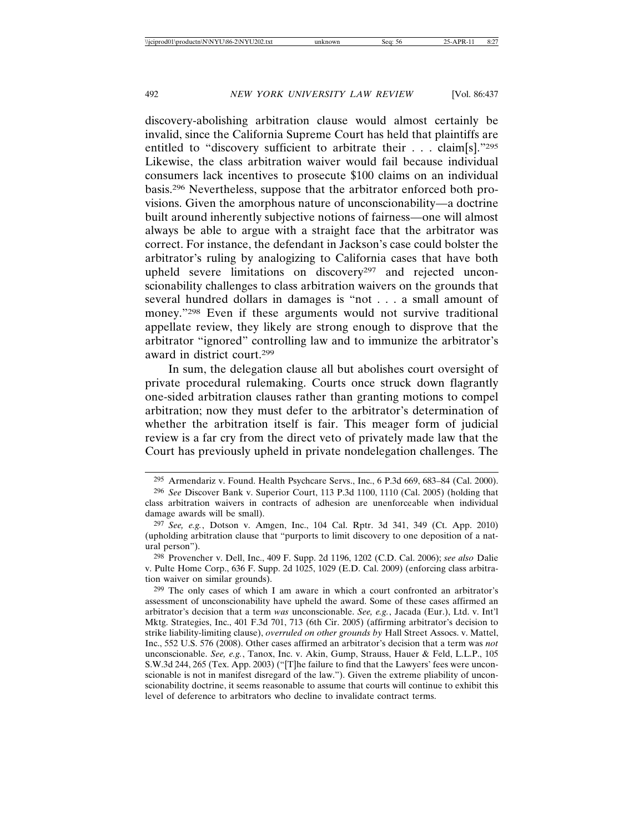discovery-abolishing arbitration clause would almost certainly be invalid, since the California Supreme Court has held that plaintiffs are entitled to "discovery sufficient to arbitrate their . . . claim[s]."295 Likewise, the class arbitration waiver would fail because individual consumers lack incentives to prosecute \$100 claims on an individual basis.296 Nevertheless, suppose that the arbitrator enforced both provisions. Given the amorphous nature of unconscionability—a doctrine built around inherently subjective notions of fairness—one will almost always be able to argue with a straight face that the arbitrator was correct. For instance, the defendant in Jackson's case could bolster the arbitrator's ruling by analogizing to California cases that have both upheld severe limitations on discovery<sup>297</sup> and rejected unconscionability challenges to class arbitration waivers on the grounds that several hundred dollars in damages is "not . . . a small amount of money."298 Even if these arguments would not survive traditional appellate review, they likely are strong enough to disprove that the arbitrator "ignored" controlling law and to immunize the arbitrator's award in district court.299

In sum, the delegation clause all but abolishes court oversight of private procedural rulemaking. Courts once struck down flagrantly one-sided arbitration clauses rather than granting motions to compel arbitration; now they must defer to the arbitrator's determination of whether the arbitration itself is fair. This meager form of judicial review is a far cry from the direct veto of privately made law that the Court has previously upheld in private nondelegation challenges. The

<sup>295</sup> Armendariz v. Found. Health Psychcare Servs., Inc., 6 P.3d 669, 683–84 (Cal. 2000).

<sup>296</sup> *See* Discover Bank v. Superior Court, 113 P.3d 1100, 1110 (Cal. 2005) (holding that class arbitration waivers in contracts of adhesion are unenforceable when individual damage awards will be small).

<sup>297</sup> *See, e.g.*, Dotson v. Amgen, Inc., 104 Cal. Rptr. 3d 341, 349 (Ct. App. 2010) (upholding arbitration clause that "purports to limit discovery to one deposition of a natural person").

<sup>298</sup> Provencher v. Dell, Inc., 409 F. Supp. 2d 1196, 1202 (C.D. Cal. 2006); *see also* Dalie v. Pulte Home Corp., 636 F. Supp. 2d 1025, 1029 (E.D. Cal. 2009) (enforcing class arbitration waiver on similar grounds).

<sup>299</sup> The only cases of which I am aware in which a court confronted an arbitrator's assessment of unconscionability have upheld the award. Some of these cases affirmed an arbitrator's decision that a term *was* unconscionable. *See, e.g.*, Jacada (Eur.), Ltd. v. Int'l Mktg. Strategies, Inc., 401 F.3d 701, 713 (6th Cir. 2005) (affirming arbitrator's decision to strike liability-limiting clause), *overruled on other grounds by* Hall Street Assocs. v. Mattel, Inc., 552 U.S. 576 (2008). Other cases affirmed an arbitrator's decision that a term was *not* unconscionable. *See, e.g.*, Tanox, Inc. v. Akin, Gump, Strauss, Hauer & Feld, L.L.P., 105 S.W.3d 244, 265 (Tex. App. 2003) ("[T]he failure to find that the Lawyers' fees were unconscionable is not in manifest disregard of the law."). Given the extreme pliability of unconscionability doctrine, it seems reasonable to assume that courts will continue to exhibit this level of deference to arbitrators who decline to invalidate contract terms.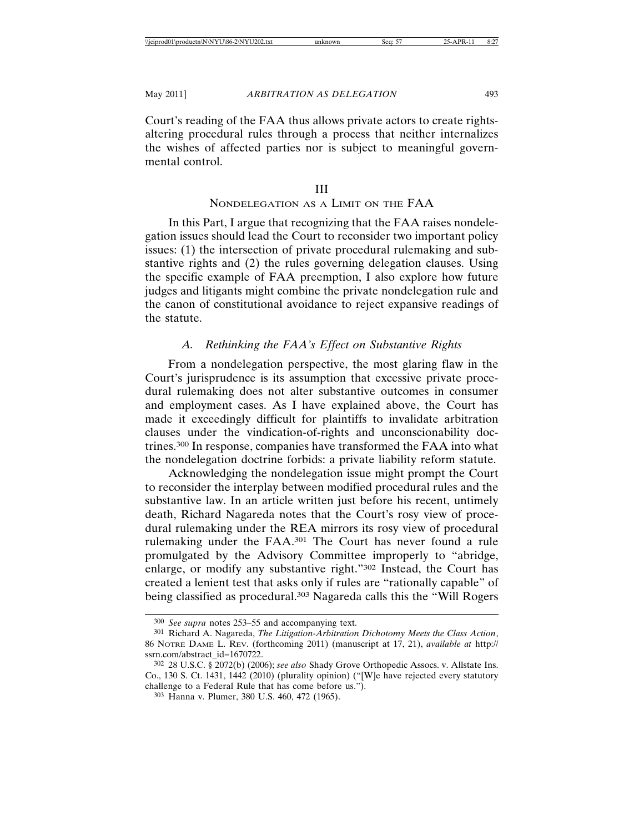Court's reading of the FAA thus allows private actors to create rightsaltering procedural rules through a process that neither internalizes the wishes of affected parties nor is subject to meaningful governmental control.

## NONDELEGATION AS A LIMIT ON THE FAA

In this Part, I argue that recognizing that the FAA raises nondelegation issues should lead the Court to reconsider two important policy issues: (1) the intersection of private procedural rulemaking and substantive rights and (2) the rules governing delegation clauses. Using the specific example of FAA preemption, I also explore how future judges and litigants might combine the private nondelegation rule and the canon of constitutional avoidance to reject expansive readings of the statute.

# *A. Rethinking the FAA's Effect on Substantive Rights*

From a nondelegation perspective, the most glaring flaw in the Court's jurisprudence is its assumption that excessive private procedural rulemaking does not alter substantive outcomes in consumer and employment cases. As I have explained above, the Court has made it exceedingly difficult for plaintiffs to invalidate arbitration clauses under the vindication-of-rights and unconscionability doctrines.300 In response, companies have transformed the FAA into what the nondelegation doctrine forbids: a private liability reform statute.

Acknowledging the nondelegation issue might prompt the Court to reconsider the interplay between modified procedural rules and the substantive law. In an article written just before his recent, untimely death, Richard Nagareda notes that the Court's rosy view of procedural rulemaking under the REA mirrors its rosy view of procedural rulemaking under the FAA.301 The Court has never found a rule promulgated by the Advisory Committee improperly to "abridge, enlarge, or modify any substantive right."302 Instead, the Court has created a lenient test that asks only if rules are "rationally capable" of being classified as procedural.303 Nagareda calls this the "Will Rogers

<sup>300</sup> *See supra* notes 253–55 and accompanying text.

<sup>301</sup> Richard A. Nagareda, *The Litigation-Arbitration Dichotomy Meets the Class Action*, 86 NOTRE DAME L. REV. (forthcoming 2011) (manuscript at 17, 21), *available at* http:// ssrn.com/abstract\_id=1670722.

<sup>302</sup> 28 U.S.C. § 2072(b) (2006); *see also* Shady Grove Orthopedic Assocs. v. Allstate Ins. Co., 130 S. Ct. 1431, 1442 (2010) (plurality opinion) ("[W]e have rejected every statutory challenge to a Federal Rule that has come before us.").

<sup>303</sup> Hanna v. Plumer, 380 U.S. 460, 472 (1965).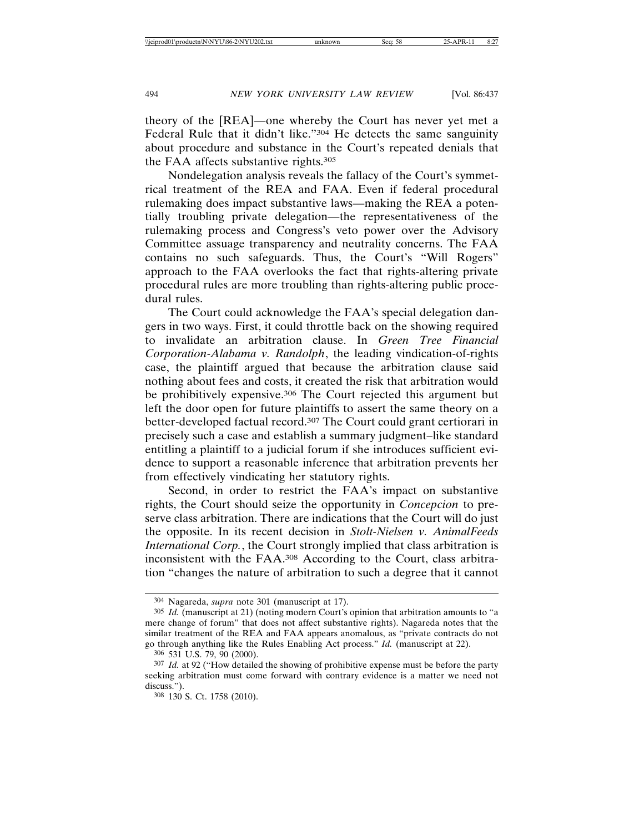theory of the [REA]—one whereby the Court has never yet met a Federal Rule that it didn't like."<sup>304</sup> He detects the same sanguinity about procedure and substance in the Court's repeated denials that the FAA affects substantive rights.305

Nondelegation analysis reveals the fallacy of the Court's symmetrical treatment of the REA and FAA. Even if federal procedural rulemaking does impact substantive laws—making the REA a potentially troubling private delegation—the representativeness of the rulemaking process and Congress's veto power over the Advisory Committee assuage transparency and neutrality concerns. The FAA contains no such safeguards. Thus, the Court's "Will Rogers" approach to the FAA overlooks the fact that rights-altering private procedural rules are more troubling than rights-altering public procedural rules.

The Court could acknowledge the FAA's special delegation dangers in two ways. First, it could throttle back on the showing required to invalidate an arbitration clause. In *Green Tree Financial Corporation-Alabama v. Randolph*, the leading vindication-of-rights case, the plaintiff argued that because the arbitration clause said nothing about fees and costs, it created the risk that arbitration would be prohibitively expensive.306 The Court rejected this argument but left the door open for future plaintiffs to assert the same theory on a better-developed factual record.307 The Court could grant certiorari in precisely such a case and establish a summary judgment–like standard entitling a plaintiff to a judicial forum if she introduces sufficient evidence to support a reasonable inference that arbitration prevents her from effectively vindicating her statutory rights.

Second, in order to restrict the FAA's impact on substantive rights, the Court should seize the opportunity in *Concepcion* to preserve class arbitration. There are indications that the Court will do just the opposite. In its recent decision in *Stolt-Nielsen v. AnimalFeeds International Corp.*, the Court strongly implied that class arbitration is inconsistent with the FAA.308 According to the Court, class arbitration "changes the nature of arbitration to such a degree that it cannot

<sup>304</sup> Nagareda, *supra* note 301 (manuscript at 17).

<sup>305</sup> *Id.* (manuscript at 21) (noting modern Court's opinion that arbitration amounts to "a mere change of forum" that does not affect substantive rights). Nagareda notes that the similar treatment of the REA and FAA appears anomalous, as "private contracts do not go through anything like the Rules Enabling Act process." *Id.* (manuscript at 22).

<sup>306</sup> 531 U.S. 79, 90 (2000).

<sup>307</sup> *Id.* at 92 ("How detailed the showing of prohibitive expense must be before the party seeking arbitration must come forward with contrary evidence is a matter we need not discuss.").

<sup>308</sup> 130 S. Ct. 1758 (2010).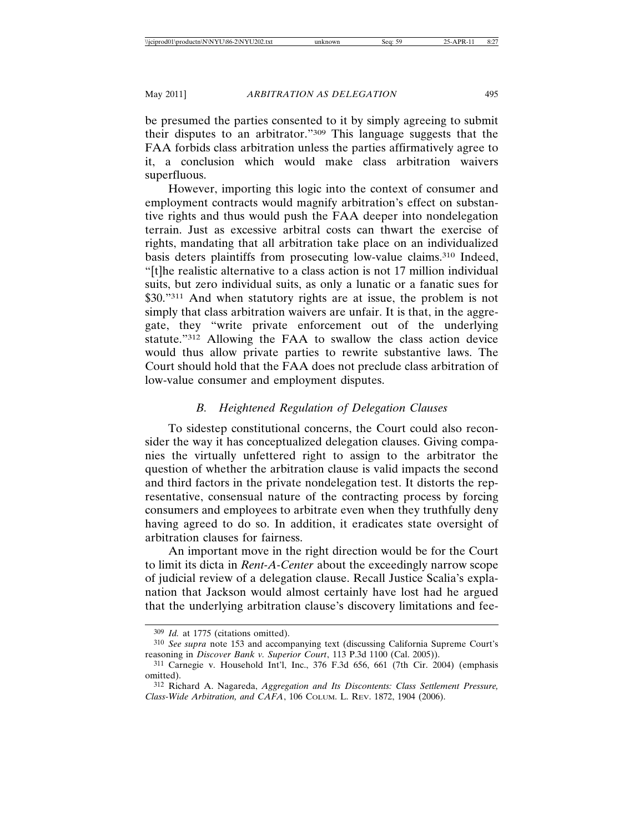be presumed the parties consented to it by simply agreeing to submit their disputes to an arbitrator."309 This language suggests that the FAA forbids class arbitration unless the parties affirmatively agree to it, a conclusion which would make class arbitration waivers superfluous.

However, importing this logic into the context of consumer and employment contracts would magnify arbitration's effect on substantive rights and thus would push the FAA deeper into nondelegation terrain. Just as excessive arbitral costs can thwart the exercise of rights, mandating that all arbitration take place on an individualized basis deters plaintiffs from prosecuting low-value claims.310 Indeed, "[t]he realistic alternative to a class action is not 17 million individual suits, but zero individual suits, as only a lunatic or a fanatic sues for \$30."<sup>311</sup> And when statutory rights are at issue, the problem is not simply that class arbitration waivers are unfair. It is that, in the aggregate, they "write private enforcement out of the underlying statute."312 Allowing the FAA to swallow the class action device would thus allow private parties to rewrite substantive laws. The Court should hold that the FAA does not preclude class arbitration of low-value consumer and employment disputes.

# *B. Heightened Regulation of Delegation Clauses*

To sidestep constitutional concerns, the Court could also reconsider the way it has conceptualized delegation clauses. Giving companies the virtually unfettered right to assign to the arbitrator the question of whether the arbitration clause is valid impacts the second and third factors in the private nondelegation test. It distorts the representative, consensual nature of the contracting process by forcing consumers and employees to arbitrate even when they truthfully deny having agreed to do so. In addition, it eradicates state oversight of arbitration clauses for fairness.

An important move in the right direction would be for the Court to limit its dicta in *Rent-A-Center* about the exceedingly narrow scope of judicial review of a delegation clause. Recall Justice Scalia's explanation that Jackson would almost certainly have lost had he argued that the underlying arbitration clause's discovery limitations and fee-

<sup>309</sup> *Id.* at 1775 (citations omitted).

<sup>310</sup> *See supra* note 153 and accompanying text (discussing California Supreme Court's reasoning in *Discover Bank v. Superior Court*, 113 P.3d 1100 (Cal. 2005)).

<sup>311</sup> Carnegie v. Household Int'l, Inc., 376 F.3d 656, 661 (7th Cir. 2004) (emphasis omitted).

<sup>312</sup> Richard A. Nagareda, *Aggregation and Its Discontents: Class Settlement Pressure, Class-Wide Arbitration, and CAFA*, 106 COLUM. L. REV. 1872, 1904 (2006).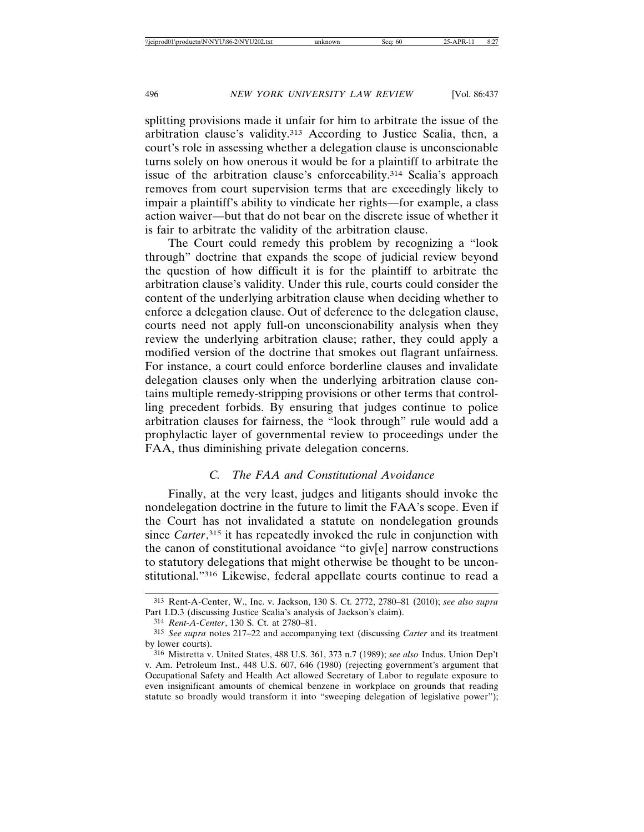splitting provisions made it unfair for him to arbitrate the issue of the arbitration clause's validity.313 According to Justice Scalia, then, a court's role in assessing whether a delegation clause is unconscionable turns solely on how onerous it would be for a plaintiff to arbitrate the issue of the arbitration clause's enforceability.314 Scalia's approach removes from court supervision terms that are exceedingly likely to impair a plaintiff's ability to vindicate her rights—for example, a class action waiver—but that do not bear on the discrete issue of whether it is fair to arbitrate the validity of the arbitration clause.

The Court could remedy this problem by recognizing a "look through" doctrine that expands the scope of judicial review beyond the question of how difficult it is for the plaintiff to arbitrate the arbitration clause's validity. Under this rule, courts could consider the content of the underlying arbitration clause when deciding whether to enforce a delegation clause. Out of deference to the delegation clause, courts need not apply full-on unconscionability analysis when they review the underlying arbitration clause; rather, they could apply a modified version of the doctrine that smokes out flagrant unfairness. For instance, a court could enforce borderline clauses and invalidate delegation clauses only when the underlying arbitration clause contains multiple remedy-stripping provisions or other terms that controlling precedent forbids. By ensuring that judges continue to police arbitration clauses for fairness, the "look through" rule would add a prophylactic layer of governmental review to proceedings under the FAA, thus diminishing private delegation concerns.

# *C. The FAA and Constitutional Avoidance*

Finally, at the very least, judges and litigants should invoke the nondelegation doctrine in the future to limit the FAA's scope. Even if the Court has not invalidated a statute on nondelegation grounds since *Carter*, 315 it has repeatedly invoked the rule in conjunction with the canon of constitutional avoidance "to giv[e] narrow constructions to statutory delegations that might otherwise be thought to be unconstitutional."316 Likewise, federal appellate courts continue to read a

<sup>313</sup> Rent-A-Center, W., Inc. v. Jackson, 130 S. Ct. 2772, 2780–81 (2010); *see also supra* Part I.D.3 (discussing Justice Scalia's analysis of Jackson's claim).

<sup>314</sup> *Rent-A-Center*, 130 S. Ct. at 2780–81.

<sup>315</sup> *See supra* notes 217–22 and accompanying text (discussing *Carter* and its treatment by lower courts).

<sup>316</sup> Mistretta v. United States, 488 U.S. 361, 373 n.7 (1989); *see also* Indus. Union Dep't v. Am. Petroleum Inst., 448 U.S. 607, 646 (1980) (rejecting government's argument that Occupational Safety and Health Act allowed Secretary of Labor to regulate exposure to even insignificant amounts of chemical benzene in workplace on grounds that reading statute so broadly would transform it into "sweeping delegation of legislative power");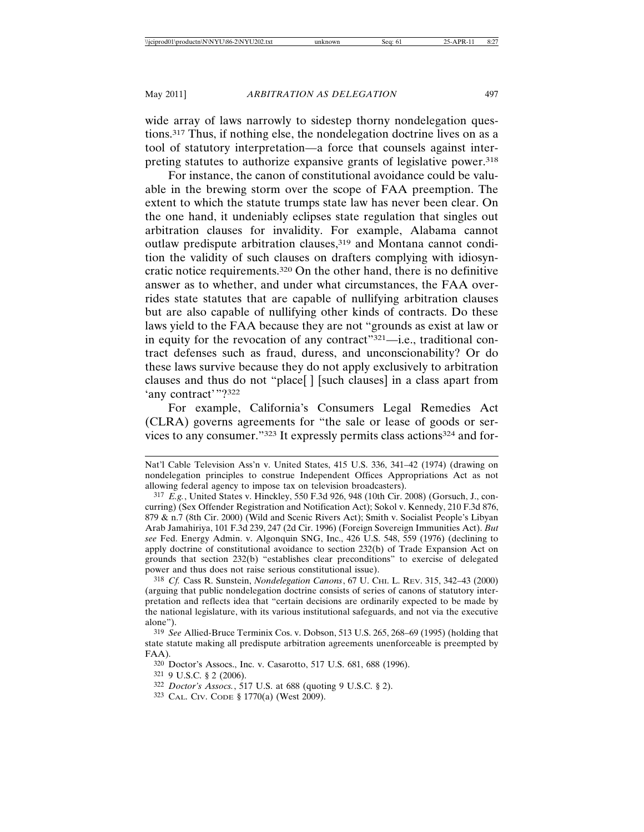wide array of laws narrowly to sidestep thorny nondelegation questions.317 Thus, if nothing else, the nondelegation doctrine lives on as a tool of statutory interpretation—a force that counsels against interpreting statutes to authorize expansive grants of legislative power.318

For instance, the canon of constitutional avoidance could be valuable in the brewing storm over the scope of FAA preemption. The extent to which the statute trumps state law has never been clear. On the one hand, it undeniably eclipses state regulation that singles out arbitration clauses for invalidity. For example, Alabama cannot outlaw predispute arbitration clauses,<sup>319</sup> and Montana cannot condition the validity of such clauses on drafters complying with idiosyncratic notice requirements.320 On the other hand, there is no definitive answer as to whether, and under what circumstances, the FAA overrides state statutes that are capable of nullifying arbitration clauses but are also capable of nullifying other kinds of contracts. Do these laws yield to the FAA because they are not "grounds as exist at law or in equity for the revocation of any contract"321—i.e., traditional contract defenses such as fraud, duress, and unconscionability? Or do these laws survive because they do not apply exclusively to arbitration clauses and thus do not "place[ ] [such clauses] in a class apart from 'any contract'"?<sup>322</sup>

For example, California's Consumers Legal Remedies Act (CLRA) governs agreements for "the sale or lease of goods or services to any consumer."323 It expressly permits class actions324 and for-

318 *Cf.* Cass R. Sunstein, *Nondelegation Canons*, 67 U. CHI. L. REV. 315, 342–43 (2000) (arguing that public nondelegation doctrine consists of series of canons of statutory interpretation and reflects idea that "certain decisions are ordinarily expected to be made by the national legislature, with its various institutional safeguards, and not via the executive alone").

319 *See* Allied-Bruce Terminix Cos. v. Dobson, 513 U.S. 265, 268–69 (1995) (holding that state statute making all predispute arbitration agreements unenforceable is preempted by FAA).

321 9 U.S.C. § 2 (2006).

323 CAL. CIV. CODE § 1770(a) (West 2009).

Nat'l Cable Television Ass'n v. United States, 415 U.S. 336, 341–42 (1974) (drawing on nondelegation principles to construe Independent Offices Appropriations Act as not allowing federal agency to impose tax on television broadcasters).

<sup>317</sup> *E.g.*, United States v. Hinckley, 550 F.3d 926, 948 (10th Cir. 2008) (Gorsuch, J., concurring) (Sex Offender Registration and Notification Act); Sokol v. Kennedy, 210 F.3d 876, 879 & n.7 (8th Cir. 2000) (Wild and Scenic Rivers Act); Smith v. Socialist People's Libyan Arab Jamahiriya, 101 F.3d 239, 247 (2d Cir. 1996) (Foreign Sovereign Immunities Act). *But see* Fed. Energy Admin. v. Algonquin SNG, Inc., 426 U.S. 548, 559 (1976) (declining to apply doctrine of constitutional avoidance to section 232(b) of Trade Expansion Act on grounds that section 232(b) "establishes clear preconditions" to exercise of delegated power and thus does not raise serious constitutional issue).

<sup>320</sup> Doctor's Assocs., Inc. v. Casarotto, 517 U.S. 681, 688 (1996).

<sup>322</sup> *Doctor's Assocs.*, 517 U.S. at 688 (quoting 9 U.S.C. § 2).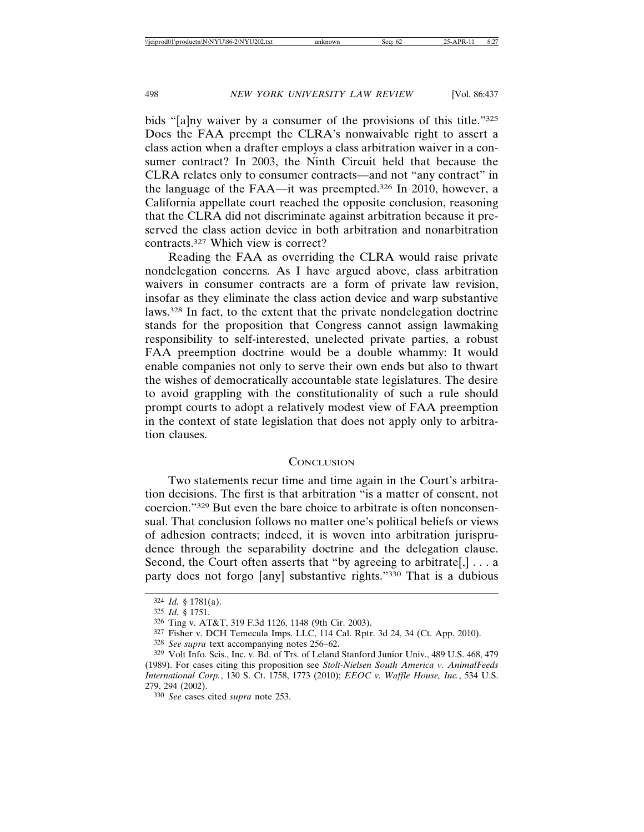bids "[a]ny waiver by a consumer of the provisions of this title."325 Does the FAA preempt the CLRA's nonwaivable right to assert a class action when a drafter employs a class arbitration waiver in a consumer contract? In 2003, the Ninth Circuit held that because the CLRA relates only to consumer contracts—and not "any contract" in the language of the FAA—it was preempted.326 In 2010, however, a California appellate court reached the opposite conclusion, reasoning that the CLRA did not discriminate against arbitration because it preserved the class action device in both arbitration and nonarbitration contracts.327 Which view is correct?

Reading the FAA as overriding the CLRA would raise private nondelegation concerns. As I have argued above, class arbitration waivers in consumer contracts are a form of private law revision, insofar as they eliminate the class action device and warp substantive laws.328 In fact, to the extent that the private nondelegation doctrine stands for the proposition that Congress cannot assign lawmaking responsibility to self-interested, unelected private parties, a robust FAA preemption doctrine would be a double whammy: It would enable companies not only to serve their own ends but also to thwart the wishes of democratically accountable state legislatures. The desire to avoid grappling with the constitutionality of such a rule should prompt courts to adopt a relatively modest view of FAA preemption in the context of state legislation that does not apply only to arbitration clauses.

#### **CONCLUSION**

Two statements recur time and time again in the Court's arbitration decisions. The first is that arbitration "is a matter of consent, not coercion."329 But even the bare choice to arbitrate is often nonconsensual. That conclusion follows no matter one's political beliefs or views of adhesion contracts; indeed, it is woven into arbitration jurisprudence through the separability doctrine and the delegation clause. Second, the Court often asserts that "by agreeing to arbitrate.],  $\ldots$  a party does not forgo [any] substantive rights."330 That is a dubious

<sup>324</sup> *Id.* § 1781(a).

<sup>325</sup> *Id.* § 1751.

<sup>326</sup> Ting v. AT&T, 319 F.3d 1126, 1148 (9th Cir. 2003).

<sup>327</sup> Fisher v. DCH Temecula Imps. LLC, 114 Cal. Rptr. 3d 24, 34 (Ct. App. 2010).

<sup>328</sup> *See supra* text accompanying notes 256–62.

<sup>329</sup> Volt Info. Scis., Inc. v. Bd. of Trs. of Leland Stanford Junior Univ., 489 U.S. 468, 479 (1989). For cases citing this proposition see *Stolt-Nielsen South America v. AnimalFeeds International Corp.*, 130 S. Ct. 1758, 1773 (2010); *EEOC v. Waffle House, Inc.*, 534 U.S. 279, 294 (2002).

<sup>330</sup> *See* cases cited *supra* note 253.